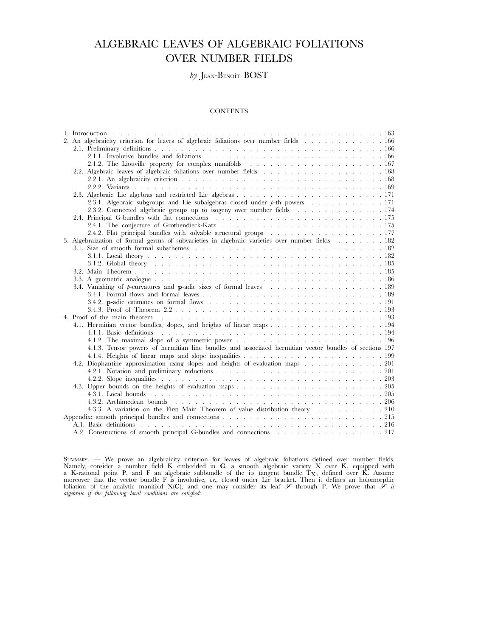# ALGEBRAIC LEAVES OF ALGEBRAIC FOLIATIONS OVER NUMBER FIELDS

## *by* JEAN-BENOÎT BOST

#### **CONTENTS**

| 2. An algebraicity criterion for leaves of algebraic foliations over number fields 166                 |  |
|--------------------------------------------------------------------------------------------------------|--|
|                                                                                                        |  |
|                                                                                                        |  |
|                                                                                                        |  |
|                                                                                                        |  |
|                                                                                                        |  |
|                                                                                                        |  |
|                                                                                                        |  |
| 2.3.1. Algebraic subgroups and Lie subalgebras closed under p-th powers 171                            |  |
| 2.3.2. Connected algebraic groups up to isogeny over number fields 174                                 |  |
|                                                                                                        |  |
|                                                                                                        |  |
| 2.4.2. Flat principal bundles with solvable structural groups 177                                      |  |
| 3. Algebraization of formal germs of subvarieties in algebraic varieties over number fields 182        |  |
|                                                                                                        |  |
|                                                                                                        |  |
|                                                                                                        |  |
|                                                                                                        |  |
|                                                                                                        |  |
| 3.4. Vanishing of p-curvatures and p-adic sizes of formal leaves 189                                   |  |
|                                                                                                        |  |
|                                                                                                        |  |
|                                                                                                        |  |
|                                                                                                        |  |
| 4.1. Hermitian vector bundles, slopes, and heights of linear maps 194                                  |  |
|                                                                                                        |  |
|                                                                                                        |  |
| 4.1.3. Tensor powers of hermitian line bundles and associated hermitian vector bundles of sections 197 |  |
|                                                                                                        |  |
| 4.2. Diophantine approximation using slopes and heights of evaluation maps 201                         |  |
|                                                                                                        |  |
|                                                                                                        |  |
|                                                                                                        |  |
|                                                                                                        |  |
|                                                                                                        |  |
| 4.3.3. A variation on the First Main Theorem of value distribution theory 210                          |  |
|                                                                                                        |  |
|                                                                                                        |  |
| A.2. Constructions of smooth principal G-bundles and connections 217                                   |  |
|                                                                                                        |  |

SUMMARY. *—* We prove an algebraicity criterion for leaves of algebraic foliations defined over number fields. Namely, consider a number field K embedded in **C**, a smooth algebraic variety X over K, equipped with a K-rational point P, and F an algebraic subbundle of the its tangent bundle T<sub>X</sub>, defined over K. Assume<br>moreover that the vector bundle F is involutive, *i.e.*, closed under Lie bracket. Then it defines an holomorphic foliation of the analytic manifold  $X(C)$ , and one may consider its leaf  $\mathscr F$  through P. We prove that  $\mathscr F$  *is algebraic if the following local conditions are satisfied:*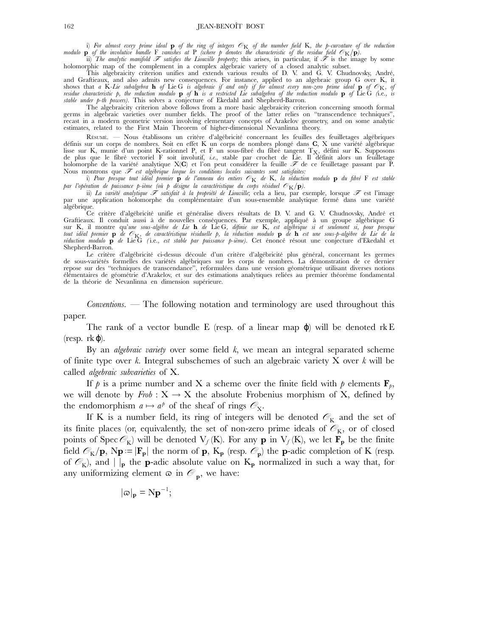i) For almost every prime ideal **p** of the ring of integers  $\mathscr{O}_K$  of the number field K, the p-curvature of the reduction<br>modulo **p** of the involutive bundle F vanishes at P (where p denotes the characteristic of the

holomorphic map of the complement in a complex algebraic variety of a closed analytic subset.

This algebraicity criterion unifies and extends various results of D. V. and G. V. Chudnovsky, André, and Graftieaux, and also admits new consequences. For instance, applied to an algebraic group G over K, it shows that a K-Lie subalgebra **h** of LieG is algebraic if and only if for almost every non-zero prime ideal **p** of  $\mathscr{O}_K$ , of<br>residue characteristic p, the reduction modulo **p** of **h** is a restricted Lie subalgebra of *stable under p-th powers).* This solves a conjecture of Ekedahl and Shepherd-Barron.

The algebraicity criterion above follows from a more basic algebraicity criterion concerning smooth formal germs in algebraic varieties over number fields. The proof of the latter relies on "transcendence techniques", recast in a modern geometric version involving elementary concepts of Arakelov geometry, and on some analytic estimates, related to the First Main Theorem of higher-dimensional Nevanlinna theory.

RÉSUMÉ. *—* Nous établissons un critère d'algébricité concernant les feuilles des feuilletages algébriques définis sur un corps de nombres. Soit en effet K un corps de nombres plongé dans **C**, X une variété algébrique lisse sur K, munie d'un point K-rationnel P, et F un sous-fibré du fibré tangent Tx, défini sur K. Supposons de plus que le fibré vectoriel F soit involutif, *i.e.*, stable par crochet de Lie. Il définit alors un feuilletage holomorphe de la variété analytique X(**C**) et l'on peut considérer la feuille *F* de ce feuilletage passant par P. Nous montrons que *F est algébrique lorque les conditions locales suivantes sont satisfaites:*

i) *Pour presque tout idéal premier* **p** *de l'anneau des entiers O* K *de* K*, la réduction modulo* **p** *du fibré* F *est stable par l'opération de puissance p-ième (où p désigne la caractéristique du corps résiduel O* <sup>K</sup>/**p***).*

ii) *La variété analytique F satisfait à la propriété de Liouville*; cela a lieu, par exemple, lorsque *F* est l'image par une application holomorphe du complémentaire d'un sous-ensemble analytique fermé dans une variété algébrique.

Ce critère d'algébricité unifie et généralise divers résultats de D. V. and G. V. Chudnovsky, André et Graftieaux. Il conduit aussi à de nouvelles conséquences. Par exemple, appliqué à un groupe algébrique G sur K, il montre qu'*une sous-algèbre de Lie* **h** *de* Lie G*, définie sur* K*, est algébrique si et seulement si, pour presque* tout idéal premier **p** de O<sub>K</sub>, de caractéristique résiduelle p, la réduction modulo **p** de **h** est une sous-p-algèbre de Lie de la<br>réduction modulo **p** de LieG (i.e., est stable par puissance p-ième). Cet énoncé résout un Shepherd-Barron.

Le critère d'algébricité ci-dessus découle d'un critère d'algébricité plus général, concernant les germes de sous-variétés formelles des variétés algébriques sur les corps de nombres. La démonstration de ce dernier repose sur des "techniques de transcendance", reformulées dans une version géométrique utilisant diverses notions élémentaires de géométrie d'Arakelov, et sur des estimations analytiques reliées au premier théorème fondamental de la théorie de Nevanlinna en dimension supérieure.

*Conventions*. *—* The following notation and terminology are used throughout this paper.

The rank of a vector bundle E (resp. of a linear map  $\varphi$ ) will be denoted rk E (resp. rk $\varphi$ ).

By an *algebraic variety* over some field *k*, we mean an integral separated scheme of finite type over *k*. Integral subschemes of such an algebraic variety X over *k* will be called *algebraic subvarieties* of X.

If  $p$  is a prime number and X a scheme over the finite field with  $p$  elements  $\mathbf{F}_p$ , we will denote by  $Frob : X \to X$  the absolute Frobenius morphism of X, defined by the endomorphism  $a \mapsto a^p$  of the sheaf of rings  $\mathcal{O}_X$ .

If K is a number field, its ring of integers will be denoted  $\mathscr{O}_K$  and the set of its finite places (or, equivalently, the set of non-zero prime ideals of  $\mathscr{O}_K$ , or of closed points of Spec  $\mathcal{O}_K$ ) will be denoted  $V_f(K)$ . For any **p** in  $V_f(K)$ , we let  $\mathbf{F_p}$  be the finite field  $\mathcal{O}_K/\mathbf{p}$ ,  $N\mathbf{p} := |\mathbf{F}_{\mathbf{p}}|$  the norm of  $\mathbf{p}$ ,  $K_{\mathbf{p}}$  (resp.  $\mathcal{O}_{\mathbf{p}}$ ) the **p**-adic completion of K (resp. of  $\mathcal{O}_K$ ), and  $||\mathbf{p}||$  the **p**-adic absolute value on  $K_p$  normalized in such a way that, for any uniformizing element  $\varpi$  in  $\mathcal{O}_p$ , we have:

$$
|\varpi|_{\mathbf{p}} = \mathbf{N} \mathbf{p}^{-1};
$$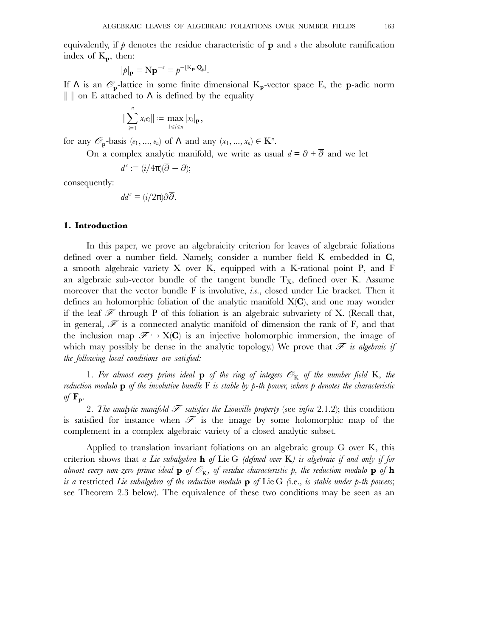equivalently, if  $\rho$  denotes the residue characteristic of **p** and  $e$  the absolute ramification index of K**p**, then:

$$
|p|_{\mathbf{p}} = N \mathbf{p}^{-e} = p^{-[K_{\mathbf{p}}:\mathbf{Q}_p]}.
$$

If  $\Lambda$  is an  $\mathcal{O}_p$ -lattice in some finite dimensional K<sub>p</sub>-vector space E, the **p**-adic norm  $\| \cdot \|$  on E attached to  $\Lambda$  is defined by the equality

$$
\|\sum_{i=1}^n x_i e_i\| := \max_{1 \leq i \leq n} |x_i|_{\mathbf{p}},
$$

for any  $\mathcal{O}_{\mathbf{p}}$ -basis  $(e_1, ..., e_n)$  of  $\Lambda$  and any  $(x_1, ..., x_n) \in \mathbf{K}^n$ .

On a complex analytic manifold, we write as usual  $d = \partial + \overline{\partial}$  and we let

$$
d^c := (i/4\pi)(\overline{\partial} - \partial);
$$

consequently:

$$
dd^c = (i/2\pi)\partial\overline{\partial}.
$$

#### **1. Introduction**

In this paper, we prove an algebraicity criterion for leaves of algebraic foliations defined over a number field. Namely, consider a number field K embedded in **C**, a smooth algebraic variety X over K, equipped with a K-rational point P, and F an algebraic sub-vector bundle of the tangent bundle  $T_x$ , defined over K. Assume moreover that the vector bundle F is involutive, *i.e.*, closed under Lie bracket. Then it defines an holomorphic foliation of the analytic manifold X(**C**), and one may wonder if the leaf  $\mathscr F$  through P of this foliation is an algebraic subvariety of X. (Recall that, in general,  $\mathscr F$  is a connected analytic manifold of dimension the rank of F, and that the inclusion map  $\mathscr{F} \hookrightarrow X(\mathbb{C})$  is an injective holomorphic immersion, the image of which may possibly be dense in the analytic topology.) We prove that *F is algebraic if the following local conditions are satisfied:*

1. For almost every prime ideal  $\bf{p}$  of the ring of integers  $\mathscr{O}_K$  of the number field K, the *reduction modulo* **p** *of the involutive bundle* F *is stable by p-th power, where p denotes the characteristic* of  $\mathbf{F}_{\mathbf{p}}$ *.* 

2. *The analytic manifold F satisfies the Liouville property* (see *infra* 2.1.2); this condition is satisfied for instance when  $\mathscr F$  is the image by some holomorphic map of the complement in a complex algebraic variety of a closed analytic subset.

Applied to translation invariant foliations on an algebraic group G over K, this criterion shows that *a Lie subalgebra* **h** *of* Lie G *(defined over* K*) is algebraic if and only if for* almost every non-zero prime ideal  $p$  of  $\mathcal{O}_K$ , of residue characteristic p, the reduction modulo  $p$  of  $h$ *is a* restricted *Lie subalgebra of the reduction modulo* **p** *of* Lie G *(*i.e.*, is stable under p-th powers*; see Theorem 2.3 below). The equivalence of these two conditions may be seen as an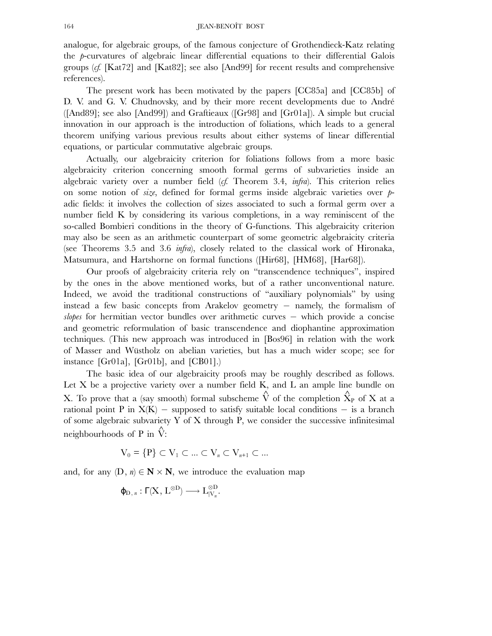analogue, for algebraic groups, of the famous conjecture of Grothendieck-Katz relating the *p*-curvatures of algebraic linear differential equations to their differential Galois groups (*cf.* [Kat72] and [Kat82]; see also [And99] for recent results and comprehensive references).

The present work has been motivated by the papers [CC85a] and [CC85b] of D. V. and G. V. Chudnovsky, and by their more recent developments due to André ([And89]; see also [And99]) and Graftieaux ([Gr98] and [Gr01a]). A simple but crucial innovation in our approach is the introduction of foliations, which leads to a general theorem unifying various previous results about either systems of linear differential equations, or particular commutative algebraic groups.

Actually, our algebraicity criterion for foliations follows from a more basic algebraicity criterion concerning smooth formal germs of subvarieties inside an algebraic variety over a number field (*cf.* Theorem 3.4, *infra*). This criterion relies on some notion of *size*, defined for formal germs inside algebraic varieties over *p*adic fields: it involves the collection of sizes associated to such a formal germ over a number field K by considering its various completions, in a way reminiscent of the so-called Bombieri conditions in the theory of G-functions. This algebraicity criterion may also be seen as an arithmetic counterpart of some geometric algebraicity criteria (see Theorems 3.5 and 3.6 *infra*), closely related to the classical work of Hironaka, Matsumura, and Hartshorne on formal functions ([Hir68], [HM68], [Har68]).

Our proofs of algebraicity criteria rely on "transcendence techniques", inspired by the ones in the above mentioned works, but of a rather unconventional nature. Indeed, we avoid the traditional constructions of "auxiliary polynomials" by using instead a few basic concepts from Arakelov geometry − namely, the formalism of *slopes* for hermitian vector bundles over arithmetic curves – which provide a concise and geometric reformulation of basic transcendence and diophantine approximation techniques. (This new approach was introduced in [Bos96] in relation with the work of Masser and Wüstholz on abelian varieties, but has a much wider scope; see for instance [Gr01a], [Gr01b], and [CB01].)

The basic idea of our algebraicity proofs may be roughly described as follows. Let X be a projective variety over a number field K, and L an ample line bundle on X. To prove that a (say smooth) formal subscheme  $\hat{\hat{V}}$  of the completion  $\hat{\hat{X}}_P$  of X at a rational point P in  $X(K)$  – supposed to satisfy suitable local conditions – is a branch of some algebraic subvariety Y of X through P, we consider the successive infinitesimal neighbourhoods of P in  $\hat{\nabla}$ :

$$
V_0 = \{P\} \subset V_1 \subset \ldots \subset V_n \subset V_{n+1} \subset \ldots
$$

and, for any  $(D, n) \in \mathbb{N} \times \mathbb{N}$ , we introduce the evaluation map

$$
\phi_{D,\,\textcolor{black}{n}}:\Gamma(X,\,L^{\otimes D})\longrightarrow L_{|V_{\textcolor{black}{n}}}^{\otimes D}.
$$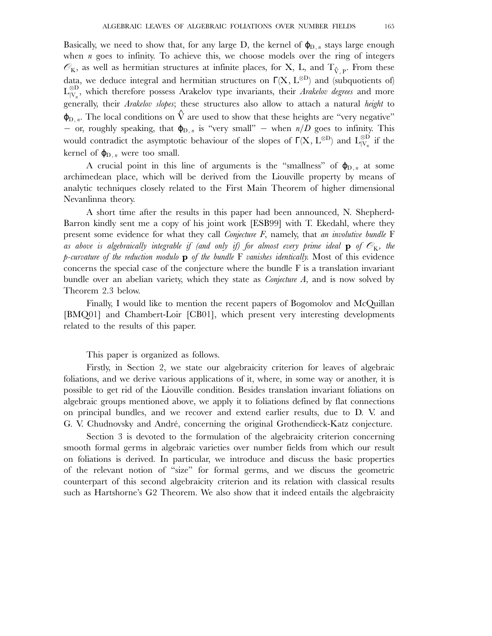Basically, we need to show that, for any large D, the kernel of  $\varphi_{D,n}$  stays large enough when *n* goes to infinity. To achieve this, we choose models over the ring of integers  $\mathscr{O}_K$ , as well as hermitian structures at infinite places, for X, L, and T<sub> $\hat{V},P$ </sub>. From these data, we deduce integral and hermitian structures on  $\Gamma(X, L^{\otimes D})$  and (subquotients of) L<sup>⊗</sup><sup>D</sup> |V*n* , which therefore possess Arakelov type invariants, their *Arakelov degrees* and more generally, their *Arakelov slopes*; these structures also allow to attach a natural *height* to  $\varphi_{D, n}$ . The local conditions on  $\hat{V}$  are used to show that these heights are "very negative"  $-$  or, roughly speaking, that  $φ_{D,n}$  is "very small"  $-$  when  $n/D$  goes to infinity. This would contradict the asymptotic behaviour of the slopes of  $\Gamma(X, L^{\otimes D})$  and  $L^{\otimes D}_{|V_n}$  if the kernel of  $\varphi_{D,n}$  were too small.

A crucial point in this line of arguments is the "smallness" of  $\varphi_{D,n}$  at some archimedean place, which will be derived from the Liouville property by means of analytic techniques closely related to the First Main Theorem of higher dimensional Nevanlinna theory.

A short time after the results in this paper had been announced, N. Shepherd-Barron kindly sent me a copy of his joint work [ESB99] with T. Ekedahl, where they present some evidence for what they call *Conjecture F*, namely, that *an involutive bundle* F *as above is algebraically integrable if (and only if) for almost every prime ideal* **p** *of*  $\mathcal{O}_K$ *, the p-curvature of the reduction modulo* **p** *of the bundle* F *vanishes identically.* Most of this evidence concerns the special case of the conjecture where the bundle F is a translation invariant bundle over an abelian variety, which they state as *Conjecture A*, and is now solved by Theorem 2.3 below.

Finally, I would like to mention the recent papers of Bogomolov and McQuillan [BMQ01] and Chambert-Loir [CB01], which present very interesting developments related to the results of this paper.

#### This paper is organized as follows.

Firstly, in Section 2, we state our algebraicity criterion for leaves of algebraic foliations, and we derive various applications of it, where, in some way or another, it is possible to get rid of the Liouville condition. Besides translation invariant foliations on algebraic groups mentioned above, we apply it to foliations defined by flat connections on principal bundles, and we recover and extend earlier results, due to D. V. and G. V. Chudnovsky and André, concerning the original Grothendieck-Katz conjecture.

Section 3 is devoted to the formulation of the algebraicity criterion concerning smooth formal germs in algebraic varieties over number fields from which our result on foliations is derived. In particular, we introduce and discuss the basic properties of the relevant notion of "size" for formal germs, and we discuss the geometric counterpart of this second algebraicity criterion and its relation with classical results such as Hartshorne's G2 Theorem. We also show that it indeed entails the algebraicity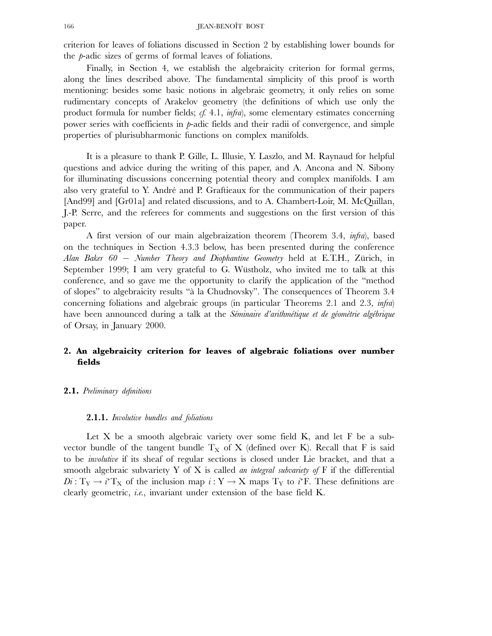criterion for leaves of foliations discussed in Section 2 by establishing lower bounds for the *p*-adic sizes of germs of formal leaves of foliations.

Finally, in Section 4, we establish the algebraicity criterion for formal germs, along the lines described above. The fundamental simplicity of this proof is worth mentioning: besides some basic notions in algebraic geometry, it only relies on some rudimentary concepts of Arakelov geometry (the definitions of which use only the product formula for number fields; *cf.* 4.1, *infra*), some elementary estimates concerning power series with coefficients in *p*-adic fields and their radii of convergence, and simple properties of plurisubharmonic functions on complex manifolds.

It is a pleasure to thank P. Gille, L. Illusie, Y. Laszlo, and M. Raynaud for helpful questions and advice during the writing of this paper, and A. Ancona and N. Sibony for illuminating discussions concerning potential theory and complex manifolds. I am also very grateful to Y. André and P. Graftieaux for the communication of their papers [And99] and [Gr01a] and related discussions, and to A. Chambert-Loir, M. McQuillan, J.-P. Serre, and the referees for comments and suggestions on the first version of this paper.

A first version of our main algebraization theorem (Theorem 3.4, *infra*), based on the techniques in Section 4.3.3 below, has been presented during the conference *Alan Baker 60* − *Number Theory and Diophantine Geometry* held at E.T.H., Zürich, in September 1999; I am very grateful to G. Wüstholz, who invited me to talk at this conference, and so gave me the opportunity to clarify the application of the "method of slopes" to algebraicity results "à la Chudnovsky". The consequences of Theorem 3.4 concerning foliations and algebraic groups (in particular Theorems 2.1 and 2.3, *infra*) have been announced during a talk at the *Séminaire d'arithmétique et de géométrie algébrique* of Orsay, in January 2000.

# **2. An algebraicity criterion for leaves of algebraic foliations over number fields**

#### **2.1.** *Preliminary definitions*

#### **2.1.1.** *Involutive bundles and foliations*

Let X be a smooth algebraic variety over some field K, and let F be a subvector bundle of the tangent bundle  $T_X$  of X (defined over K). Recall that F is said to be *involutive* if its sheaf of regular sections is closed under Lie bracket, and that a smooth algebraic subvariety Y of X is called *an integral subvariety of* F if the differential  $Di: T_Y \to i^*T_X$  of the inclusion map  $i: Y \to X$  maps  $T_Y$  to  $i^*F$ . These definitions are clearly geometric, *i.e.*, invariant under extension of the base field K.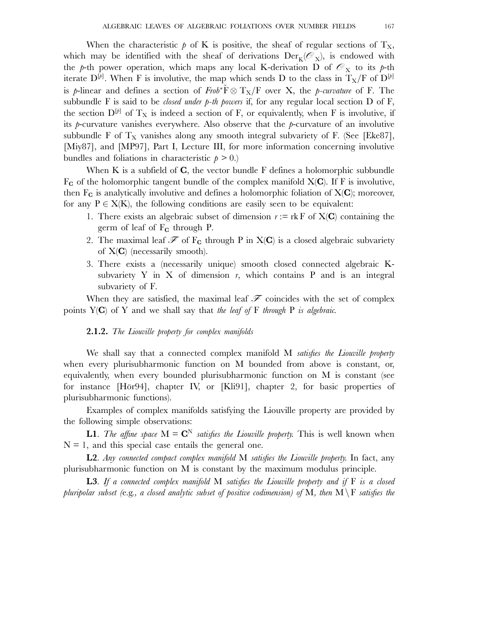When the characteristic  $p$  of K is positive, the sheaf of regular sections of  $T_X$ , which may be identified with the sheaf of derivations  $Der_{K}(\mathscr{O}_{X})$ , is endowed with the *p*-th power operation, which maps any local K-derivation D of  $\mathcal{O}_X$  to its *p*-th iterate  $D^{[\rho]}$ . When F is involutive, the map which sends D to the class in  $T_X/F$  of  $D^{[\rho]}$ is *p*-linear and defines a section of *Frob*<sup>∗</sup>ˇ F ⊗ TX/F over X, the *p-curvature* of F. The subbundle F is said to be *closed under p-th powers* if, for any regular local section D of F, the section  $D^{[p]}$  of  $T_X$  is indeed a section of F, or equivalently, when F is involutive, if its *p*-curvature vanishes everywhere. Also observe that the *p*-curvature of an involutive subbundle F of  $T_X$  vanishes along any smooth integral subvariety of F. (See [Eke87], [Miy87], and [MP97], Part I, Lecture III, for more information concerning involutive bundles and foliations in characteristic  $p > 0$ .)

When K is a subfield of **C**, the vector bundle F defines a holomorphic subbundle  $F_G$  of the holomorphic tangent bundle of the complex manifold  $X(G)$ . If F is involutive, then  $F_C$  is analytically involutive and defines a holomorphic foliation of  $X(C)$ ; moreover, for any  $P \in X(K)$ , the following conditions are easily seen to be equivalent:

- 1. There exists an algebraic subset of dimension  $r := \text{rk } F$  of  $X(G)$  containing the germ of leaf of F<sub>C</sub> through P.
- 2. The maximal leaf  $\mathcal F$  of  $F_c$  through P in  $X(C)$  is a closed algebraic subvariety of X(**C**) (necessarily smooth).
- 3. There exists a (necessarily unique) smooth closed connected algebraic Ksubvariety Y in X of dimension  $r$ , which contains P and is an integral subvariety of F.

When they are satisfied, the maximal leaf  $\mathscr F$  coincides with the set of complex points Y(**C**) of Y and we shall say that *the leaf of* F *through* P *is algebraic.*

## **2.1.2.** *The Liouville property for complex manifolds*

We shall say that a connected complex manifold M *satisfies the Liouville property* when every plurisubharmonic function on M bounded from above is constant, or, equivalently, when every bounded plurisubharmonic function on M is constant (see for instance [Hör94], chapter IV, or [Kli91], chapter 2, for basic properties of plurisubharmonic functions).

Examples of complex manifolds satisfying the Liouville property are provided by the following simple observations:

**L1**. *The affine space*  $M = \mathbb{C}^N$  *satisfies the Liouville property.* This is well known when  $N = 1$ , and this special case entails the general one.

**L2**. *Any connected compact complex manifold* M *satisfies the Liouville property.* In fact, any plurisubharmonic function on M is constant by the maximum modulus principle.

**L3**. *If a connected complex manifold* M *satisfies the Liouville property and if* F *is a closed pluripolar subset (e.g., a closed analytic subset of positive codimension) of*  $M$ *, then*  $M \ F$  *satisfies the*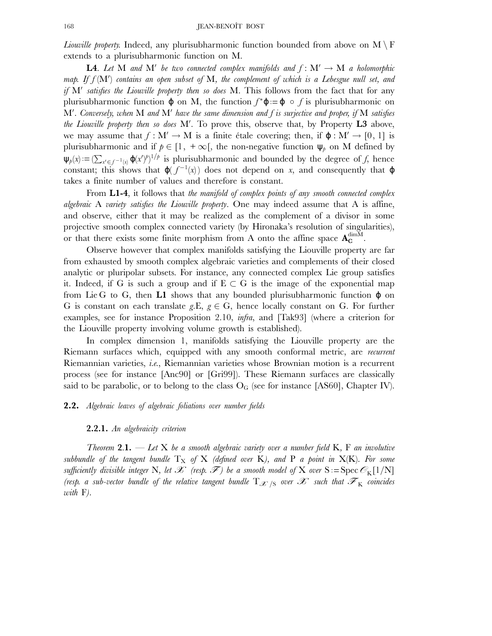*Liouville property.* Indeed, any plurisubharmonic function bounded from above on  $M \setminus F$ extends to a plurisubharmonic function on M.

**L4.** Let M and M' be two connected complex manifolds and  $f: M' \to M$  a holomorphic map. If  $f(\mathbf{M}')$  contains an open subset of  $\mathbf{M}$ , the complement of which is a Lebesgue null set, and *if* M' *satisfies the Liouville property then so does* M. This follows from the fact that for any plurisubharmonic function  $\phi$  on M, the function  $f^*\phi = \phi \circ f$  is plurisubharmonic on M'. Conversely, when M and M' have the same dimension and f is surjective and proper, if M satisfies the Liouville property then so does M'. To prove this, observe that, by Property L3 above, we may assume that  $f : M' \to M$  is a finite étale covering; then, if  $\varphi : M' \to [0, 1]$  is plurisubharmonic and if  $p \in [1, +\infty)$ , the non-negative function  $\Psi_p$  on M defined by  $\Psi_p(x) := (\sum_{x' \in f^{-1}(x)} \phi(x')^p)^{1/p}$  is plurisubharmonic and bounded by the degree of *f*, hence constant; this shows that  $\varphi(f^{-1}(x))$  does not depend on *x*, and consequently that  $\varphi$ takes a finite number of values and therefore is constant.

From **L1-4**, it follows that *the manifold of complex points of any smooth connected complex algebraic* A *variety satisfies the Liouville property*. One may indeed assume that A is affine, and observe, either that it may be realized as the complement of a divisor in some projective smooth complex connected variety (by Hironaka's resolution of singularities), or that there exists some finite morphism from A onto the affine space  $A_C^{\text{dim}M}$ .

Observe however that complex manifolds satisfying the Liouville property are far from exhausted by smooth complex algebraic varieties and complements of their closed analytic or pluripolar subsets. For instance, any connected complex Lie group satisfies it. Indeed, if G is such a group and if  $E \subset G$  is the image of the exponential map from Lie G to G, then **L1** shows that any bounded plurisubharmonic function  $\varphi$  on G is constant on each translate *g*.E,  $g \in G$ , hence locally constant on G. For further examples, see for instance Proposition 2.10, *infra*, and [Tak93] (where a criterion for the Liouville property involving volume growth is established).

In complex dimension 1, manifolds satisfying the Liouville property are the Riemann surfaces which, equipped with any smooth conformal metric, are *recurrent* Riemannian varieties, *i.e.*, Riemannian varieties whose Brownian motion is a recurrent process (see for instance [Anc90] or [Gri99]). These Riemann surfaces are classically said to be parabolic, or to belong to the class  $O<sub>G</sub>$  (see for instance [AS60], Chapter IV).

#### **2.2.** *Algebraic leaves of algebraic foliations over number fields*

#### **2.2.1.** *An algebraicity criterion*

*Theorem* **2**.**1.** *— Let* X *be a smooth algebraic variety over a number field* K*,* F *an involutive subbundle of the tangent bundle*  $T_X$  *of* X *(defined over* K*)*, and P *a point in* X(K). For some *sufficiently divisible integer* N, let  $\mathscr X$  (resp.  $\mathscr F$ ) be a smooth model of X over  $S := Spec \mathscr O_K[1/N]$ *(resp. a sub-vector bundle of the relative tangent bundle*  $T_{\mathscr{X}}$  /s *over*  $\mathscr{X}$  *such that*  $\mathscr{F}_K$  *coincides with* F*).*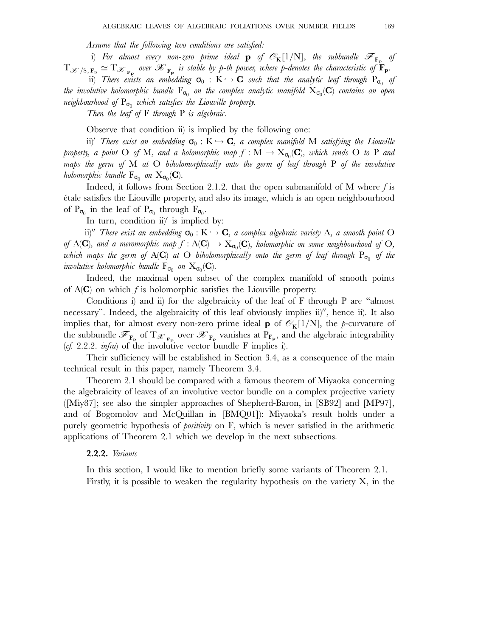*Assume that the following two conditions are satisfied:*

i) For almost every non-zero prime ideal **p** of  $\mathcal{O}_K[1/N]$ , the subbundle  $\mathcal{F}_{F_p}$  of  $T_{\mathscr{X}}/s$ ,  $_{\mathbf{F}_{\mathbf{p}}} \simeq T_{\mathscr{X}} \underset{\mathbf{F}_{\mathbf{p}}}{\times}$  *over*  $\mathscr{X}_{\mathbf{F}_{\mathbf{p}}}$  *is stable by p-th power, where p-denotes the characteristic of*  $\mathbf{F}_{\mathbf{p}}$ *.* 

ii) There exists an embedding  $\sigma_0$  :  $\mathrm{K} \rightarrow \mathbf{C}$  such that the analytic leaf through  $\mathrm{P}_{\sigma_0}$  of *the involutive holomorphic bundle*  $F_{\sigma_0}$  *on the complex analytic manifold*  $X_{\sigma_0}(C)$  *contains an open neighbourhood of*  $P_{\sigma_0}$  *which satisfies the Liouville property.* 

*Then the leaf of* F *through* P *is algebraic.*

Observe that condition ii) is implied by the following one:

ii)' There exist an embedding  $\sigma_0 : K \hookrightarrow \mathbf{C}$ , a complex manifold  $M$  satisfying the Liouville *property, a point*  $O$  *of* M*, and a holomorphic map f* :  $M \rightarrow X_{\sigma_0}(C)$ *, which sends*  $O$  *to* P *and maps the germ of* M *at* O *biholomorphically onto the germ of leaf through* P *of the involutive holomorphic bundle*  $F_{\sigma_0}$  *on*  $X_{\sigma_0}(\mathbf{C})$ *.* 

Indeed, it follows from Section 2.1.2. that the open submanifold of M where *f* is étale satisfies the Liouville property, and also its image, which is an open neighbourhood of  $P_{\sigma_0}$  in the leaf of  $P_{\sigma_0}$  through  $F_{\sigma_0}$ .

In turn, condition ii)<sup> $\prime$ </sup> is implied by:

ii)" There exist an embedding  $\sigma_0: K \hookrightarrow \mathbf{C}$ , a complex algebraic variety  $A$ , a smooth point  $O$ *of* A(**C**)*, and a meromorphic map f* : A(**C**)  $\rightarrow$   $X_{\sigma_0}$ (**C**)*, holomorphic on some neighbourhood of* O*, which maps the germ of*  $A(G)$  *at* O *biholomorphically onto the germ of leaf through*  $P_{\sigma_0}$  *of the involutive holomorphic bundle*  $F_{\sigma_0}$  *on*  $X_{\sigma_0}(\mathbf{C})$ *.* 

Indeed, the maximal open subset of the complex manifold of smooth points of A(**C**) on which *f* is holomorphic satisfies the Liouville property.

Conditions i) and ii) for the algebraicity of the leaf of F through P are "almost necessary". Indeed, the algebraicity of this leaf obviously implies ii)", hence ii). It also implies that, for almost every non-zero prime ideal **p** of  $\mathcal{O}_K[1/N]$ , the *p*-curvature of the subbundle  $\mathscr{F}_{\mathbf{F}_{\mathbf{p}}}$  of  $T_{\mathscr{X}_{\mathbf{F}_{\mathbf{p}}}}$  over  $\mathscr{X}_{\mathbf{F}_{\mathbf{p}}}$  vanishes at  $P_{\mathbf{F}_{\mathbf{p}}}$ , and the algebraic integrability (*cf.* 2.2.2. *infra*) of the involutive vector bundle F implies i).

Their sufficiency will be established in Section 3.4, as a consequence of the main technical result in this paper, namely Theorem 3.4.

Theorem 2.1 should be compared with a famous theorem of Miyaoka concerning the algebraicity of leaves of an involutive vector bundle on a complex projective variety ([Miy87]; see also the simpler approaches of Shepherd-Baron, in [SB92] and [MP97], and of Bogomolov and McQuillan in [BMQ01]): Miyaoka's result holds under a purely geometric hypothesis of *positivity* on F, which is never satisfied in the arithmetic applications of Theorem 2.1 which we develop in the next subsections.

#### **2.2.2.** *Variants*

In this section, I would like to mention briefly some variants of Theorem 2.1. Firstly, it is possible to weaken the regularity hypothesis on the variety X, in the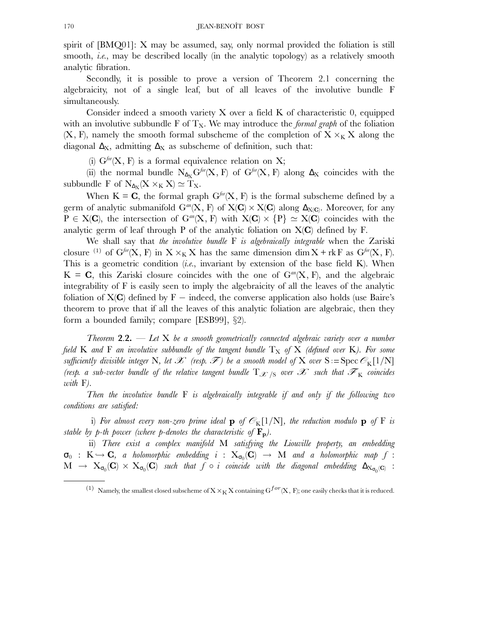spirit of [BMQ01]: X may be assumed, say, only normal provided the foliation is still smooth, *i.e.*, may be described locally (in the analytic topology) as a relatively smooth analytic fibration.

Secondly, it is possible to prove a version of Theorem 2.1 concerning the algebraicity, not of a single leaf, but of all leaves of the involutive bundle F simultaneously.

Consider indeed a smooth variety X over a field K of characteristic 0, equipped with an involutive subbundle F of  $T_X$ . We may introduce the *formal graph* of the foliation  $(X, F)$ , namely the smooth formal subscheme of the completion of  $X \times_K X$  along the diagonal  $\Delta_X$ , admitting  $\Delta_X$  as subscheme of definition, such that:

(i)  $G<sup>for</sup>(X, F)$  is a formal equivalence relation on X;

(ii) the normal bundle  $N_{\Delta_X}G^{for}(X, F)$  of  $G^{for}(X, F)$  along  $\Delta_X$  coincides with the subbundle F of  $N_{\Delta_X}(X \times_K X) \simeq T_X$ .

When  $K = C$ , the formal graph  $G^{for}(X, F)$  is the formal subscheme defined by a germ of analytic submanifold  $G^{an}(X, F)$  of  $X(G) \times X(G)$  along  $\Delta_{X(G)}$ . Moreover, for any  $P \in X(\mathbb{C})$ , the intersection of  $G^{an}(X, F)$  with  $X(\mathbb{C}) \times \{P\} \simeq X(\mathbb{C})$  coincides with the analytic germ of leaf through P of the analytic foliation on  $X(\mathbb{C})$  defined by F.

We shall say that *the involutive bundle* F *is algebraically integrable* when the Zariski closure <sup>(1)</sup> of  $G^{for}(X, F)$  in  $X \times_K X$  has the same dimension dim  $X + \text{rk } F$  as  $G^{for}(X, F)$ . This is a geometric condition (*i.e.*, invariant by extension of the base field K). When  $K = C$ , this Zariski closure coincides with the one of  $G^{an}(X, F)$ , and the algebraic integrability of F is easily seen to imply the algebraicity of all the leaves of the analytic foliation of  $X(\mathbf{C})$  defined by F – indeed, the converse application also holds (use Baire's theorem to prove that if all the leaves of this analytic foliation are algebraic, then they form a bounded family; compare [ESB99], §2).

*Theorem* **2**.**2.** *— Let* X *be a smooth geometrically connected algebraic variety over a number field* K *and* F *an involutive subbundle of the tangent bundle*  $T_X$  *of* X *(defined over* K*). For some sufficiently divisible integer* N, let  $\mathscr{X}$  (resp.  $\mathscr{F}$ ) be a smooth model of X over  $S := Spec \mathscr{O}_K[1/N]$ *(resp. a sub-vector bundle of the relative tangent bundle*  $T_{\mathcal{X}}$  /s *over*  $\mathcal{X}$  *such that*  $\mathcal{F}_K$  *coincides with* F*).*

*Then the involutive bundle* F *is algebraically integrable if and only if the following two conditions are satisfied:*

i) For almost every non-zero prime ideal  $\mathbf{p}$  of  $\mathcal{O}_K[1/N]$ , the reduction modulo  $\mathbf{p}$  of F is *stable by p-th power (where p-denotes the characteristic of*  $\mathbf{F}_p$ ).

ii) *There exist a complex manifold* M *satisfying the Liouville property, an embedding*  $\sigma_0$  :  $\mathrm{K} \hookrightarrow \mathbf{C}$ *, a holomorphic embedding i* :  $\mathrm{X}_{\sigma_0}(\mathbf{C})$   $\rightarrow$   $\mathrm{M}$  *and a holomorphic map f* :  $M \rightarrow X_{\sigma_0}(C) \times X_{\sigma_0}(C)$  *such that*  $f \circ i$  *coincide with the diagonal embedding*  $\Delta_{X_{\sigma_0}(C)}$ :

<sup>(1)</sup> Namely, the smallest closed subscheme of  $X \times_K X$  containing  $G^{for}(X, F)$ ; one easily checks that it is reduced.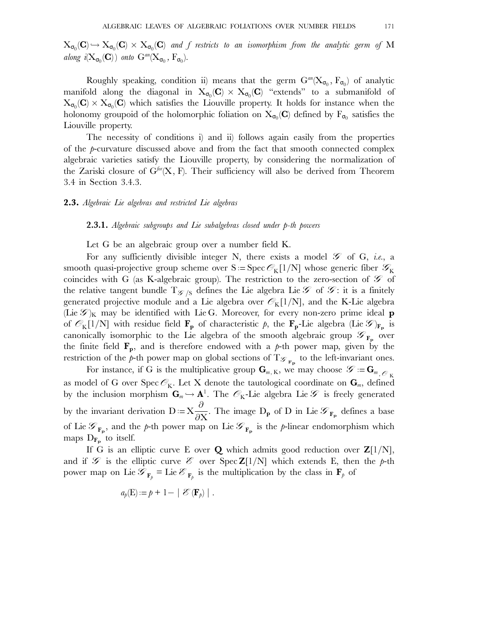$X_{\sigma_0}(\mathbf C)\hookrightarrow X_{\sigma_0}(\mathbf C)\times X_{\sigma_0}(\mathbf C)$  and  $f$  restricts to an isomorphism from the analytic germ of  $\mathbf M$ *along*  $i(X_{\sigma_0}(\mathbf{C}))$  *onto*  $G^{an}(X_{\sigma_0}, F_{\sigma_0})$ *.* 

Roughly speaking, condition ii) means that the germ  $G^{an}(X_{\sigma_0}, F_{\sigma_0})$  of analytic manifold along the diagonal in  $X_{\sigma_0}(C) \times X_{\sigma_0}(C)$  "extends" to a submanifold of  $X_{\sigma_0}(C) \times X_{\sigma_0}(C)$  which satisfies the Liouville property. It holds for instance when the holonomy groupoid of the holomorphic foliation on  $X_{\sigma_0}(C)$  defined by  $F_{\sigma_0}$  satisfies the Liouville property.

The necessity of conditions i) and ii) follows again easily from the properties of the *p*-curvature discussed above and from the fact that smooth connected complex algebraic varieties satisfy the Liouville property, by considering the normalization of the Zariski closure of  $G<sup>for</sup>(X, F)$ . Their sufficiency will also be derived from Theorem 3.4 in Section 3.4.3.

#### **2.3.** *Algebraic Lie algebras and restricted Lie algebras*

#### **2.3.1.** *Algebraic subgroups and Lie subalgebras closed under p-th powers*

Let G be an algebraic group over a number field K.

For any sufficiently divisible integer N, there exists a model *G* of G, *i.e.*, a smooth quasi-projective group scheme over  $S := \text{Spec } \mathcal{O}_K[1/N]$  whose generic fiber  $\mathcal{S}_K$ coincides with G (as K-algebraic group). The restriction to the zero-section of *G* of the relative tangent bundle  $T_{\mathscr{G}/S}$  defines the Lie algebra Lie  $\mathscr{G}$  of  $\mathscr{G}$ : it is a finitely generated projective module and a Lie algebra over  $\mathcal{O}_K[1/N]$ , and the K-Lie algebra (Lie  $\mathscr{G}_k$  may be identified with Lie G. Moreover, for every non-zero prime ideal **p** of  $\mathcal{O}_K[1/N]$  with residue field  $\mathbf{F}_p$  of characteristic p, the  $\mathbf{F}_p$ -Lie algebra (Lie  $\mathcal{G}_{\vert \mathbf{F}_p}$  is canonically isomorphic to the Lie algebra of the smooth algebraic group  $\mathcal{G}_{\mathbf{F}_{\mathbf{p}}}$  over the finite field  $\mathbf{F}_{\mathbf{p}}$ , and is therefore endowed with a  $p$ -th power map, given by the restriction of the *p*-th power map on global sections of  $T_{\mathscr{S}_{F_p}}$  to the left-invariant ones.

For instance, if G is the multiplicative group  $\mathbf{G}_{m,K}$ , we may choose  $\mathcal{G} := \mathbf{G}_{m}$   $\otimes_{K}$ as model of G over Spec  $\mathcal{O}_K$ . Let X denote the tautological coordinate on  $\mathbf{G}_m$ , defined by the inclusion morphism  $G_m \hookrightarrow A^1$ . The  $\mathscr{O}_K$ -Lie algebra Lie  $\mathscr{G}$  is freely generated by the invariant derivation  $D := X \frac{\partial}{\partial X}$ . The image  $D_p$  of D in Lie  $\mathscr{S}_{F_p}$  defines a base of Lie  $\mathscr{S}_{F_p}$ , and the *p*-th power map on Lie  $\mathscr{S}_{F_p}$  is the *p*-linear endomorphism which maps  $D_{\mathbf{F_p}}$  to itself.

If G is an elliptic curve E over **Q** which admits good reduction over  $\mathbb{Z}[1/N]$ , and if *G* is the elliptic curve *E* over Spec **Z**[1/N] which extends E, then the *p*-th power map on Lie  $\mathcal{F}_{\mathbf{F}_p} = \text{Lie } \mathcal{E}_{\mathbf{F}_p}$  is the multiplication by the class in  $\mathbf{F}_p$  of

$$
a_p(\mathbf{E}) := p + 1 - |\mathcal{E}(\mathbf{F}_p)|.
$$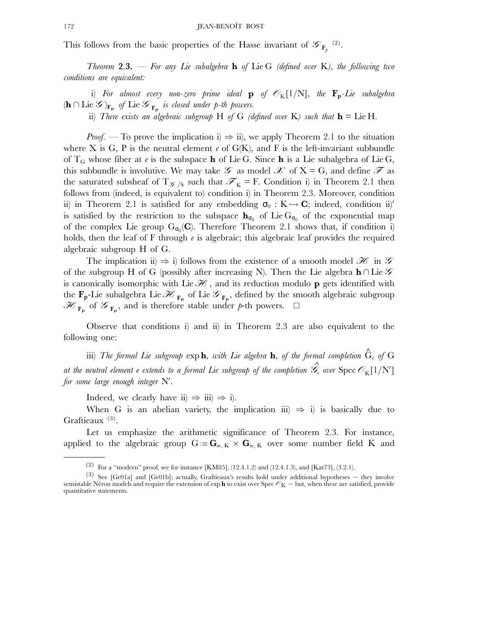This follows from the basic properties of the Hasse invariant of  $\mathscr{S}_{\mathbf{F}_{p}}^{(2)}$ .

*Theorem* **2**.**3.** *— For any Lie subalgebra* **h** *of* Lie G *(defined over* K*), the following two conditions are equivalent:*

i) For almost every non-zero prime ideal  $\mathbf{p}$  of  $\mathcal{O}_K[1/N]$ , the  $\mathbf{F_p}\text{-Lie}$  subalgebra  $(\mathbf{h} ∩ \text{Lie } \mathcal{G})_{\mathbf{F}_{\mathbf{p}}}$  *of* Lie  $\mathcal{G}_{\mathbf{F}_{\mathbf{p}}}$  *is closed under p-th powers.* 

ii) *There exists an algebraic subgroup* H *of* G *(defined over* K*) such that* **h** = Lie H*.*

*Proof.* — To prove the implication i)  $\Rightarrow$  ii), we apply Theorem 2.1 to the situation where X is G, P is the neutral element  $\ell$  of G(K), and F is the left-invariant subbundle of  $T<sub>G</sub>$  whose fiber at *e* is the subspace **h** of Lie G. Since **h** is a Lie subalgebra of Lie G, this subbundle is involutive. We may take  $\mathcal G$  as model  $\mathcal X$  of  $X = G$ , and define  $\mathcal F$  as the saturated subsheaf of  $T_g/s$  such that  $\mathcal{F}_K = F$ . Condition i) in Theorem 2.1 then follows from (indeed, is equivalent to) condition i) in Theorem 2.3. Moreover, condition ii) in Theorem 2.1 is satisfied for any embedding  $\sigma_0 : K \rightarrow \mathbf{C}$ ; indeed, condition ii)<sup> $\prime$ </sup> is satisfied by the restriction to the subspace  $h_{\sigma_0}$  of Lie G<sub> $\sigma_0$ </sub> of the exponential map of the complex Lie group  $G_{\sigma_0}(C)$ . Therefore Theorem 2.1 shows that, if condition i) holds, then the leaf of F through *e* is algebraic; this algebraic leaf provides the required algebraic subgroup H of G.

The implication ii)  $\Rightarrow$  i) follows from the existence of a smooth model  $\mathcal{H}$  in  $\mathcal G$ of the subgroup H of G (possibly after increasing N). Then the Lie algebra **h** ∩ Lie *G* is canonically isomorphic with Lie*H* , and its reduction modulo **p** gets identified with the  $\mathbf{F_p}$ -Lie subalgebra Lie  $\mathcal{H}_{\mathbf{F_p}}$  of Lie  $\mathcal{G}_{\mathbf{F_p}}$ , defined by the smooth algebraic subgroup  $\mathscr{H}_{\mathbf{F}_{\mathbf{p}}}$  of  $\mathscr{G}_{\mathbf{F}_{\mathbf{p}}},$  and is therefore stable under *p*-th powers.  $\square$ 

Observe that conditions i) and ii) in Theorem 2.3 are also equivalent to the following one:

iii) The formal Lie subgroup  $\exp \mathbf{h}$ *, with Lie algebra*  $\mathbf{h}$ *, of the formal completion*  $\hat{G}_{e}$  of  $G$  $a$ t the neutral element e extends to a formal Lie subgroup of the completion  $\hat{\mathscr{L}}_{e}$  over  $\mathrm{Spec}\,\mathscr{O}_{\mathrm{K}}[1/\mathrm{N}']$ for some large enough integer N'.

Indeed, we clearly have ii)  $\Rightarrow$  iii)  $\Rightarrow$  i).

When G is an abelian variety, the implication iii)  $\Rightarrow$  i) is basically due to Graftieaux (3).

Let us emphasize the arithmetic significance of Theorem 2.3. For instance, applied to the algebraic group  $G := G_{m,K} \times G_{m,K}$  over some number field K and

<sup>(2)</sup> For a "modern" proof, see for instance [KM85], (12.4.1.2) and (12.4.1.3), and [Kat73], (3.2.1).

<sup>(3)</sup> See [Gr01a] and [Gr01b]; actually, Graftieaux's results hold under additional hypotheses <sup>−</sup> they involve semistable Néron models and require the extension of exp **h** to exist over Spec *⊘*<sub>K</sub> − but, when these are satisfied, provide quantitative statements.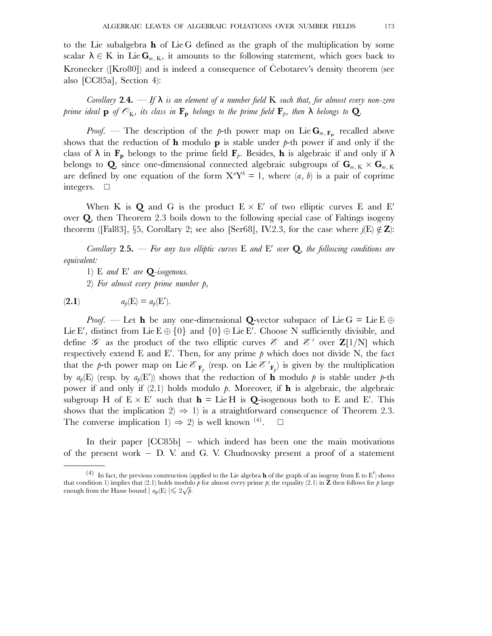to the Lie subalgebra **h** of Lie G defined as the graph of the multiplication by some scalar  $\lambda \in K$  in Lie  $G_{m,K}$ , it amounts to the following statement, which goes back to Kronecker ( $[Kr080]$ ) and is indeed a consequence of Cebotarev's density theorem (see also [CC85a], Section 4):

*Corollary* **2**.**4.** *— If* λ *is an element of a number field* K *such that, for almost every non-zero prime ideal*  $\bf{p}$  *of*  $\mathcal{O}_K$ *, its class in*  $\bf{F}_p$  *belongs to the prime field*  $\bf{F}_p$ *, then*  $\lambda$  *belongs to*  $\bf{Q}$ *.* 

*Proof.* — The description of the *p*-th power map on Lie  $\mathbf{G}_{m,F_p}$  recalled above shows that the reduction of **h** modulo **p** is stable under  $p$ -th power if and only if the class of  $\lambda$  in  $\mathbf{F}_p$  belongs to the prime field  $\mathbf{F}_p$ . Besides, **h** is algebraic if and only if  $\lambda$ belongs to **Q**, since one-dimensional connected algebraic subgroups of  $\mathbf{G}_{m,K} \times \mathbf{G}_{m,K}$ are defined by one equation of the form  $X^a Y^b = 1$ , where  $(a, b)$  is a pair of coprime integers.  $\square$ 

When K is **Q** and G is the product  $E \times E'$  of two elliptic curves E and E' over **Q**, then Theorem 2.3 boils down to the following special case of Faltings isogeny theorem ([Fal83], §5, Corollary 2; see also [Ser68], IV.2.3, for the case where  $j(E) \notin \mathbb{Z}$ ):

*Corollary* 2.5. — For any two elliptic curves  $E$  and  $E'$  over  $Q$ , the following conditions are *equivalent:*

1) E and E' are  $Q$ -isogenous.

2) *For almost every prime number p,*

$$
(2.1) \t\t\t a_p(E) = a_p(E').
$$

*Proof.* — Let **h** be any one-dimensional **Q**-vector subspace of Lie G = Lie E  $\oplus$ Lie E', distinct from Lie  $E \oplus \{0\}$  and  $\{0\} \oplus$  Lie E'. Choose N sufficiently divisible, and define *G* as the product of the two elliptic curves *E* and  $\mathscr{E}'$  over  $\mathbb{Z}[1/N]$  which respectively extend E and E'. Then, for any prime  $p$  which does not divide N, the fact that the *p*-th power map on Lie  $\mathcal{E}_{\mathbf{F}_p}$  (resp. on Lie  $\mathcal{E'}_{\mathbf{F}_p}$ ) is given by the multiplication by  $a_p(E)$  (resp. by  $a_p(E')$ ) shows that the reduction of **h** modulo p is stable under p-th power if and only if (2.1) holds modulo *p*. Moreover, if **h** is algebraic, the algebraic subgroup H of  $E \times E'$  such that  $h = Lie H$  is **Q**-isogenous both to E and E'. This shows that the implication  $2 \Rightarrow 1$ ) is a straightforward consequence of Theorem 2.3. The converse implication 1)  $\Rightarrow$  2) is well known <sup>(4)</sup>.  $\square$ 

In their paper [CC85b] − which indeed has been one the main motivations of the present work − D. V. and G. V. Chudnovsky present a proof of a statement

<sup>&</sup>lt;sup>(4)</sup> In fact, the previous construction (applied to the Lie algebra **h** of the graph of an isogeny from E to E') shows that condition 1) implies that (2.1) holds modulo  $\bar{p}$  for almost every prime  $p$ ; the equality (2.1) in  $\bar{z}$  then follows for  $p$  large enough from the Hasse bound  $| \ a_p(E) | \leq 2\sqrt{p}$ .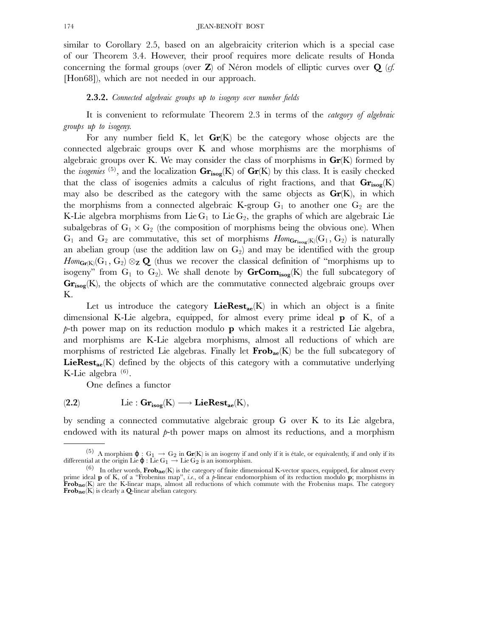similar to Corollary 2.5, based on an algebraicity criterion which is a special case of our Theorem 3.4. However, their proof requires more delicate results of Honda concerning the formal groups (over **Z**) of Néron models of elliptic curves over **Q** (*cf.* [Hon68]), which are not needed in our approach.

#### **2.3.2.** *Connected algebraic groups up to isogeny over number fields*

It is convenient to reformulate Theorem 2.3 in terms of the *category of algebraic groups up to isogeny.*

For any number field K, let **Gr**(K) be the category whose objects are the connected algebraic groups over K and whose morphisms are the morphisms of algebraic groups over K. We may consider the class of morphisms in **Gr**(K) formed by the *isogenies* <sup>(5)</sup>, and the localization  $\mathbf{Gr}_{\text{isog}}(K)$  of  $\mathbf{Gr}(K)$  by this class. It is easily checked that the class of isogenies admits a calculus of right fractions, and that  $\mathbf{Gr}_{\mathbf{iso}g}(K)$ may also be described as the category with the same objects as **Gr**(K), in which the morphisms from a connected algebraic K-group  $G_1$  to another one  $G_2$  are the K-Lie algebra morphisms from Lie  $G_1$  to Lie  $G_2$ , the graphs of which are algebraic Lie subalgebras of  $G_1 \times G_2$  (the composition of morphisms being the obvious one). When  $G_1$  and  $G_2$  are commutative, this set of morphisms  $Hom_{\mathbf{Gr}_{\mathbf{isog}}(K)}(G_1, G_2)$  is naturally an abelian group (use the addition law on  $G_2$ ) and may be identified with the group  $Hom_{\mathbf{Gr}(\mathbb{K})}(\mathbb{G}_1, \mathbb{G}_2) \otimes_{\mathbb{Z}} \mathbb{Q}$  (thus we recover the classical definition of "morphisms up to isogeny" from  $G_1$  to  $G_2$ ). We shall denote by  $\mathbf{GrCom}_{\mathbf{isog}}(K)$  the full subcategory of Gr<sub>isog</sub>(K), the objects of which are the commutative connected algebraic groups over K.

Let us introduce the category **LieRest<sub>ae</sub>**(K) in which an object is a finite dimensional K-Lie algebra, equipped, for almost every prime ideal **p** of K, of a *p*-th power map on its reduction modulo **p** which makes it a restricted Lie algebra, and morphisms are K-Lie algebra morphisms, almost all reductions of which are morphisms of restricted Lie algebras. Finally let  $\textbf{Frob}_{ae}(K)$  be the full subcategory of **LieRest<sub>ae</sub>**(K) defined by the objects of this category with a commutative underlying K-Lie algebra  $(6)$ .

One defines a functor

$$
(2.2) \qquad \qquad \mathrm{Lie} : \mathbf{Gr}_{\mathbf{isog}}(K) \longrightarrow \mathbf{LieRest}_{\mathbf{ae}}(K),
$$

by sending a connected commutative algebraic group G over K to its Lie algebra, endowed with its natural *p*-th power maps on almost its reductions, and a morphism

<sup>(5)</sup> A morphism  $\varphi : G_1 \to G_2$  in  $\mathbf{Gr}(K)$  is an isogeny if and only if it is étale, or equivalently, if and only if its differential at the origin Lie  $\varphi :$  Lie  $G_1 \to$  Lie  $G_2$  is an isomorphism.

<sup>(6)</sup> In other words, **Frobae**(K) is the category of finite dimensional K-vector spaces, equipped, for almost every prime ideal **p** of K, of a "Frobenius map", *i.e.*, of a *p*-linear endomorphism of its reduction modulo **p**; morphisms in **Frobae**(K) are the K-linear maps, almost all reductions of which commute with the Frobenius maps. The category **Frob<sub>ae</sub>** $(K)$  is clearly a **Q**-linear abelian category.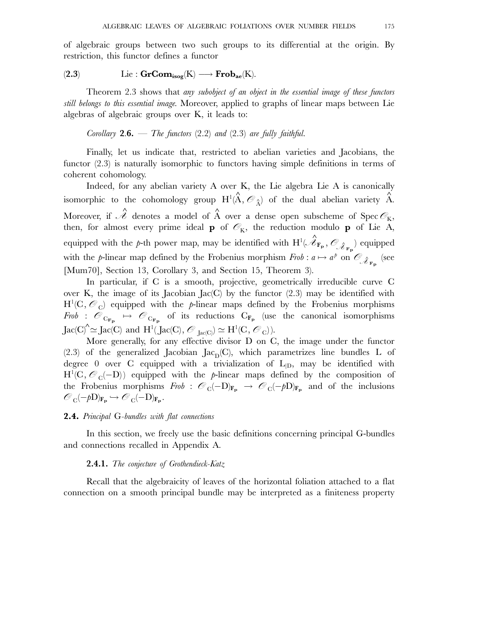of algebraic groups between two such groups to its differential at the origin. By restriction, this functor defines a functor

## $(2.3)$  Lie :  $\mathbf{GrCom}_{\mathbf{isog}}(K) \longrightarrow \mathbf{Frob}_{\mathbf{ae}}(K)$ .

Theorem 2.3 shows that *any subobject of an object in the essential image of these functors still belongs to this essential image.* Moreover, applied to graphs of linear maps between Lie algebras of algebraic groups over K, it leads to:

## *Corollary* **2**.**6.** *— The functors* (2.2) *and* (2.3) *are fully faithful.*

Finally, let us indicate that, restricted to abelian varieties and Jacobians, the functor (2.3) is naturally isomorphic to functors having simple definitions in terms of coherent cohomology.

Indeed, for any abelian variety A over K, the Lie algebra Lie A is canonically isomorphic to the cohomology group  $H^1(\hat{A}, \mathcal{O}_{\hat{A}})$  of the dual abelian variety  $\hat{A}$ . Moreover, if  $\hat{\mathscr{A}}$  denotes a model of  $\hat{A}$  over a dense open subscheme of  $\operatorname{Spec} \mathscr{O}_{\mathrm{K}},$ then, for almost every prime ideal **p** of  $\mathcal{O}_K$ , the reduction modulo **p** of Lie A, equipped with the *p*-th power map, may be identified with  $H^1(\hat{\mathscr{A}}_{\mathbf{F}_{\mathbf{p}}}, \mathscr{O}_{\hat{\mathscr{A}}_{\mathbf{F}_{\mathbf{p}}}})$  equipped with the *p*-linear map defined by the Frobenius morphism  $Frob: a \mapsto a^p$  on  $\mathcal{O}_{\hat{\mathcal{A}}_{\mathbf{F}_{\mathbf{p}}}}$  (see [Mum70], Section 13, Corollary 3, and Section 15, Theorem 3).

In particular, if C is a smooth, projective, geometrically irreducible curve C over K, the image of its Jacobian Jac(C) by the functor  $(2.3)$  may be identified with  $H^1(C, \mathcal{O}_C)$  equipped with the *p*-linear maps defined by the Frobenius morphisms *Frob* :  $\mathcal{O}_{C_{\mathbf{F}_{\mathbf{p}}}} \mapsto \mathcal{O}_{C_{\mathbf{F}_{\mathbf{p}}}}$  of its reductions  $C_{\mathbf{F}_{\mathbf{p}}}$  (use the canonical isomorphisms  $Jac(C)^{\wedge} \simeq Jac(C)$  and  $H^1(Jac(C), \mathcal{O}_{lac(C)}) \simeq H^1(C, \mathcal{O}_C)).$ 

More generally, for any effective divisor D on C, the image under the functor (2.3) of the generalized Jacobian Jac<sub>D</sub>(C), which parametrizes line bundles L of degree 0 over C equipped with a trivialization of  $L_{|D}$ , may be identified with H<sup>1</sup>(C,  $\mathcal{O}_C(-D)$ ) equipped with the *p*-linear maps defined by the composition of the Frobenius morphisms  $Frob : \mathcal{O}_C(-D)_{F_p} \rightarrow \mathcal{O}_C(-pD)_{F_p}$  and of the inclusions  $\mathscr{O}_{\mathbf{C}}(-p\mathbf{D})_{\mathbf{F}_{\mathbf{P}}}\hookrightarrow\mathscr{O}_{\mathbf{C}}(-\mathbf{D})_{\mathbf{F}_{\mathbf{P}}}.$ 

#### **2.4.** *Principal* G*-bundles with flat connections*

In this section, we freely use the basic definitions concerning principal G-bundles and connections recalled in Appendix A.

#### **2.4.1.** *The conjecture of Grothendieck-Katz*

Recall that the algebraicity of leaves of the horizontal foliation attached to a flat connection on a smooth principal bundle may be interpreted as a finiteness property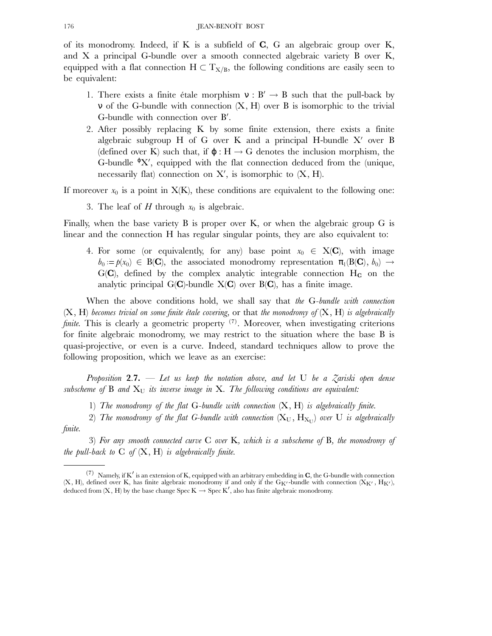of its monodromy. Indeed, if K is a subfield of **C**, G an algebraic group over K, and X a principal G-bundle over a smooth connected algebraic variety B over K, equipped with a flat connection  $H \subset T_{X/B}$ , the following conditions are easily seen to be equivalent:

- 1. There exists a finite étale morphism  $v : B' \rightarrow B$  such that the pull-back by v of the G-bundle with connection  $(X, H)$  over B is isomorphic to the trivial G-bundle with connection over B'.
- 2. After possibly replacing K by some finite extension, there exists a finite algebraic subgroup H of G over K and a principal H-bundle  $X'$  over B (defined over K) such that, if  $\varphi : H \to G$  denotes the inclusion morphism, the G-bundle  $\mathcal{X}'$ , equipped with the flat connection deduced from the (unique, necessarily flat) connection on  $X'$ , is isomorphic to  $(X, H)$ .

If moreover  $x_0$  is a point in  $X(K)$ , these conditions are equivalent to the following one:

3. The leaf of  $H$  through  $x_0$  is algebraic.

Finally, when the base variety B is proper over K, or when the algebraic group G is linear and the connection H has regular singular points, they are also equivalent to:

4. For some (or equivalently, for any) base point  $x_0 \in X(\mathbb{C})$ , with image  $b_0 := p(x_0) \in B(C)$ , the associated monodromy representation  $\pi_1(B(C), b_0) \rightarrow$  $G(C)$ , defined by the complex analytic integrable connection  $H_C$  on the analytic principal  $G(C)$ -bundle  $X(C)$  over  $B(C)$ , has a finite image.

When the above conditions hold, we shall say that *the* G*-bundle with connection* (X, H) *becomes trivial on some finite étale covering,* or that *the monodromy of* (X, H) *is algebraically finite.* This is clearly a geometric property <sup>(7)</sup>. Moreover, when investigating criterions for finite algebraic monodromy, we may restrict to the situation where the base B is quasi-projective, or even is a curve. Indeed, standard techniques allow to prove the following proposition, which we leave as an exercise:

*Proposition* **2**.**7.** *— Let us keep the notation above, and let* U *be a Zariski open dense subscheme of* B *and* XU *its inverse image in* X*. The following conditions are equivalent:*

- 1) *The monodromy of the flat* G*-bundle with connection* (X, H) *is algebraically finite.*
- 2) *The monodromy of the flat G-bundle with connection*  $(X_U, H_{X_U})$  *over* U *is algebraically finite.*

3) *For any smooth connected curve* C *over* K*, which is a subscheme of* B*, the monodromy of the pull-back to* C *of* (X, H) *is algebraically finite.*

<sup>(7)</sup> Namely, if  $K'$  is an extension of K, equipped with an arbitrary embedding in **C**, the G-bundle with connection  $(X, H)$ , defined over K, has finite algebraic monodromy if and only if the G<sub>K</sub> $\prime$ -bundle with connection  $(X_{K'}, H_{K'})$ , deduced from (X, H) by the base change  $\mathrm{Spec}\, K \to \mathrm{Spec}\, K',$  also has finite algebraic monodromy.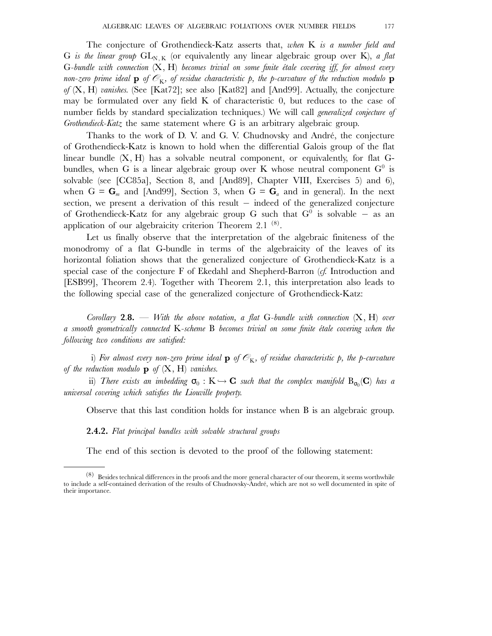The conjecture of Grothendieck-Katz asserts that, *when* K *is a number field and* G *is the linear group*  $GL_{N,K}$  (or equivalently any linear algebraic group over K), *a flat* G*-bundle with connection* (X, H) *becomes trivial on some finite étale covering iff, for almost every non-zero prime ideal*  $p$  *of*  $\mathcal{O}_K$ *, of residue characteristic p, the p-curvature of the reduction modulo*  $p$ *of* (X, H) *vanishes.* (See [Kat72]; see also [Kat82] and [And99]. Actually, the conjecture may be formulated over any field K of characteristic 0, but reduces to the case of number fields by standard specialization techniques.) We will call *generalized conjecture of Grothendieck-Katz* the same statement where G is an arbitrary algebraic group.

Thanks to the work of D. V. and G. V. Chudnovsky and André, the conjecture of Grothendieck-Katz is known to hold when the differential Galois group of the flat linear bundle  $(X, H)$  has a solvable neutral component, or equivalently, for flat  $G$ bundles, when G is a linear algebraic group over K whose neutral component  $G^0$  is solvable (see [CC85a], Section 8, and [And89], Chapter VIII, Exercises 5) and 6), when  $G = G_m$  and [And99], Section 3, when  $G = G_a$  and in general). In the next section, we present a derivation of this result − indeed of the generalized conjecture of Grothendieck-Katz for any algebraic group G such that  $G^0$  is solvable – as an application of our algebraicity criterion Theorem 2.1 <sup>(8)</sup>.

Let us finally observe that the interpretation of the algebraic finiteness of the monodromy of a flat G-bundle in terms of the algebraicity of the leaves of its horizontal foliation shows that the generalized conjecture of Grothendieck-Katz is a special case of the conjecture F of Ekedahl and Shepherd-Barron (*cf.* Introduction and [ESB99], Theorem 2.4). Together with Theorem 2.1, this interpretation also leads to the following special case of the generalized conjecture of Grothendieck-Katz:

*Corollary* **2**.**8.** *— With the above notation, a flat* G*-bundle with connection* (X, H) *over a smooth geometrically connected* K*-scheme* B *becomes trivial on some finite étale covering when the following two conditions are satisfied:*

i) For almost every non-zero prime ideal  $\mathbf{p}$  of  $\mathcal{O}_K$ , of residue characteristic p, the p-curvature *of the reduction modulo* **p** *of* (X, H) *vanishes.*

ii) There exists an imbedding  $\sigma_0$  :  $K \hookrightarrow \mathbf{C}$  such that the complex manifold  $\mathrm{B}_{\sigma_0}(\mathbf{C})$  has a *universal covering which satisfies the Liouville property.*

Observe that this last condition holds for instance when B is an algebraic group.

**2.4.2.** *Flat principal bundles with solvable structural groups*

The end of this section is devoted to the proof of the following statement:

<sup>(8)</sup> Besides technical differences in the proofs and the more general character of our theorem, it seems worthwhile to include a self-contained derivation of the results of Chudnovsky-André, which are not so well documented in spite of their importance.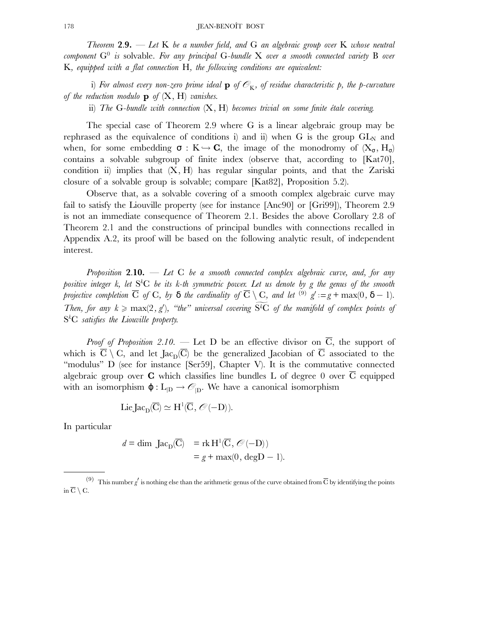*Theorem* **2**.**9.** *— Let* K *be a number field, and* G *an algebraic group over* K *whose neutral component* G0 *is* solvable*. For any principal* G*-bundle* X *over a smooth connected variety* B *over* K*, equipped with a flat connection* H*, the following conditions are equivalent:*

i) For almost every non-zero prime ideal  $\mathbf{p}$  of  $\mathcal{O}_K$ , of residue characteristic p, the p-curvature *of the reduction modulo* **p** *of* (X, H) *vanishes.*

ii) *The* G*-bundle with connection* (X, H) *becomes trivial on some finite étale covering.*

The special case of Theorem 2.9 where G is a linear algebraic group may be rephrased as the equivalence of conditions i) and ii) when G is the group  $GL_N$  and when, for some embedding  $\sigma : K \rightarrow \mathbb{C}$ , the image of the monodromy of  $(X_{\sigma}, H_{\sigma})$ contains a solvable subgroup of finite index (observe that, according to [Kat70], condition ii) implies that  $(X, H)$  has regular singular points, and that the Zariski closure of a solvable group is solvable; compare [Kat82], Proposition 5.2).

Observe that, as a solvable covering of a smooth complex algebraic curve may fail to satisfy the Liouville property (see for instance [Anc90] or [Gri99]), Theorem 2.9 is not an immediate consequence of Theorem 2.1. Besides the above Corollary 2.8 of Theorem 2.1 and the constructions of principal bundles with connections recalled in Appendix A.2, its proof will be based on the following analytic result, of independent interest.

*Proposition* **2**.**10.** *— Let* C *be a smooth connected complex algebraic curve, and, for any positive integer k, let* S*<sup>k</sup>* C *be its k-th symmetric power. Let us denote by g the genus of the smooth projective completion*  $\overline{C}$  *of*  $C$ *, by*  $\delta$  *the cardinality of*  $\overline{C} \setminus C$ *, and let* <sup>(9)</sup>  $g' := g + \max(0, \delta - 1)$ *. Then, for any*  $k \ge \max(2, g')$ *, "the" universal covering* S<sup>k</sup>C *of the manifold of complex points of* S*k* C *satisfies the Liouville property.*

*Proof of Proposition 2.10.* — Let D be an effective divisor on  $\overline{C}$ , the support of which is  $\overline{C} \setminus C$ , and let  $Jac_n(\overline{C})$  be the generalized Jacobian of  $\overline{C}$  associated to the "modulus" D (see for instance [Ser59], Chapter V). It is the commutative connected algebraic group over **C** which classifies line bundles L of degree 0 over C equipped with an isomorphism  $\varphi: L_{|D} \to \mathcal{O}_{|D}$ . We have a canonical isomorphism

$$
LieJac_{D}(\overline{C})\simeq H^{1}(\overline{C}, \mathcal{O}(-D)).
$$

In particular

$$
d = \dim \text{Jac}_{D}(\overline{C}) = \text{rk } H^{1}(\overline{C}, \mathcal{O}(-D))
$$

$$
= g + \max(0, \text{deg}D - 1)
$$

<sup>&</sup>lt;sup>(9)</sup> This number  $g'$  is nothing else than the arithmetic genus of the curve obtained from  $\overline{C}$  by identifying the points in  $\overline{C} \setminus C$ .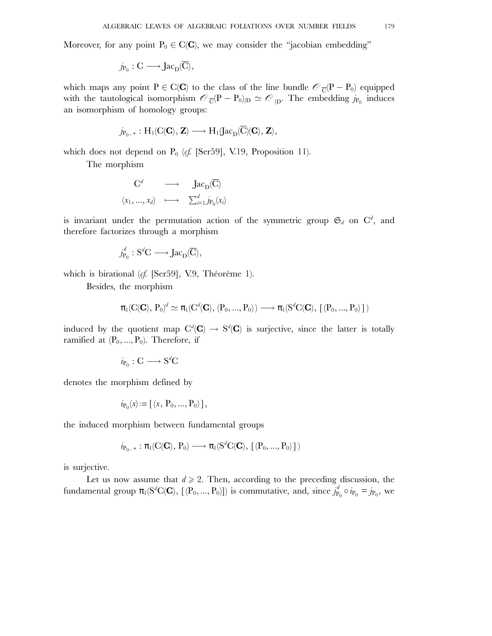Moreover, for any point  $P_0 \in C(C)$ , we may consider the "jacobian embedding"

$$
j_{P_0}: C \longrightarrow Jac_D(\overline{C}),
$$

which maps any point  $P \in C(C)$  to the class of the line bundle  $\mathcal{O}_{\overline{C}}(P - P_0)$  equipped with the tautological isomorphism  $\mathcal{O}_{\overline{C}}(P - P_0)_{|D} \simeq \mathcal{O}_{|D}$ . The embedding  $j_{P_0}$  induces an isomorphism of homology groups:

$$
j_{P_0,*}: H_1(C(\mathbf{C}), \mathbf{Z}) \longrightarrow H_1(Jac_D(\overline{C})(\mathbf{C}), \mathbf{Z}),
$$

which does not depend on  $P_0$  (*cf.* [Ser59], V.19, Proposition 11).

The morphism

$$
\begin{array}{ccc}\nC^d & \longrightarrow & \text{Jac}_{\text{D}}(\overline{\text{C}}) \\
(x_1, ..., x_d) & \longmapsto & \sum_{i=1}^d j_{P_0}(x_i)\n\end{array}
$$

is invariant under the permutation action of the symmetric group  $\mathfrak{S}_d$  on  $\mathbb{C}^d$ , and therefore factorizes through a morphism

$$
j_{P_0}^d : S^dC \longrightarrow Jac_D(\overline{C}),
$$

which is birational (*cf.* [Ser59], V.9, Théorème 1).

Besides, the morphism

$$
\pi_1(C(\boldsymbol{C}),\,P_0)^d \simeq \pi_1(C^d(\boldsymbol{C}),\,(P_0,...,P_0)) \longrightarrow \pi_1(S^dC(\boldsymbol{C}),\,[\,(P_0,...,P_0)\,]\,)
$$

induced by the quotient map  $C^d(G) \to S^d(G)$  is surjective, since the latter is totally ramified at  $(P_0, ..., P_0)$ . Therefore, if

$$
i_{P_0}: C \longrightarrow S^dC
$$

denotes the morphism defined by

$$
i_{P_0}(x) := [(x, P_0, ..., P_0)],
$$

the induced morphism between fundamental groups

$$
\mathit{i}_{P_0,\,*}:\pi_1(C(\pmb{C}),\,P_0)\longrightarrow \pi_1(S^dC(\pmb{C}),\,[\,(P_0,...,P_0)\,]\,)
$$

is surjective.

Let us now assume that  $d \geq 2$ . Then, according to the preceding discussion, the fundamental group  $\pi_1(S^d C(C), [P_0, ..., P_0])$  is commutative, and, since  $j_{P_0}^d \circ i_{P_0} = j_{P_0}$ , we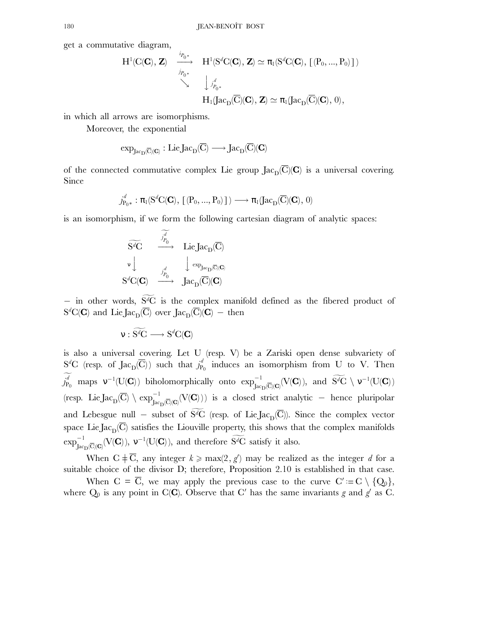get a commutative diagram,

$$
\begin{array}{ccc} H^{1}(C(\textbf{C}), \textbf{Z}) & \xrightarrow{\textit{ip}_{0^{*}}} & H^{1}(S^{d}C(\textbf{C}), \textbf{Z}) \simeq \pi_{1}(S^{d}C(\textbf{C}), \, \left[\, (P_{0},...,P_{0})\,\right]) \\ & \searrow & \downarrow \textit{j}_{\textit{p}_{0^{*}}}^{d} \\ & H_{1}(Jac_{D}(\overline{C})(\textbf{C}), \, \textbf{Z}) \simeq \pi_{1}(Jac_{D}(\overline{C})(\textbf{C}), \, 0), \end{array}
$$

in which all arrows are isomorphisms.

Moreover, the exponential

$$
\mathrm{exp}_{\mathrm{Jac}_{\mathrm{D}}(\overline{\mathrm{C}})(\mathbf{C})} : \mathrm{Lie} \mathrm{Jac}_{\mathrm{D}}(\overline{\mathrm{C}}) \longrightarrow \mathrm{Jac}_{\mathrm{D}}(\overline{\mathrm{C}})(\mathbf{C})
$$

of the connected commutative complex Lie group  $Jac_D(\overline{C})(C)$  is a universal covering. Since

$$
j_{P_0*}^d : \pi_1(S^d C(\mathbf{C}), [ (P_0, ..., P_0) ] ) \longrightarrow \pi_1(Jac_D(\overline{C})(\mathbf{C}), 0)
$$

is an isomorphism, if we form the following cartesian diagram of analytic spaces:

$$
\begin{array}{ccc}\n\widetilde{S^{d}C} & \xrightarrow{j_{P_{0}}^{d}} & \operatorname{LieJac}_{D}(\overline{C}) \\
\downarrow \vee & & \downarrow \operatorname{exp}_{\operatorname{Jac}_{D}(\overline{C})(\mathbf{C})} \\
S^{d}C(\mathbf{C}) & \xrightarrow{j_{P_{0}}^{d}} & \operatorname{Jac}_{D}(\overline{C})(\mathbf{C})\n\end{array}
$$

− in other words, S <sup>g</sup>*<sup>d</sup>*C is the complex manifold defined as the fibered product of  $S^d C(C)$  and Lie Jac<sub>D</sub>( $\overline{C}$ ) over Jac<sub>D</sub>( $\overline{C}$ )( $\bf{C}$ ) – then

$$
\nu: S^dC \longrightarrow S^dC(\mathbf{C})
$$

is also a universal covering. Let U (resp. V) be a Zariski open dense subvariety of  $S^{d}C$  (resp. of  $Jac_{D}(\overline{C})$ ) such that  $j_{P_{0}}^{d}$  induces an isomorphism from U to V. Then  $f_{P_0}^d$  maps  $v^{-1}(U(C))$  biholomorphically onto  $\exp_{Jac_D(\overline{C})(C)}^{-1}(V(C))$ , and  $\widetilde{S^dC} \setminus v^{-1}(U(C))$  $(\text{resp. LieJac}_{D}(\overline{C})\setminus \text{exp}^{-1}_{\text{Jac}_{D}(\overline{C})(C)}(V(C)))$  is a closed strict analytic – hence pluripolar and Lebesgue null − subset of S<sup>d</sup>C (resp. of Lie Jac<sub>D</sub>(<del>C</del>)). Since the complex vector space Lie Jac<sub>D</sub>( $\overline{C}$ ) satisfies the Liouville property, this shows that the complex manifolds  $\exp_{\mathrm{Jac}_D(\overline{\mathbf{C}})(\mathbf{C})}^{-1}(V(\mathbf{C})), \ v^{-1}(U(\mathbf{C})), \text{ and therefore } \widetilde{S^dC} \text{ satisfy it also.}$ 

When  $C \neq \overline{C}$ , any integer  $k \ge \max(2, g')$  may be realized as the integer *d* for a suitable choice of the divisor D; therefore, Proposition 2.10 is established in that case.

When  $C = \overline{C}$ , we may apply the previous case to the curve  $C' := C \setminus \{Q_0\}$ , where  $Q_0$  is any point in C( $C$ ). Observe that C' has the same invariants *g* and *g*' as C.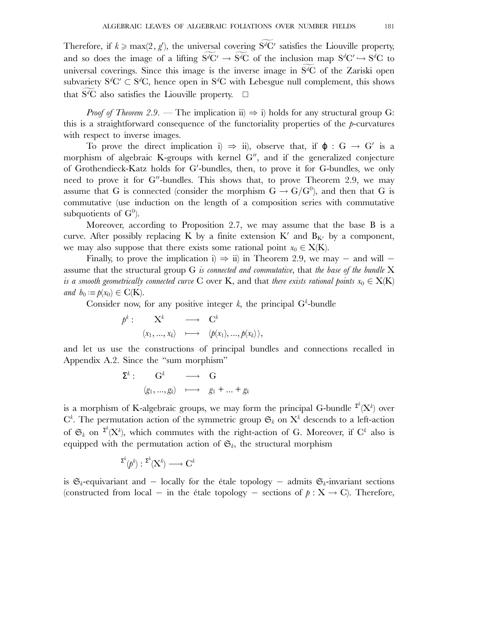Therefore, if  $k \ge \max(2, g')$ , the universal covering S<sup>*d*</sup>C' satisfies the Liouville property, and so does the image of a lifting  $S^dC' \to S^dC$  of the inclusion map  $S^dC' \to S^dC$  to universal coverings. Since this image is the inverse image in S<sup>d</sup>C of the Zariski open subvariety  $S^{d}C' \subset S^{d}C$ , hence open in  $S^{d}C$  with Lebesgue null complement, this shows that  $S^dC$  also satisfies the Liouville property.  $\Box$ 

*Proof of Theorem 2.9.* — The implication ii)  $\Rightarrow$  i) holds for any structural group G: this is a straightforward consequence of the functoriality properties of the *p*-curvatures with respect to inverse images.

To prove the direct implication i)  $\Rightarrow$  ii), observe that, if  $\varphi : G \rightarrow G'$  is a morphism of algebraic K-groups with kernel  $G''$ , and if the generalized conjecture of Grothendieck-Katz holds for G'-bundles, then, to prove it for G-bundles, we only need to prove it for  $G''$ -bundles. This shows that, to prove Theorem 2.9, we may assume that G is connected (consider the morphism  $G \to G/G^0$ ), and then that G is commutative (use induction on the length of a composition series with commutative subquotients of  $G^0$ ).

Moreover, according to Proposition 2.7, we may assume that the base B is a curve. After possibly replacing K by a finite extension K' and  $B_{K}$  by a component, we may also suppose that there exists some rational point  $x_0 \in X(K)$ .

Finally, to prove the implication i)  $\Rightarrow$  ii) in Theorem 2.9, we may – and will – assume that the structural group G *is connected and commutative*, that *the base of the bundle* X *is a smooth geometrically connected curve* C over K, and that *there exists rational points*  $x_0 \in X(K)$ *and*  $b_0 := p(x_0) \in C(K)$ .

Consider now, for any positive integer  $k$ , the principal  $G<sup>k</sup>$ -bundle

$$
\begin{array}{cccc}p^k: & X^k & \longrightarrow & \mathrm{C}^k\\ & & (x_1,...,x_k) & \longmapsto & (p(x_1),...,p(x_k)),\end{array}
$$

and let us use the constructions of principal bundles and connections recalled in Appendix A.2. Since the "sum morphism"

$$
\Sigma^{k} : \qquad G^{k} \qquad \longrightarrow \qquad G
$$

$$
\langle g_{1},...,g_{k} \rangle \qquad \longmapsto \qquad g_{1} + ... + g_{k}
$$

is a morphism of K-algebraic groups, we may form the principal G-bundle  $^{\Sigma^{k}}(\mathrm{X}^{k})$  over  $C^k$ . The permutation action of the symmetric group  $\mathfrak{S}_k$  on  $X^k$  descends to a left-action of  $\mathfrak{S}_k$  on  $\mathfrak{S}^k(\mathbf{X}^k)$ , which commutes with the right-action of G. Moreover, if  $\mathbf{C}^k$  also is equipped with the permutation action of  $\mathfrak{S}_k$ , the structural morphism

$$
^{\Sigma^{k}}(\!p^k):\!{}^{\Sigma^{k}}(\!\mathrm{\mathbf{X}}^k)\longrightarrow\mathrm{C}^k
$$

is  $\mathfrak{S}_k$ -equivariant and − locally for the étale topology − admits  $\mathfrak{S}_k$ -invariant sections (constructed from local – in the étale topology – sections of  $p : X \to C$ ). Therefore,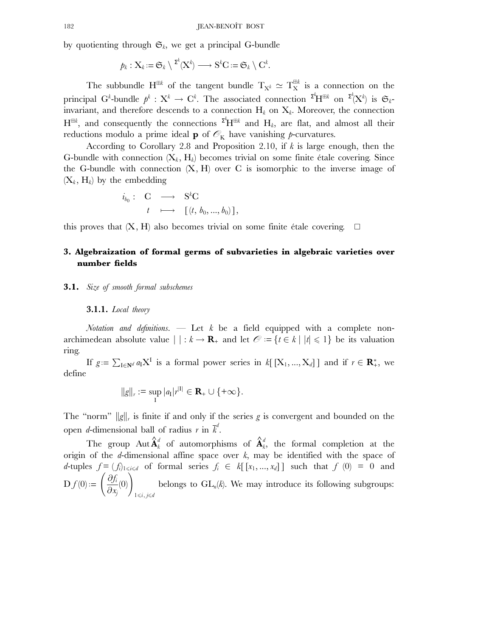by quotienting through  $\mathfrak{S}_k$ , we get a principal G-bundle

$$
p_k: \mathbf{X}_k := \mathfrak{S}_k \setminus {}^{\Sigma^k}(\mathbf{X}^k) \longrightarrow \mathbf{S}^k \mathbf{C} := \mathfrak{S}_k \setminus \mathbf{C}^k.
$$

The subbundle  $H^{\boxplus k}$  of the tangent bundle  $T_{X^k} \simeq T_X^{\boxplus k}$  is a connection on the  $p^k \colon X^k \to C^k$ . The associated connection  $\mathcal{E}^k H^{\boxplus k}$  on  $\mathcal{E}^k(X^k)$  is  $\mathfrak{S}_k$ invariant, and therefore descends to a connection  $H_k$  on  $X_k$ . Moreover, the connection  $H^{\oplus k}$ , and consequently the connections  $\Sigma^k H^{\oplus k}$  and  $H_k$ , are flat, and almost all their reductions modulo a prime ideal **p** of  $\mathcal{O}_K$  have vanishing *p*-curvatures.

According to Corollary 2.8 and Proposition 2.10, if *k* is large enough, then the G-bundle with connection  $(X_k, H_k)$  becomes trivial on some finite étale covering. Since the G-bundle with connection  $(X, H)$  over C is isomorphic to the inverse image of  $(X_k, H_k)$  by the embedding

$$
i_{b_0}: \begin{array}{ccc} C & \longrightarrow & S^k C \\ t & \longmapsto & \big[ (t, b_0, ..., b_0) \big], \end{array}
$$

this proves that  $(X, H)$  also becomes trivial on some finite étale covering.  $\Box$ 

## **3. Algebraization of formal germs of subvarieties in algebraic varieties over number fields**

## **3.1.** *Size of smooth formal subschemes*

#### **3.1.1.** *Local theory*

*Notation and definitions*. *—* Let *k* be a field equipped with a complete nonarchimedean absolute value  $| \cdot | : k \to \mathbf{R}_{+}$  and let  $\mathcal{O} := \{ t \in k \mid |t| \leq 1 \}$  be its valuation ring.

If  $g := \sum_{I \in \mathbb{N}^d} a_I X^I$  is a formal power series in  $k[[X_1, ..., X_d]]$  and if  $r \in \mathbb{R}_+^*$ , we define

$$
\|g\|_r:=\sup_{\mathrm{I}}|a_{\mathrm{I}}|r^{|{\mathrm{I}}|}\in\mathbf{R}_+\cup\{\pm\infty\}.
$$

The "norm"  $\|g\|_r$  is finite if and only if the series *g* is convergent and bounded on the open *d*-dimensional ball of radius *r* in  $\bar{k}^d$ .

The group  $\mathrm{Aut} \, \hat{\mathbf{A}}_k^d$  of automorphisms of  $\hat{\mathbf{A}}_k^d$ , the formal completion at the origin of the *d*-dimensional affine space over *k*, may be identified with the space of *d*-tuples  $f = (f_i)_{1 \le i \le d}$  of formal series  $f_i \in k[[x_1, ..., x_d]]$  such that  $f(0) = 0$  and  $D f(0) :=$ Ã ∂*fi* ∂*xj*  $(0)$ 16*i* , *j*6*d* belongs to GL*n*(*k*). We may introduce its following subgroups: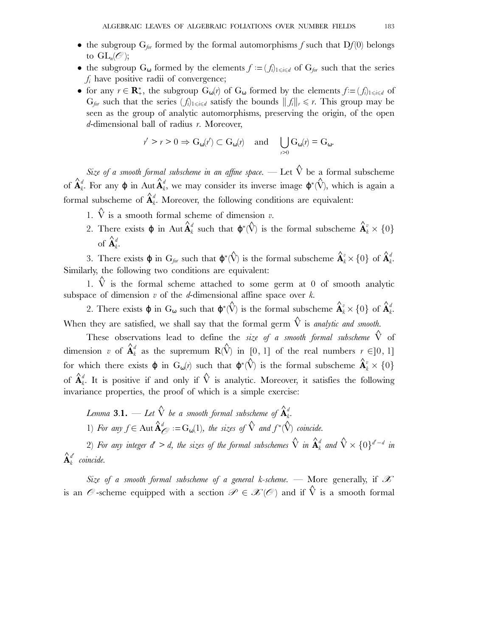- the subgroup  $G_{\hat{p}r}$  formed by the formal automorphisms f such that  $Df(0)$  belongs to  $GL_n(\mathcal{O})$ ;
- the subgroup  $G_{\omega}$  formed by the elements  $f := (f_i)_{1 \leq i \leq d}$  of  $G_{\text{for}}$  such that the series *fi* have positive radii of convergence;
- for any  $r \in \mathbb{R}^*_+$ , the subgroup  $G_{\omega}(r)$  of  $G_{\omega}$  formed by the elements  $f := (f_i)_{1 \leq i \leq d}$  of  $G_{\text{for}}$  such that the series  $(f_i)_{1\leq i\leq d}$  satisfy the bounds  $||f_i||_r \leq r$ . This group may be seen as the group of analytic automorphisms, preserving the origin, of the open *d*-dimensional ball of radius *r*. Moreover,

$$
r' > r > 0 \Rightarrow G_{\omega}(r') \subset G_{\omega}(r)
$$
 and  $\bigcup_{r>0} G_{\omega}(r) = G_{\omega}$ .

*Size of a smooth formal subscheme in an affine space*. — Let  $\hat{V}$  be a formal subscheme of  $\hat{\mathbf{A}}_k^d$ . For any  $\phi$  in Aut  $\hat{\mathbf{A}}_k^d$ , we may consider its inverse image  $\phi^*(\hat{\mathbf{V}})$ , which is again a formal subscheme of  $\hat{\mathbf{A}}_k^d$ . Moreover, the following conditions are equivalent:

- 1.  $\hat{V}$  is a smooth formal scheme of dimension *v*.
- 2. There exists  $\varphi$  in Aut  $\hat{\mathbf{A}}_k^d$  such that  $\varphi^*(\hat{\mathbf{V}})$  is the formal subscheme  $\hat{\mathbf{A}}_k^v \times \{0\}$ of  $\mathbf{\hat{A}}_k^d$ .

3. There exists  $\varphi$  in  $G_{\text{for}}$  such that  $\varphi^*(\hat{V})$  is the formal subscheme  $\hat{A}^v_k \times \{0\}$  of  $\hat{A}^d_k$ . Similarly, the following two conditions are equivalent:

1.  $\hat{V}$  is the formal scheme attached to some germ at 0 of smooth analytic subspace of dimension *v* of the *d*-dimensional affine space over *k*.

2. There exists  $\varphi$  in  $G_{\omega}$  such that  $\varphi^*(\hat{V})$  is the formal subscheme  $\hat{A}^v_k \times \{0\}$  of  $\hat{A}^d_k$ . When they are satisfied, we shall say that the formal germ  $\hat{\nabla}$  is *analytic and smooth*.

These observations lead to define the *size of a smooth formal subscheme*  $\hat{V}$  of dimension *v* of  $\hat{\mathbf{A}}_k^d$  as the supremum  $\mathbf{R}(\hat{\mathbf{V}})$  in [0, 1] of the real numbers  $r \in ]0, 1]$ for which there exists  $\varphi$  in  $G_{\omega}(r)$  such that  $\varphi^*(\hat{V})$  is the formal subscheme  $\hat{A}^v_k \times \{0\}$ of  $\hat{\mathbf{A}}_k^d$ . It is positive if and only if  $\hat{\hat{\mathbf{V}}}$  is analytic. Moreover, it satisfies the following invariance properties, the proof of which is a simple exercise:

Lemma 3.1. — Let 
$$
\hat{V}
$$
 be a smooth formal subscheme of  $\hat{A}_k^d$ .  
1) For any  $f \in \text{Aut } \hat{A}_{\mathcal{O}}^d := G_{\omega}(1)$ , the sizes of  $\hat{V}$  and  $f^*(\hat{V})$  coincide.  
2) For any integer  $d' > d$ , the sizes of the formal subschemes  $\hat{V}$  in  $\hat{A}_k^d$  and  $\hat{V} \times \{0\}^{d'-d}$  in

 $\mathbf{\hat{A}}^{d^{\prime}}_k$  *coincide.* 

*Size of a smooth formal subscheme of a general k-scheme*. *—* More generally, if *X* is an  $\mathscr O$ -scheme equipped with a section  $\mathscr P\in\mathscr X(\mathscr O)$  and if  $\hat V$  is a smooth formal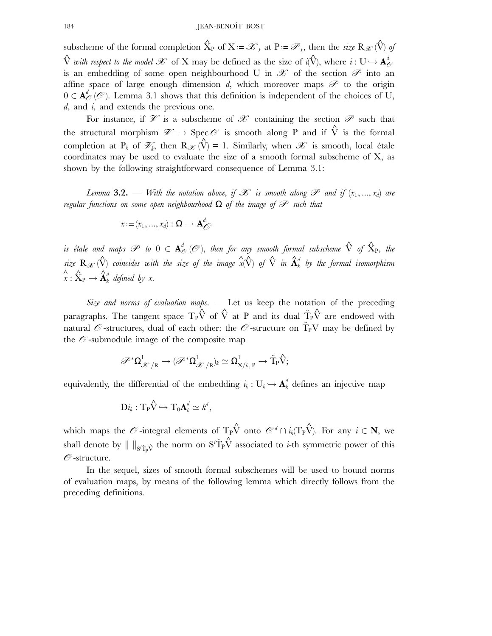subscheme of the formal completion  $\hat{X}_P$  of  $X := \mathscr{X}_k$  at  $P := \mathscr{P}_k$ , then the *size*  $R_{\mathscr{X}}(\hat{V})$  of  $\hat{V}$  *with respect to the model*  $\mathscr{X}$  of X may be defined as the size of *i*( $\hat{V}$ ), where *i* : U  $\hookrightarrow$   $\mathbf{A}^d_{\mathscr{C}}$ is an embedding of some open neighbourhood U in  $\mathscr X$  of the section  $\mathscr P$  into an affine space of large enough dimension  $d$ , which moreover maps  $\mathscr P$  to the origin  $0 \in \mathbf{A}_{\mathcal{O}}^{d}(\mathcal{O})$ . Lemma 3.1 shows that this definition is independent of the choices of U, *d*, and *i*, and extends the previous one.

For instance, if  $\mathscr V$  is a subscheme of  $\mathscr K$  containing the section  $\mathscr P$  such that the structural morphism  $\mathscr{V} \to \text{Spec } \mathscr{O}$  is smooth along P and if  $\hat{V}$  is the formal completion at P<sub>k</sub> of  $\mathscr{V}_k$ , then  $R_{\mathscr{X}}(\hat{V}) = 1$ . Similarly, when  $\mathscr{X}$  is smooth, local étale coordinates may be used to evaluate the size of a smooth formal subscheme of X, as shown by the following straightforward consequence of Lemma 3.1:

*Lemma* **3.2.** — With the notation above, if  $\mathcal{X}$  is smooth along  $\mathcal{P}$  and if  $(x_1, ..., x_d)$  are *regular functions on some open neighbourhood* Ω *of the image of P such that*

$$
x\!:=\!(x_1,...,x_d):\mathbf{\Omega}\to\mathbf{A}_{\mathscr{O}}^d
$$

 $i$ *s étale and maps*  $\mathscr P$  *to*  $0\in \mathbf{A}^d_{\mathscr O}({\mathscr O}),$  then for any smooth formal subscheme  $\hat{\mathrm V}$  of  $\hat{\mathrm X}_{\mathrm P},$  the  $size$   $\mathbf{R}_{\mathscr{X}}(\hat{\mathbf{V}})$  *coincides with the size of the image*  $\hat{\mathbf{x}}(\hat{\mathbf{V}})$  *of*  $\hat{\mathbf{V}}$  *in*  $\hat{\mathbf{A}}_k^d$  *by the formal isomorphism*  $\hat{\mathbf{x}}: \hat{\mathbf{X}}_{\text{P}} \rightarrow \hat{\mathbf{A}}_{k}^{d}$  defined by x.

*Size and norms of evaluation maps*. *—* Let us keep the notation of the preceding paragraphs. The tangent space  $\mathrm{T_P} \widehat{\mathrm{V}}$  of  $\widehat{\mathrm{V}}$  at P and its dual  $\check{\mathrm{T}_P} \widehat{\mathrm{V}}$  are endowed with natural  $\mathcal O$ -structures, dual of each other: the  $\mathcal O$ -structure on  $\check{T}_P V$  may be defined by the *O* -submodule image of the composite map

$$
\mathscr{P}^* \Omega^l_{\mathscr{X}/R} \to (\mathscr{P}^* \Omega^l_{\mathscr{X}/R})_k \simeq \Omega^l_{X/k,\,P} \to \check{T}_P \hat{V};
$$

equivalently, the differential of the embedding  $i_k: U_k \hookrightarrow \textbf{A}_k^d$  defines an injective map

$$
\mathrm{D}i_k: \mathrm{T}_{P}\hat{\mathrm{V}} \hookrightarrow \mathrm{T}_{0}\mathbf{A}_k^d \simeq k^d,
$$

which maps the  $\mathscr O$ -integral elements of  $T_P \hat V$  onto  $\mathscr O^d \cap i_k(T_P \hat V)$ . For any  $i \in \mathbb N$ , we shall denote by  $\| \ \|_{S^{\nu} \check{\mathrm{T}}_{\mathrm{P}} \hat{\mathrm{V}}}$  the norm on  $S^{\nu} \check{\mathrm{T}}_{\mathrm{P}} \hat{\mathrm{V}}$  associated to *i*-th symmetric power of this *O* -structure.

In the sequel, sizes of smooth formal subschemes will be used to bound norms of evaluation maps, by means of the following lemma which directly follows from the preceding definitions.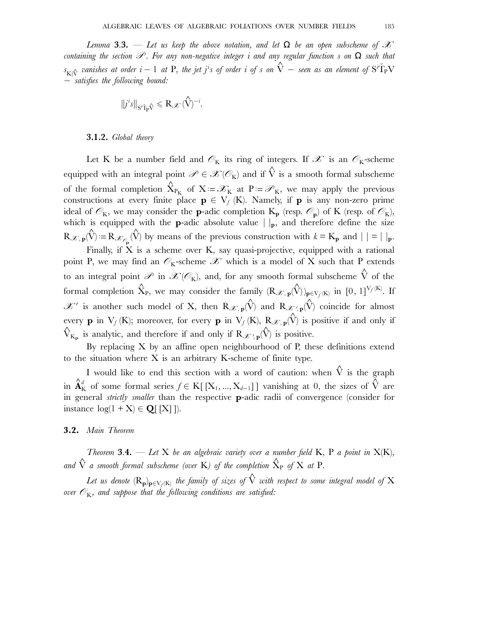*Lemma* **3.3.** — Let us keep the above notation, and let  $\Omega$  be an open subscheme of  $\mathscr X$ *containing the section P . For any non-negative integer i and any regular function s on* Ω *such that*  $s_{\rm K|\hat{V}}$  vanishes at order  $i-1$  at  ${\rm P},$  the jet j $^i$ s of order  $i$  of  $s$  on  $\hat{\rm V}$   $-$  seen as an element of  $\rm S^{i}\check{T}_{P}V$ − *satisfies the following bound:*

$$
\|j^{i}s\|_{S^{i}\tilde{T}_{P}\hat{V}}\leq R_{\mathscr{X}}(\hat{V})^{-i}.
$$

#### **3.1.2.** *Global theory*

Let K be a number field and  $\mathcal{O}_K$  its ring of integers. If  $\mathcal{X}$  is an  $\mathcal{O}_K$ -scheme equipped with an integral point  $\mathscr{P}\in\mathscr{X}(\mathscr{O}_{\mathrm{K}})$  and if  $\hat{\mathrm{V}}$  is a smooth formal subscheme of the formal completion  $\hat{X}_{P_K}$  of  $X := \mathscr{X}_K$  at  $P := \mathscr{P}_K$ , we may apply the previous constructions at every finite place  $p \in V_f(K)$ . Namely, if p is any non-zero prime ideal of  $\mathscr{O}_K$ , we may consider the **p**-adic completion  $K_p$  (resp.  $\mathscr{O}_p$ ) of K (resp. of  $\mathscr{O}_K$ ), which is equipped with the **p**-adic absolute value  $|\cdot|_p$ , and therefore define the size  $R_{\mathscr{X},\mathbf{p}}(\hat{\mathbf{V}}) := R_{\mathscr{X}_{\mathscr{O}_{\mathbf{p}}}}(\hat{\mathbf{V}})$  by means of the previous construction with  $k = \mathbf{K}_{\mathbf{p}}$  and  $| \cdot | = | \cdot |_{\mathbf{p}}$ .

Finally, if  $X$  is a scheme over  $K$ , say quasi-projective, equipped with a rational point P, we may find an  $\mathcal{O}_K$ -scheme  $\mathcal X$  which is a model of X such that P extends to an integral point  $\mathscr P$  in  $\mathscr X(\mathscr O_{\rm K})$ , and, for any smooth formal subscheme  $\hat{\rm V}$  of the formal completion  $\hat{\mathbf{X}}_P$ , we may consider the family  $(\mathbf{R}_{\mathscr{X}, \, \mathbf{p}}(\hat{\mathbf{V}}))_{\mathbf{p} \in \mathbf{V}_f(\mathbf{K})}$  in  $[0, 1]^{V_f(\mathbf{K})}$ . If  $\mathscr{X}'$  is another such model of X, then  $R_{\mathscr{X},\,\mathbf{p}}(V)$  and  $R_{\mathscr{X}',\,\mathbf{p}}(V)$  coincide for almost every **p** in  $V_f$  (K); moreover, for every **p** in  $V_f$  (K),  $R_{\mathscr{X}, p}(\hat{V})$  is positive if and only if  $\hat{V}_{K_p}$  is analytic, and therefore if and only if  $R_{\mathscr{X}',p}(\hat{V})$  is positive.

By replacing  $X$  by an affine open neighbourhood of  $P$ , these definitions extend to the situation where X is an arbitrary K-scheme of finite type.

I would like to end this section with a word of caution: when  $\hat{V}$  is the graph in  $\hat{\mathbf{A}}_K^d$  of some formal series  $f \in K[[\mathbf{X}_1, ..., \mathbf{X}_{d-1}]]$  vanishing at 0, the sizes of  $\hat{\mathbf{V}}$  are in general *strictly smaller* than the respective **p**-adic radii of convergence (consider for instance  $log(1 + X) \in \mathbf{Q}[\begin{bmatrix} X \end{bmatrix}]$ .

#### **3.2.** *Main Theorem*

*Theorem* **3**.**4.** *— Let* X *be an algebraic variety over a number field* K*,* P *a point in* X(K)*,* and  $\hat{\nabla}$  *a smooth formal subscheme (over* K*) of the completion*  $\hat{\textbf{X}}_{\textbf{P}}$  *of*  $\textbf{X}$  *at*  $\textbf{P}$ *.* 

Let us denote  $(\mathbf{R}_\mathbf{p})_{\mathbf{p}\in\mathrm{V}_f(\mathbf{K})}$  the family of sizes of  $\mathbf{\hat{V}}$  with respect to some integral model of  $\mathbf{X}$ *over*  $\mathcal{O}_K$ *, and suppose that the following conditions are satisfied:*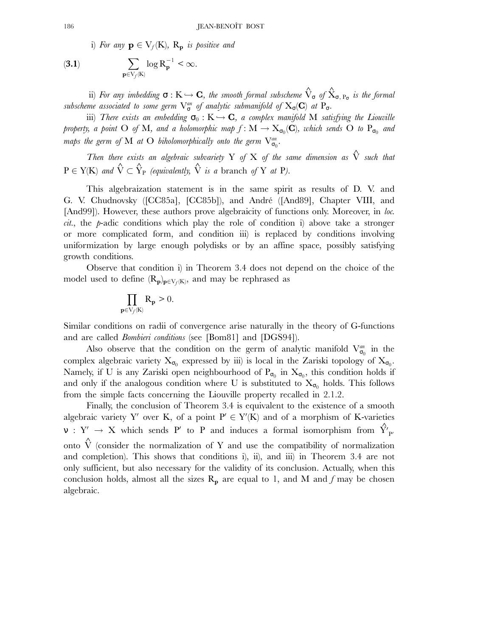i) For any  $p \in V_f(K)$ ,  $R_p$  *is positive and* 

(3.1) 
$$
\sum_{\mathbf{p}\in V_f(K)}\log R_{\mathbf{p}}^{-1} < \infty.
$$

ii) For any imbedding  $\sigma: K \hookrightarrow {\bf C}$ , the smooth formal subscheme  $\hat{V}_\sigma$  of  $\hat{X}_{\sigma,\;p_{\sigma}}$  is the formal subscheme associated to some germ  $V^{an}_{\sigma}$  of analytic submanifold of  $X_{\sigma}({\bf C})$  at  $P_{\sigma}$ .

iii) There exists an embedding  $\sigma_0: K \hookrightarrow \mathbf{C}$ , a complex manifold  $M$  satisfying the Liouville *property, a point*  $O$  *of*  $M$ *, and a holomorphic map*  $f : M \to X_{\sigma_0}(C)$ *, which sends*  $O$  *to*  $P_{\sigma_0}$  *and* maps the germ of  $M$  at  $O$  biholomorphically onto the germ  $V_{\sigma_0}^{an}$ .

*Then there exists an algebraic subvariety* <sup>Y</sup> *of* <sup>X</sup> *of the same dimension as* ^ V *such that*  $P \in Y(K)$  and  $\hat{V} \subset \hat{Y}_P$  (equivalently,  $\hat{V}$  *is a* branch of Y at P).

This algebraization statement is in the same spirit as results of D. V. and G. V. Chudnovsky ([CC85a], [CC85b]), and André ([And89], Chapter VIII, and [And99]). However, these authors prove algebraicity of functions only. Moreover, in *loc. cit.*, the *p*-adic conditions which play the role of condition i) above take a stronger or more complicated form, and condition iii) is replaced by conditions involving uniformization by large enough polydisks or by an affine space, possibly satisfying growth conditions.

Observe that condition i) in Theorem 3.4 does not depend on the choice of the model used to define  $(R_p)_{p \in V_f(K)}$ , and may be rephrased as

$$
\prod_{\mathbf{p}\in V_f(K)} R_{\mathbf{p}} > 0.
$$

Similar conditions on radii of convergence arise naturally in the theory of G-functions and are called *Bombieri conditions* (see [Bom81] and [DGS94]).

Also observe that the condition on the germ of analytic manifold  $V_{\sigma_0}^{an}$  in the complex algebraic variety  $X_{\sigma_0}$  expressed by iii) is local in the Zariski topology of  $X_{\sigma_0}$ . Namely, if U is any Zariski open neighbourhood of  $P_{\sigma_0}$  in  $X_{\sigma_0}$ , this condition holds if and only if the analogous condition where U is substituted to  $X_{\sigma_0}$  holds. This follows from the simple facts concerning the Liouville property recalled in 2.1.2.

Finally, the conclusion of Theorem 3.4 is equivalent to the existence of a smooth algebraic variety Y' over K, of a point  $P' \in Y'(K)$  and of a morphism of K-varieties  ${\tt v}~:~{\rm Y}^\prime~\to~{\rm X}~$  which sends  $\rm P^\prime$  to  $\rm P$  and induces a formal isomorphism from  $\hat{\rm Y^\prime_{P^\prime}}$ onto  $\hat{\mathrm{V}}$  (consider the normalization of Y and use the compatibility of normalization and completion). This shows that conditions i), ii), and iii) in Theorem 3.4 are not only sufficient, but also necessary for the validity of its conclusion. Actually, when this conclusion holds, almost all the sizes  $\mathbf{R}_{p}$  are equal to 1, and M and *f* may be chosen algebraic.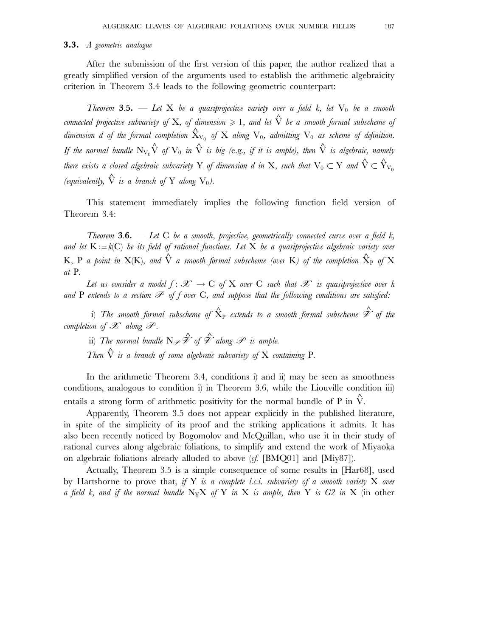#### **3.3.** *A geometric analogue*

After the submission of the first version of this paper, the author realized that a greatly simplified version of the arguments used to establish the arithmetic algebraicity criterion in Theorem 3.4 leads to the following geometric counterpart:

*Theorem* **3.5.**  $\mathcal{L} = Let X$  *be a quasiprojective variety over a field k, let*  $V_0$  *be a smooth*  $\emph{connected projective subvariety of $\mathbf{X}$, of dimension $\geqslant 1$, and let $\mathbf{\hat{V}}$ be a smooth formal subscheme of $\mathbf{\hat{V}}$ is a constant.}$ dimension  $d$  of the formal completion  $\hat{\textbf{X}}_{\text{V}_0}$  of  $\textbf{X}$  along  $\textbf{V}_0$ , admitting  $\textbf{V}_0$  as scheme of definition. If the normal bundle  ${\rm N}_{{\rm V}_0}\hat{\rm V}$  of  ${\rm V}_0$  in  $\hat{\rm V}$  is big (e.g., if it is ample), then  $\hat{\rm V}$  is algebraic, namely *there exists a closed algebraic subvariety*  $Y$  *of dimension d in*  $X$ *, such that*  $V_0\subset Y$  *and*  $\hat{V}\subset \hat{Y}_{V_0}$ (equivalently,  $\hat{V}$  *is a branch of* Y *along* V<sub>0</sub>).

This statement immediately implies the following function field version of Theorem 3.4:

*Theorem* **3**.**6.** *— Let* C *be a smooth, projective, geometrically connected curve over a field k, and let* K :*=k*(C) *be its field of rational functions. Let* X *be a quasiprojective algebraic variety over*  $K$ ,  $P$  *a point in*  $X(K)$ *, and*  $\hat{V}$  *a smooth formal subscheme (over*  $K$ *) of the completion*  $\hat{X}_P$  *of*  $X$ *at* P*.*

*Let us consider a model*  $f: \mathcal{X} \to \mathbb{C}$  of X over  $\mathbb{C}$  such that  $\mathcal{X}$  is quasiprojective over k *and* P *extends to a section P of f over* C*, and suppose that the following conditions are satisfied:*

i) The smooth formal subscheme of  $\hat{\textbf{X}}_\text{P}$  extends to a smooth formal subscheme  $\hat{\mathscr{V}}$  of the *completion of X along P .*

ii) The normal bundle  $\mathrm{N}_{\mathscr{P}}\hat{\mathscr{V}}$  of  $\hat{\mathscr{V}}$  along  $\mathscr{P}$  is ample.

*Then*  $\hat{V}$  *is a branch of some algebraic subvariety of*  $X$  *containing*  $P$ *.* 

In the arithmetic Theorem 3.4, conditions i) and ii) may be seen as smoothness conditions, analogous to condition i) in Theorem 3.6, while the Liouville condition iii) entails a strong form of arithmetic positivity for the normal bundle of P in  $\hat{V}$ .

Apparently, Theorem 3.5 does not appear explicitly in the published literature, in spite of the simplicity of its proof and the striking applications it admits. It has also been recently noticed by Bogomolov and McQuillan, who use it in their study of rational curves along algebraic foliations, to simplify and extend the work of Miyaoka on algebraic foliations already alluded to above (*cf.* [BMQ01] and [Miy87]).

Actually, Theorem 3.5 is a simple consequence of some results in [Har68], used by Hartshorne to prove that, *if* Y *is a complete l.c.i. subvariety of a smooth variety* X *over a field k, and if the normal bundle* NYX *of* Y *in* X *is ample, then* Y *is G2 in* X (in other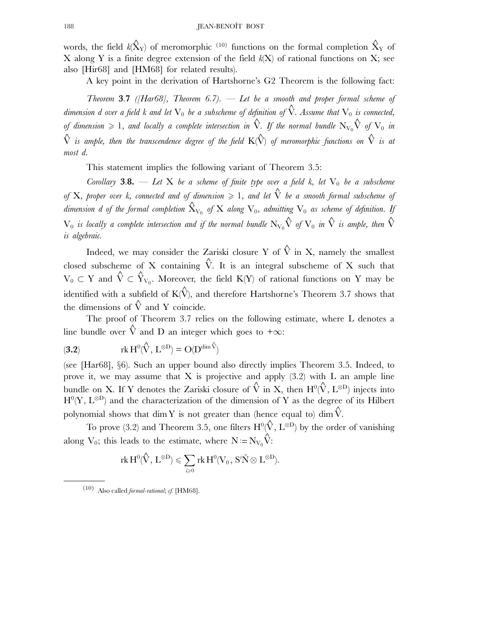words, the field  $k(\hat{\textbf{X}}_{\textbf{Y}})$  of meromorphic  $^{(10)}$  functions on the formal completion  $\hat{\textbf{X}}_{\textbf{Y}}$  of X along Y is a finite degree extension of the field *k*(X) of rational functions on X; see also [Hir68] and [HM68] for related results).

A key point in the derivation of Hartshorne's G2 Theorem is the following fact:

*Theorem* **3**.**7** *([Har68], Theorem 6.7). — Let be a smooth and proper formal scheme of* dimension  $d$  over a field  $k$  and let  $\rm V_{0}$  be a subscheme of definition of  $\hat{\rm V}.$  Assume that  $\rm V_{0}$  is connected, of dimension  $\geqslant 1,$  and locally a complete intersection in  $\hat{\nabla}.$  If the normal bundle  ${\rm N}_{{\rm V}_0}\hat{\nabla}$  of  ${\rm V}_0$  in  $\hat{\nabla}$  *is ample, then the transcendence degree of the field*  $\text{K}(\hat{\text{V}})$  *of meromorphic functions on*  $\hat{\text{V}}$  *is at most d.*

This statement implies the following variant of Theorem 3.5:

*Corollary* **3.8.**  $\cdots$  *Let* X *be a scheme of finite type over a field k, let*  $V_0$  *be a subscheme* of  $X$ *, proper over k, connected and of dimension*  $\geqslant 1$ *, and let*  $\hat{\nabla}$  *be a smooth formal subscheme of* dimension  $d$  of the formal completion  $\hat{\textbf{X}}_{\text{V}_0}$  of  $\textbf{X}$  along  $\text{V}_0$ , admitting  $\text{V}_0$  as scheme of definition. If  $\rm V_0$  *is locally a complete intersection and if the normal bundle*  $\rm N_{V_0}\hat{\rm V}$  *of*  $\rm V_0$  *in*  $\hat{\rm V}$  *is ample, then*  $\hat{\rm V}$ *is algebraic.*

Indeed, we may consider the Zariski closure Y of  $\hat{V}$  in X, namely the smallest closed subscheme of X containing  $\hat{V}$ . It is an integral subscheme of X such that  $V_0 \subset Y$  and  $\hat{V} \subset \hat{Y}_{V_0}$ . Moreover, the field K(Y) of rational functions on Y may be identified with a subfield of  $\hat{K}(\hat{V})$ , and therefore Hartshorne's Theorem 3.7 shows that the dimensions of  $\hat{V}$  and Y coincide.

The proof of Theorem 3.7 relies on the following estimate, where L denotes a line bundle over  $\hat{V}$  and D an integer which goes to + $\infty$ :

(3.2) 
$$
\operatorname{rk} H^0(\hat{V}, L^{\otimes D}) = O(D^{\dim \hat{V}})
$$

(see [Har68], §6). Such an upper bound also directly implies Theorem 3.5. Indeed, to prove it, we may assume that  $X$  is projective and apply  $(3.2)$  with  $L$  an ample line bundle on X. If Y denotes the Zariski closure of  $\hat{V}$  in X, then  $H^0(\hat{V}, L^{\otimes D})$  injects into  $H^{0}(Y, L^{\otimes D})$  and the characterization of the dimension of Y as the degree of its Hilbert polynomial shows that dim Y is not greater than (hence equal to) dim  $\hat{V}$ .

To prove (3.2) and Theorem 3.5, one filters  $H^0(\hat{V}, L^{\otimes D})$  by the order of vanishing along  $V_0$ ; this leads to the estimate, where  $N := N_{V_0}\hat{V}$ :

$$
\operatorname{rk} H^0(\widehat{V},\,L^{\otimes D}) \leqslant \sum_{i \geqslant 0} \operatorname{rk} H^0(V_0,\,S^i \check{N} \otimes L^{\otimes D}).
$$

<sup>(10)</sup> Also called *formal-rational*; *cf.* [HM68].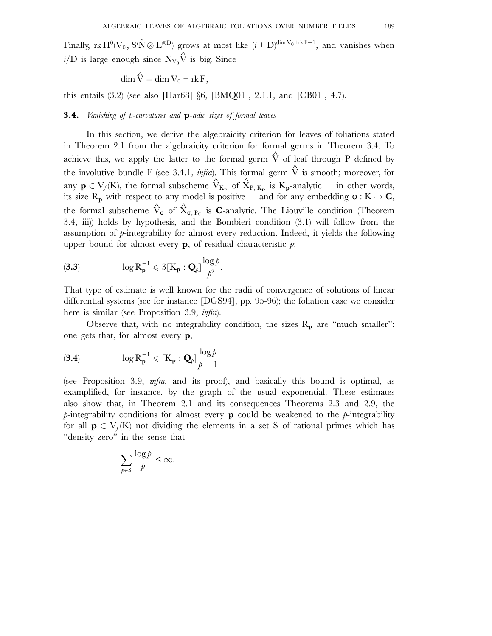Finally, rk H<sup>0</sup>(V<sub>0</sub>, S<sup>*i*</sup>N<sup>o</sup> L<sup>⊗D</sup>) grows at most like  $(i + D)^{\dim V_0 + rkF - 1}$ , and vanishes when  $i/D$  is large enough since  $N_{\rm V_0}\hat{\rm V}$  is big. Since

$$
\dim \hat{V} = \dim V_0 + \mathrm{rk}\, F,
$$

this entails  $(3.2)$  (see also [Har68]  $\S6$ , [BMQ01], 2.1.1, and [CB01], 4.7).

#### **3.4.** *Vanishing of p-curvatures and* **p***-adic sizes of formal leaves*

In this section, we derive the algebraicity criterion for leaves of foliations stated in Theorem 2.1 from the algebraicity criterion for formal germs in Theorem 3.4. To achieve this, we apply the latter to the formal germ  $\hat{\nabla}$  of leaf through P defined by the involutive bundle F (see 3.4.1, *infra*). This formal germ  $\hat{V}$  is smooth; moreover, for any  $\mathbf{p} \in V_f(K)$ , the formal subscheme  $\hat{V}_{K_\mathbf{p}}$  of  $\hat{X}_{P,K_\mathbf{p}}$  is  $K_\mathbf{p}$ -analytic – in other words, its size  $R_p$  with respect to any model is positive – and for any embedding  $\sigma: K \hookrightarrow \mathbf{C}$ , the formal subscheme  $\hat{V}_{\sigma}$  of  $\hat{X}_{\sigma, P_{\sigma}}$  is **C**-analytic. The Liouville condition (Theorem 3.4, iii)) holds by hypothesis, and the Bombieri condition (3.1) will follow from the assumption of  $\hat{p}$ -integrability for almost every reduction. Indeed, it yields the following upper bound for almost every **p**, of residual characteristic *p*:

(3.3) 
$$
\log R_{\mathbf{p}}^{-1} \leqslant 3[K_{\mathbf{p}}:\mathbf{Q}_{\ell}]\frac{\log p}{p^2}.
$$

That type of estimate is well known for the radii of convergence of solutions of linear differential systems (see for instance [DGS94], pp. 95-96); the foliation case we consider here is similar (see Proposition 3.9, *infra*).

Observe that, with no integrability condition, the sizes  $R_p$  are "much smaller": one gets that, for almost every **p**,

(3.4) 
$$
\log R_{\mathbf{p}}^{-1} \leqslant [K_{\mathbf{p}} : \mathbf{Q}_{\rho}] \frac{\log p}{p-1}
$$

(see Proposition 3.9, *infra*, and its proof), and basically this bound is optimal, as examplified, for instance, by the graph of the usual exponential. These estimates also show that, in Theorem 2.1 and its consequences Theorems 2.3 and 2.9, the *p*-integrability conditions for almost every **p** could be weakened to the *p*-integrability for all  $\mathbf{p} \in V_f(K)$  not dividing the elements in a set S of rational primes which has "density zero" in the sense that

$$
\sum_{p\in S}\frac{\log p}{p}<\infty.
$$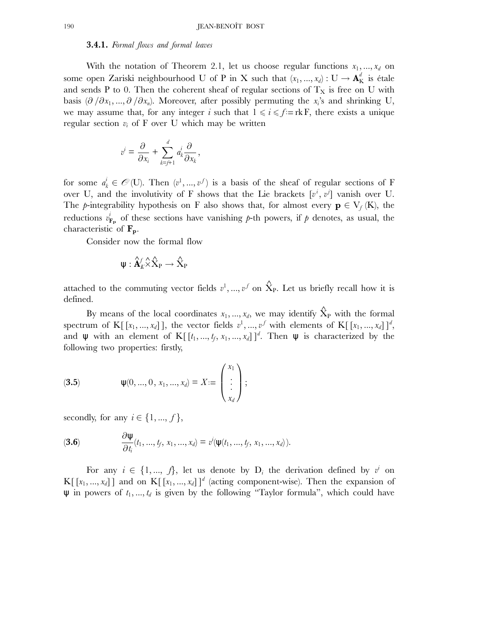#### **3.4.1.** *Formal flows and formal leaves*

With the notation of Theorem 2.1, let us choose regular functions  $x_1, ..., x_d$  on some open Zariski neighbourhood U of P in X such that  $(x_1, ..., x_d): U \to \mathbf{A}^d_K$  is étale and sends P to 0. Then the coherent sheaf of regular sections of  $T<sub>X</sub>$  is free on U with basis  $\left(\frac{\partial}{\partial x_1}, \ldots, \frac{\partial}{\partial x_n}\right)$ . Moreover, after possibly permuting the *x<sub>i</sub>*'s and shrinking U, we may assume that, for any integer *i* such that  $1 \leq i \leq f = \text{rk } F$ , there exists a unique regular section  $v_i$  of F over U which may be written

$$
v^{i} = \frac{\partial}{\partial x_{i}} + \sum_{k=f+1}^{d} a_{k}^{i} \frac{\partial}{\partial x_{k}},
$$

for some  $a_k^i \in \mathcal{O}(U)$ . Then  $(v^1, ..., v^f)$  is a basis of the sheaf of regular sections of F over U, and the involutivity of F shows that the Lie brackets  $[v^i, v^j]$  vanish over U. The *p*-integrability hypothesis on F also shows that, for almost every  $\mathbf{p} \in V_f(K)$ , the reductions  $v_{\mathbf{F}_{\mathbf{p}}}^{i}$  of these sections have vanishing *p*-th powers, if *p* denotes, as usual, the characteristic of **Fp**.

Consider now the formal flow

$$
\psi: \hat{\mathbf{A}}_K^f \hat{\times} \hat{\mathbf{X}}_\text{P} \to \hat{\mathbf{X}}_\text{P}
$$

attached to the commuting vector fields  $v^1, ..., v^f$  on  $\hat{X}_P$ . Let us briefly recall how it is defined.

By means of the local coordinates  $x_1, ..., x_d$ , we may identify  $\hat{X}_P$  with the formal spectrum of  $K[[x_1, ..., x_d]],$  the vector fields  $v^1, ..., v^f$  with elements of  $K[[x_1, ..., x_d]]^d$ , and  $\psi$  with an element of K[ $[t_1, ..., t_f, x_1, ..., x_d]$ ]<sup>d</sup>. Then  $\psi$  is characterized by the following two properties: firstly,

(3.5) 
$$
\psi(0, ..., 0, x_1, ..., x_d) = X := \begin{pmatrix} x_1 \\ \vdots \\ x_d \end{pmatrix};
$$

secondly, for any  $i \in \{1, ..., f\}$ ,

(3.6) 
$$
\frac{\partial \Psi}{\partial t_i}(t_1, ..., t_f, x_1, ..., x_d) = v^i(\Psi(t_1, ..., t_f, x_1, ..., x_d)).
$$

For any  $i \in \{1, ..., f\}$ , let us denote by  $D_i$  the derivation defined by  $v^i$  on  $K[[x_1, ..., x_d]]$  and on  $K[[x_1, ..., x_d]]^d$  (acting component-wise). Then the expansion of ψ in powers of *t*1, ..., *td* is given by the following "Taylor formula", which could have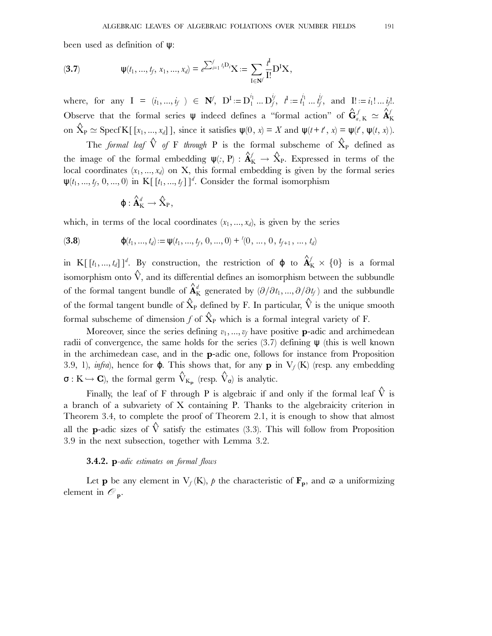been used as definition of ψ:

(3.7) 
$$
\psi(t_1, ..., t_f, x_1, ..., x_d) = e^{\sum_{i=1}^f t_i D_i} X := \sum_{I \in \mathbb{N}^f} \frac{1}{I!} D^I X,
$$

where, for any  $I = (i_1, ..., i_{f}) \in \mathbb{N}^f$ ,  $D^I := D_1^{i_1} ... D_f^{i_f}$ ,  $t^I := t_1^{i_1} ... t_f^{i_f}$ , and  $I! := i_1! ... i_f!$ . Observe that the formal series  $\psi$  indeed defines a "formal action" of  $\hat{\mathbf{G}}_{a,K}^f \simeq \hat{\mathbf{A}}_K^f$ on  $\hat{X}_{P} \simeq$  Specf K[[ $x_1, ..., x_d$ ]], since it satisfies  $\psi(0, x) = X$  and  $\psi(t + t', x) = \psi(t', \psi(t, x))$ .

The *formal leaf*  $\hat{V}$  *of* F *through* P is the formal subscheme of  $\hat{X}_P$  defined as the image of the formal embedding  $\psi(:, P) : \hat{A}^f_K \to \hat{X}_P$ . Expressed in terms of the local coordinates  $(x_1, ..., x_d)$  on X, this formal embedding is given by the formal series  $\Psi(t_1, ..., t_f, 0, ..., 0)$  in K[ $[t_1, ..., t_f]$ ]<sup>d</sup>. Consider the formal isomorphism

$$
\phi: \hat{\mathbf{A}}^{\textit{d}}_K \rightarrow \hat{X}_P,
$$

which, in terms of the local coordinates  $(x_1, ..., x_d)$ , is given by the series

(3.8) 
$$
\varphi(t_1, ..., t_d) := \psi(t_1, ..., t_f, 0, ..., 0) + {}^{t}(0, ..., 0, t_{f+1}, ..., t_d)
$$

in K[ $[t_1, ..., t_d]$ ]<sup>d</sup>. By construction, the restriction of  $\phi$  to  $\hat{A}^f_K \times \{0\}$  is a formal isomorphism onto  $\hat{\mathrm{V}}$ , and its differential defines an isomorphism between the subbundle of the formal tangent bundle of  $\hat{\textbf{A}}_K^d$  generated by  $(\partial/\partial t_1, ..., \partial/\partial t_f)$  and the subbundle of the formal tangent bundle of  $\hat{\mathbf{X}}_\text{P}$  defined by F. In particular,  $\hat{\mathbf{V}}$  is the unique smooth formal subscheme of dimension  $f$  of  $\hat{\text{X}}_\text{P}$  which is a formal integral variety of F.

Moreover, since the series defining  $v_1, ..., v_f$  have positive **p**-adic and archimedean radii of convergence, the same holds for the series  $(3.7)$  defining  $\psi$  (this is well known in the archimedean case, and in the **p**-adic one, follows for instance from Proposition 3.9, 1), *infra*), hence for  $\varphi$ . This shows that, for any  $\mathbf{p}$  in  $V_f(K)$  (resp. any embedding  $\sigma : K \hookrightarrow \mathbf{C}$ ), the formal germ  $\hat{\mathbf{V}}_{K_{\mathbf{p}}}$  (resp.  $\hat{\mathbf{V}}_{\sigma}$ ) is analytic.

Finally, the leaf of F through P is algebraic if and only if the formal leaf  $\hat{V}$  is a branch of a subvariety of X containing P. Thanks to the algebraicity criterion in Theorem 3.4, to complete the proof of Theorem 2.1, it is enough to show that almost all the **p**-adic sizes of  $\hat{V}$  satisfy the estimates (3.3). This will follow from Proposition 3.9 in the next subsection, together with Lemma 3.2.

#### **3.4.2. p***-adic estimates on formal flows*

Let **p** be any element in  $V_f(K)$ , *p* the characteristic of  $\mathbf{F_p}$ , and  $\varpi$  a uniformizing element in  $\mathcal{O}_p$ .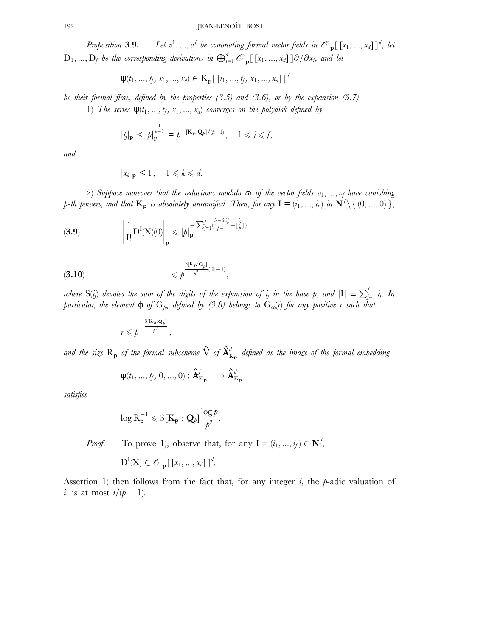*Proposition* **3.9.**  $\cdots$  Let  $v^1, ..., v^f$  be commuting formal vector fields in  $\mathcal{O}_p$  [[ $x_1, ..., x_d$ ]]<sup>d</sup>, let  $D_1,...,D_f$  *be the corresponding derivations in*  $\bigoplus_{i=1}^d$   $\mathcal{O}_{\mathbf{p}}\big[\, [x_1,...,x_d]\, \big]$ ∂/∂ $x_i$ , and let

$$
\psi(t_1, ..., t_f, x_1, ..., x_d) \in \mathbf{K}_p \big[ [t_1, ..., t_f, x_1, ..., x_d] \big]^{d}
$$

*be their formal flow, defined by the properties (3.5) and (3.6), or by the expansion (3.7).*

1) *The series*  $\psi(t_1, ..., t_f, x_1, ..., x_d)$  *converges on the polydisk defined by* 

$$
|t_j|_{\mathbf{p}} < |p|_{\mathbf{p}}^{\frac{1}{p-1}} = p^{-[\mathbf{K}_{\mathbf{p}}:\mathbf{Q}_p]/(p-1)}, \quad 1 \leq j \leq f,
$$

*and*

$$
|x_k|_{\mathbf{p}} < 1, \quad 1 \leq k \leq d.
$$

2) Suppose moreover that the reductions modulo  $\varpi$  of the vector fields  $v_1, ..., v_f$  have vanishing *p*-th powers, and that  $K_p$  is absolutely unramified. Then, for any  $I = (i_1, ..., i_f)$  in  $\mathbb{N}^f\setminus\set{(0, ..., 0)}$ ,

(3.9) 
$$
\left|\frac{1}{I!}D^{I}(X)(0)\right|_{P} \leqslant |\rho|_{P}^{-\sum_{j=1}^{f}(\frac{i_{j}-S(i_{j})}{\rho-1}-[\frac{i_{j}}{\rho}])}
$$

$$
\leqslant p^{\frac{3[\mathrm{K}_{\mathbf{p}}:\mathbf{Q}_p]}{p^2}(|\mathrm{I}|-1)}
$$

 $\alpha$  *where*  $S(i_j)$  *denotes the sum of the digits of the expansion of*  $i_j$  *in the base*  $p$ *, and*  $|I|:=\sum_{j=1}^f i_j$ . In *particular, the element*  $\varphi$  *of*  $G_{\text{for}}$  *defined by* (3.8) *belongs to*  $G_{\omega}(r)$  *for any positive r such that* 

*,*

$$
r\leqslant \rho^{-\frac{3[\mathrm{K}_{\mathbf{p}}:\mathbf{Q}_{\boldsymbol{\rho}}]}{\boldsymbol{\rho}^2}},
$$

and the size  $R_p$  of the formal subscheme  $\hat{V}$  of  $\hat{\bf A}^d_{K_p}$  defined as the image of the formal embedding

$$
\psi(t_1, ..., t_f, 0, ..., 0) : \mathbf{\hat{A}}_{\mathbf{K}_{\mathbf{p}}}^f \longrightarrow \mathbf{\hat{A}}_{\mathbf{K}_{\mathbf{p}}}^d
$$

*satisfies*

$$
\log R_{\mathbf{p}}^{-1} \leqslant 3[K_{\mathbf{p}}:\mathbf{Q}_{\rho}]\frac{\log p}{p^2}.
$$

*Proof.* — To prove 1), observe that, for any  $I = (i_1, ..., i_f) \in \mathbb{N}^f$ ,

$$
\mathbf{D}^{\mathrm{I}}(\mathbf{X}) \in \mathcal{O}_{\mathbf{p}}\big[\left[x_1, ..., x_d\right]\big]^d.
$$

Assertion 1) then follows from the fact that, for any integer *i*, the *p*-adic valuation of *i*! is at most  $i/(\rho - 1)$ .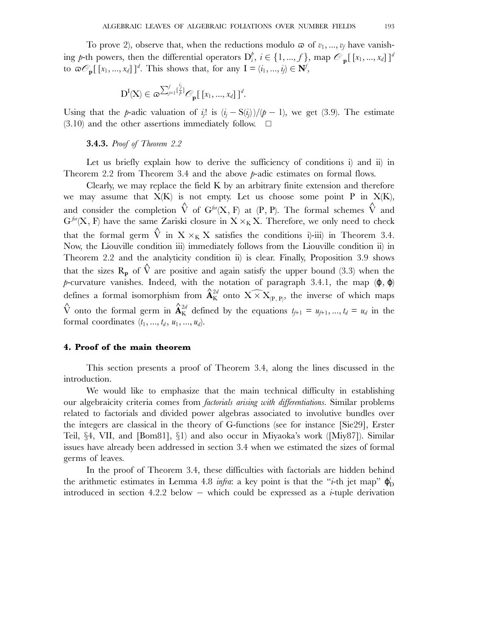To prove 2), observe that, when the reductions modulo  $\varpi$  of  $v_1, ..., v_f$  have vanishing *p*-th powers, then the differential operators  $D_i^{\ell}$ ,  $i \in \{1, ..., f\}$ , map  $\mathscr{O}_p[[x_1, ..., x_d]]^d$ to  $\omega \mathcal{O}_p$  [ $[x_1, ..., x_d]$ ]<sup>d</sup>. This shows that, for any  $I = (i_1, ..., i_j) \in \mathbb{N}^f$ ,

$$
D^{I}(X) \in \varpi^{\sum_{j=1}^{f}[\frac{i_j}{p}]} \mathcal{O}_{\mathbf{p}}\big[\left[x_1, ..., x_d\right]\big]^d.
$$

Using that the *p*-adic valuation of *i<sub>i</sub>*! is  $(i<sub>i</sub> - S(i<sub>i</sub>))/(p-1)$ , we get (3.9). The estimate  $(3.10)$  and the other assertions immediately follow.  $\Box$ 

#### **3.4.3.** *Proof of Theorem 2.2*

Let us briefly explain how to derive the sufficiency of conditions i) and ii) in Theorem 2.2 from Theorem 3.4 and the above *p*-adic estimates on formal flows.

Clearly, we may replace the field K by an arbitrary finite extension and therefore we may assume that  $X(K)$  is not empty. Let us choose some point P in  $X(K)$ , and consider the completion  $\hat{V}$  of  $G^{for}(X, F)$  at  $(P, P)$ . The formal schemes  $\hat{V}$  and  $G^{for}(X, F)$  have the same Zariski closure in  $X \times_K X$ . Therefore, we only need to check that the formal germ  $\hat{V}$  in  $X \times_K X$  satisfies the conditions i)-iii) in Theorem 3.4. Now, the Liouville condition iii) immediately follows from the Liouville condition ii) in Theorem 2.2 and the analyticity condition ii) is clear. Finally, Proposition 3.9 shows that the sizes  $R_p$  of  $\hat{V}$  are positive and again satisfy the upper bound (3.3) when the  $p$ -curvature vanishes. Indeed, with the notation of paragraph 3.4.1, the map  $(\varphi, \varphi)$ defines a formal isomorphism from  $\hat{A}_{K}^{2d}$  onto  $\widehat{X \times X}_{(P, P)}$ , the inverse of which maps  $\hat{V}$  onto the formal germ in  $\hat{A}^{2d}_K$  defined by the equations  $t_{f+1} = u_{f+1}, ..., t_d = u_d$  in the formal coordinates  $(t_1, ..., t_d, u_1, ..., u_d)$ .

## **4. Proof of the main theorem**

This section presents a proof of Theorem 3.4, along the lines discussed in the introduction.

We would like to emphasize that the main technical difficulty in establishing our algebraicity criteria comes from *factorials arising with differentiations*. Similar problems related to factorials and divided power algebras associated to involutive bundles over the integers are classical in the theory of G-functions (see for instance [Sie29], Erster Teil, §4, VII, and [Bom81], §1) and also occur in Miyaoka's work ([Miy87]). Similar issues have already been addressed in section 3.4 when we estimated the sizes of formal germs of leaves.

In the proof of Theorem 3.4, these difficulties with factorials are hidden behind the arithmetic estimates in Lemma 4.8 *infra*: a key point is that the "*i*-th jet map" ϕ *i* D introduced in section 4.2.2 below − which could be expressed as a *i*-tuple derivation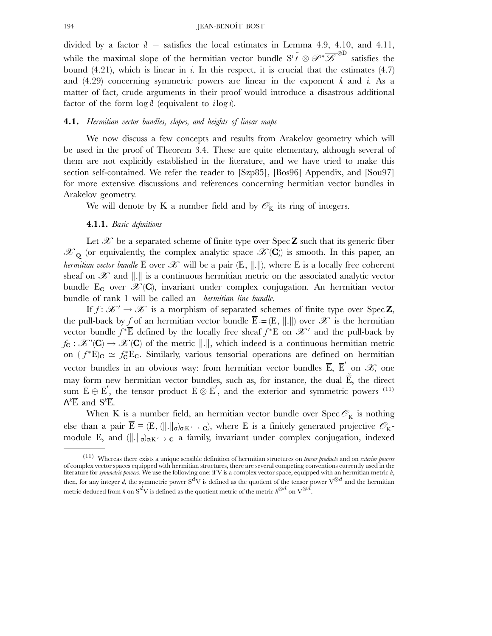divided by a factor *i*! − satisfies the local estimates in Lemma 4.9, 4.10, and 4.11, while the maximal slope of the hermitian vector bundle  $S^i \check{t} \otimes \mathscr{P}^* \overline{\mathscr{L}}^{\otimes D}$  satisfies the bound (4.21), which is linear in *i*. In this respect, it is crucial that the estimates (4.7) and (4.29) concerning symmetric powers are linear in the exponent *k* and *i*. As a matter of fact, crude arguments in their proof would introduce a disastrous additional factor of the form log *i*! (equivalent to *i* log *i*).

## **4.1.** *Hermitian vector bundles, slopes, and heights of linear maps*

We now discuss a few concepts and results from Arakelov geometry which will be used in the proof of Theorem 3.4. These are quite elementary, although several of them are not explicitly established in the literature, and we have tried to make this section self-contained. We refer the reader to [Szp85], [Bos96] Appendix, and [Sou97] for more extensive discussions and references concerning hermitian vector bundles in Arakelov geometry.

We will denote by K a number field and by  $\mathcal{O}_K$  its ring of integers.

#### **4.1.1.** *Basic definitions*

Let  $\mathscr X$  be a separated scheme of finite type over  $\text{Spec } Z$  such that its generic fiber  $\mathscr{X}_{\mathbf{Q}}$  (or equivalently, the complex analytic space  $\mathscr{X}(\mathbf{C})$ ) is smooth. In this paper, an *hermitian vector bundle*  $\overline{E}$  over  $\mathscr X$  will be a pair  $(E, \|\cdot\|)$ , where E is a locally free coherent sheaf on  $\mathscr X$  and  $\Vert . \Vert$  is a continuous hermitian metric on the associated analytic vector bundle  $E_C$  over  $\mathscr{K}(C)$ , invariant under complex conjugation. An hermitian vector bundle of rank 1 will be called an *hermitian line bundle*.

If  $f: \mathcal{X}' \to \mathcal{X}$  is a morphism of separated schemes of finite type over Spec **Z**, the pull-back by *f* of an hermitian vector bundle  $\overline{E}$  :=(E, ||.||) over *X* is the hermitian vector bundle  $f^* \overline{E}$  defined by the locally free sheaf  $f^*E$  on  $\mathcal{K}'$  and the pull-back by  $f_G : \mathscr{K}'(\mathbf{C}) \to \mathscr{K}(\mathbf{C})$  of the metric  $\|.\|$ , which indeed is a continuous hermitian metric on  $(f^*E)_C \simeq f_C^*E_C$ . Similarly, various tensorial operations are defined on hermitian vector bundles in an obvious way: from hermitian vector bundles  $\overline{\mathrm{E}}, \ \overline{\mathrm{E}}'$  on  $\mathscr{X}$ , one may form new hermitian vector bundles, such as, for instance, the dual  $\check{E}$ , the direct sum  $\overline{E} \oplus \overline{E}'$ , the tensor product  $\overline{E} \otimes \overline{E}'$ , and the exterior and symmetric powers <sup>(11)</sup>  $\Lambda^k \overline{E}$  and  $S^k \overline{E}$ .

When K is a number field, an hermitian vector bundle over Spec  $\mathcal{O}_K$  is nothing else than a pair  $E = (E, (||.||_{\sigma})_{\sigma: K} \hookrightarrow c)$ , where E is a finitely generated projective  $\mathscr{O}_K$ module E, and  $(\|.\|_{\sigma})_{\sigma:\mathbf{K}} \to \mathbf{c}$  a family, invariant under complex conjugation, indexed

<sup>(11)</sup> Whereas there exists a unique sensible definition of hermitian structures on *tensor products* and on *exterior powers* of complex vector spaces equipped with hermitian structures, there are several competing conventions currently used in the literature for *symmetric powers*. We use the following one: if V is a complex vector space, equipped with an hermitian metric *h*, then, for any integer *d*, the symmetric power S<sup>d</sup>V is defined as the quotient of the tensor power V<sup>⊗d</sup> and the hermitian metric deduced from *h* on  $\text{S}^d \text{V}$  is defined as the quotient metric of the metric  $h^{\otimes d}$  on  $\text{V}^{\otimes d}.$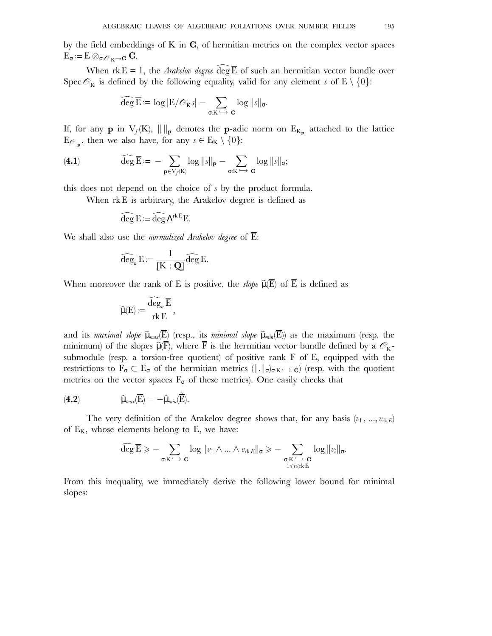by the field embeddings of K in **C**, of hermitian metrics on the complex vector spaces  $E_{\sigma} := E \otimes_{\sigma: \mathcal{O}_K \to \mathbf{C}} \mathbf{C}.$ 

When  $rk E = 1$ , the *Arakelov degree* deg  $\overline{E}$  of such an hermitian vector bundle over Spec  $\mathcal{O}_K$  is defined by the following equality, valid for any element *s* of  $E \setminus \{0\}$ :

$$
\widehat{\deg \mathbf{E}} \coloneqq \log | \mathbf{E} / \mathscr{O}_K s | - \sum_{\sigma: K \hookrightarrow \mathbf{C}} \log ||s||_{\sigma}.
$$

If, for any **p** in  $V_f(K)$ ,  $\|\|_p$  denotes the **p**-adic norm on  $E_{K_p}$  attached to the lattice  $E_{\mathcal{O}_p}$ , then we also have, for any  $s \in E_K \setminus \{0\}$ :

(4.1) 
$$
\widehat{\deg} \overline{E} := - \sum_{p \in V_f(K)} \log ||s||_p - \sum_{\sigma: K \hookrightarrow C} \log ||s||_{\sigma};
$$

this does not depend on the choice of *s* by the product formula.

When rk E is arbitrary, the Arakelov degree is defined as

$$
\widehat{\deg}\,\overline{\mathrm{E}}:=\widehat{\deg}\,\Lambda^{\mathrm{rk}\,\mathrm{E}}\overline{\mathrm{E}}.
$$

We shall also use the *normalized Arakelov degree* of E:

$$
\widehat{\operatorname{deg}}_{n}\overline{E}:=\frac{1}{[K:\mathbf{Q}]}\widehat{\operatorname{deg}}\,\overline{E}.
$$

When moreover the rank of E is positive, the *slope*  $\widehat{\mu(E)}$  of E is defined as

$$
\widehat{\mu}(\overline{\mathbf{E}}) := \frac{\widehat{\deg}_n \overline{\mathbf{E}}}{\text{rk } \mathbf{E}},
$$

and its *maximal slope*  $\widehat{\mu}_{max}(\overline{E})$  (resp., its *minimal slope*  $\widehat{\mu}_{min}(\overline{E})$ ) as the maximum (resp. the minimum) of the slopes  $\widehat{\mu}(\overline{F})$ , where  $\overline{F}$  is the hermitian vector bundle defined by a  $\mathscr{O}_K$ submodule (resp. a torsion-free quotient) of positive rank F of E, equipped with the restrictions to  $F_{\sigma} \subset E_{\sigma}$  of the hermitian metrics ( $\|.\|_{\sigma}$ <sub>o</sub> $\infty$   $\to$  c) (resp. with the quotient metrics on the vector spaces  $F_{\sigma}$  of these metrics). One easily checks that

(4.2) 
$$
\widehat{\mu}_{max}(\overline{E}) = -\widehat{\mu}_{min}(\overline{\check{E}}).
$$

The very definition of the Arakelov degree shows that, for any basis  $(v_1, ..., v_{rk})$ of  $E_K$ , whose elements belong to E, we have:

$$
\widehat{\deg \mathbf{E}} \geqslant -\sum_{\sigma: \mathsf{K} \hookrightarrow \mathbf{C}} \log ||v_1 \wedge ... \wedge v_{\operatorname{rk} E}||_{\sigma} \geqslant -\sum_{\substack{\sigma: \mathsf{K} \hookrightarrow \mathbf{C} \\ 1 \leqslant i \leqslant \operatorname{rk} \mathbf{E}}} \log ||v_i||_{\sigma}.
$$

From this inequality, we immediately derive the following lower bound for minimal slopes: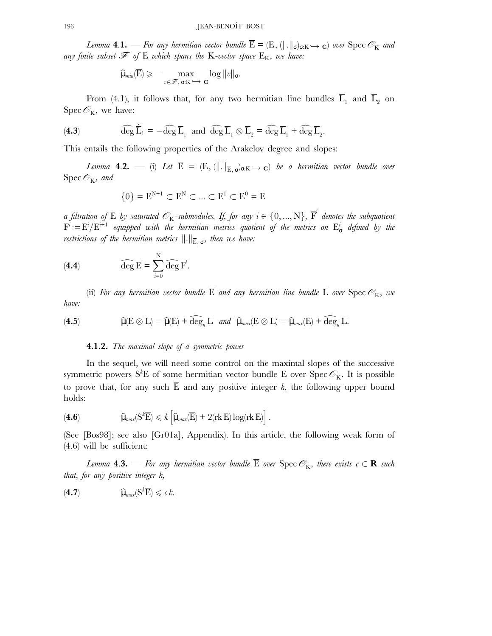*Lemma* **4.1.** — For any hermitian vector bundle  $E = (E, (||.||_{\sigma})_{\sigma: K} \rightarrow c)$  over  $Spec \mathscr{O}_K$  and any finite subset  $\mathscr F$  of E which spans the K-vector space  $E_K$ , we have:

$$
\widehat{\mu}_{\text{min}}(\overline{\mathrm{E}}) \geqslant -\max_{v \in \mathscr{F}, \, \sigma: \mathrm{K} \hookrightarrow \mathbf{C}} \log \|v\|_{\sigma}.
$$

From (4.1), it follows that, for any two hermitian line bundles  $\overline{L}_1$  and  $\overline{L}_2$  on Spec  $\mathcal{O}_K$ , we have:

(4.3) 
$$
\widehat{\deg \tilde{L}}_1 = -\widehat{\deg L}_1 \text{ and } \widehat{\deg L}_1 \otimes \overline{L}_2 = \widehat{\deg L}_1 + \widehat{\deg L}_2.
$$

This entails the following properties of the Arakelov degree and slopes:

*Lemma* **4.2.** — (i) Let  $\overline{\mathrm{E}}$  =  $(\mathrm{E}, (\|.\|_{\overline{\mathrm{E}}, \,\sigma})_{\sigma:\mathrm{K}}$   $\rightarrow$   $\mathrm{c})$  be a hermitian vector bundle over Spec  $\mathcal{O}_K$ *, and* 

$$
\{0\} = \mathcal{E}^{\mathcal{N}+1} \subset \mathcal{E}^{\mathcal{N}} \subset \ldots \subset \mathcal{E}^1 \subset \mathcal{E}^0 = \mathcal{E}
$$

*a filtration of*  $E$  *by saturated*  $\mathscr{O}_K$ *-submodules. If, for any*  $i \in \{0,...,N\},$  $\overline{F}^i$  *denotes the subquotient*  $F^i\!:=\!E^i/E^{i+1}$  equipped with the hermitian metrics quotient of the metrics on  $E^i_{\sigma}$  defined by the *restrictions of the hermitian metrics*  $\|\cdot\|_{\overline{\mathbb{E}}_{\alpha},\sigma}$ , then we have:

(4.4) 
$$
\widehat{\deg \mathbf{E}} = \sum_{i=0}^{N} \widehat{\deg \mathbf{F}^i}.
$$

(ii) For any hermitian vector bundle  $\overline{E}$  and any hermitian line bundle  $\overline{L}$  *over* Spec  $\mathscr{O}_K$ *, we have:*

(4.5) 
$$
\widehat{\mu}(E \otimes \overline{L}) = \widehat{\mu}(E) + \widehat{\deg}_n \overline{L} \quad and \quad \widehat{\mu}_{max}(\overline{E} \otimes \overline{L}) = \widehat{\mu}_{max}(\overline{E}) + \widehat{\deg}_n \overline{L}.
$$

## **4.1.2.** *The maximal slope of a symmetric power*

In the sequel, we will need some control on the maximal slopes of the successive symmetric powers  $S^k\overline{E}$  of some hermitian vector bundle  $\overline{E}$  over  $Spec\mathscr{O}_K$ . It is possible to prove that, for any such  $\overline{E}$  and any positive integer *k*, the following upper bound holds:

(4.6) 
$$
\widehat{\mu}_{max}(S^{k}\overline{E}) \leq k \left[ \widehat{\mu}_{max}(\overline{E}) + 2(\text{rk } E) \log(\text{rk } E) \right].
$$

(See [Bos98]; see also [Gr01a], Appendix). In this article, the following weak form of (4.6) will be sufficient:

*Lemma* **4.3.** *— For any hermitian vector bundle*  $\overline{E}$  *over* Spec  $\mathscr{O}_{K}$ *, there exists*  $c \in \mathbf{R}$  *such that, for any positive integer k,*

(4.7)  $\widehat{\mu}_{max}(S^{k}\overline{E}) \leqslant c k.$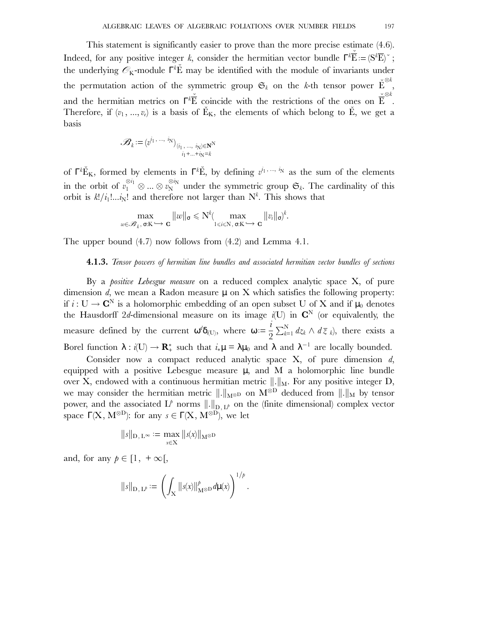This statement is significantly easier to prove than the more precise estimate (4.6). Indeed, for any positive integer *k*, consider the hermitian vector bundle  $\Gamma^k \check{\vec{E}} := (S^k \overline{E})^*$ ; the underlying  $\mathscr{O}_K$ -module  $\Gamma^k$ E<sup>\*</sup> may be identified with the module of invariants under the permutation action of the symmetric group  $\mathfrak{S}_k$  on the *k*-th tensor power  $\check{\mathrm{E}}^{\otimes k}$ , and the hermitian metrics on  $\Gamma^k \overline{E}$  coincide with the restrictions of the ones on  $\overline{E}^{\otimes k}$ . Therefore, if  $(v_1, ..., v_e)$  is a basis of  $\check{E}_K$ , the elements of which belong to  $\check{E}$ , we get a basis

$$
\mathscr{B}_k \! := \! \big( v^{i_1,\;\cdots,\;\,i_\mathrm{N}} \big)_{(i_1,\;\cdots,\;\,i_\mathrm{N}) \in \mathbf{N}^\mathrm{N}} \\ i_1 + \ldots + i_\mathrm{N} = \! k
$$

of  $\Gamma^k \check{E}_K$ , formed by elements in  $\Gamma^k \check{E}$ , by defining  $v^{i_1,\dots,i_N}$  as the sum of the elements in the orbit of  $v_1^{\otimes i_1}\otimes...\otimes v_N^{\otimes i_N}$  under the symmetric group  $\mathfrak{S}_k$ . The cardinality of this orbit is  $k!/i_1!...i_N!$  and therefore not larger than  $N^k$ . This shows that

$$
\max_{w \in \mathcal{B}_k, \sigma: \mathbf{K}} \|w\|_{\sigma} \leqslant N^k \left( \max_{1 \leqslant i \leqslant N, \sigma: \mathbf{K}} \|v_i\|_{\sigma} \right)^k.
$$

The upper bound (4.7) now follows from (4.2) and Lemma 4.1.

#### **4.1.3.** *Tensor powers of hermitian line bundles and associated hermitian vector bundles of sections*

By a *positive Lebesgue measure* on a reduced complex analytic space X, of pure dimension  $d$ , we mean a Radon measure  $\mu$  on X which satisfies the following property: if  $i: U \to \mathbb{C}^N$  is a holomorphic embedding of an open subset U of X and if  $\mu_0$  denotes the Hausdorff 2*d*-dimensional measure on its image  $i(U)$  in  $C^N$  (or equivalently, the measure defined by the current  $\omega^d \delta_{i(U)}$ , where  $\omega := \frac{i}{2} \sum_{k=1}^N dz_k \wedge d\overline{z}_k$ , there exists a Borel function  $\lambda : i(U) \to \mathbf{R}_+^*$  such that  $i_*\mu = \lambda \mu_0$  and  $\lambda$  and  $\lambda^{-1}$  are locally bounded.

Consider now a compact reduced analytic space X, of pure dimension *d*, equipped with a positive Lebesgue measure  $\mu$ , and M a holomorphic line bundle over X, endowed with a continuous hermitian metric  $\|\cdot\|_M$ . For any positive integer D, we may consider the hermitian metric  $\Vert . \Vert_{M^{\otimes D}}$  on  $M^{\otimes D}$  deduced from  $\Vert . \Vert_{M}$  by tensor power, and the associated  $L^p$  norms  $\|.\|_{D,L^p}$  on the (finite dimensional) complex vector space  $\Gamma(X, M^{\otimes D})$ : for any  $s \in \Gamma(X, M^{\otimes D})$ , we let

$$
||s||_{D, L^{\infty}} := \max_{x \in X} ||s(x)||_{M^{\otimes D}}
$$

and, for any  $p \in [1, +\infty)$ ,

$$
||s||_{D,\,L^p} := \left( \int_X ||s(x)||_{\mathbf{M}^{\otimes}D}^p \, d\mu(x) \right)^{1/p}.
$$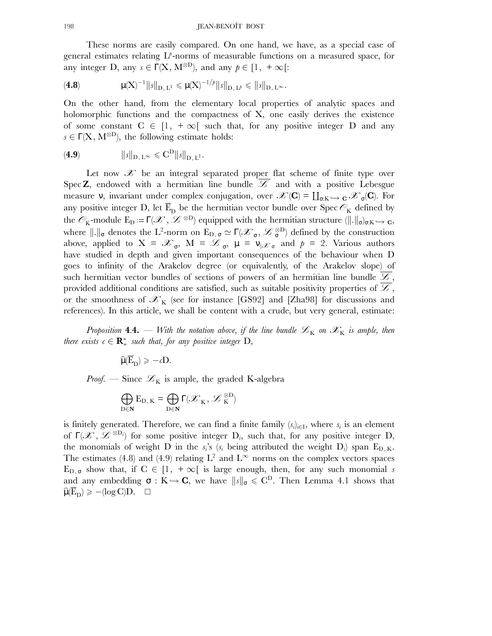These norms are easily compared. On one hand, we have, as a special case of general estimates relating L*<sup>p</sup>* -norms of measurable functions on a measured space, for any integer D, any  $s \in \Gamma(X, M^{\otimes D})$ , and any  $p \in [1, +\infty]$ :

(4.8) 
$$
\mu(X)^{-1} \|s\|_{D,\,L^1} \leqslant \mu(X)^{-1/p} \|s\|_{D,\,L^p} \leqslant \|s\|_{D,\,L^\infty}.
$$

On the other hand, from the elementary local properties of analytic spaces and holomorphic functions and the compactness of X, one easily derives the existence of some constant  $C \in [1, +\infty)$  such that, for any positive integer D and any  $s \in \Gamma(X, M^{\otimes D})$ , the following estimate holds:

$$
\textbf{(4.9)} \qquad \qquad ||s||_{\mathcal{D},\,\mathcal{L}^{\infty}} \leqslant \mathcal{C}^{\mathcal{D}} ||s||_{\mathcal{D},\,\mathcal{L}^{\mathcal{1}}}.
$$

Let now  $\mathscr X$  be an integral separated proper flat scheme of finite type over Spec **Z**, endowed with a hermitian line bundle  $\mathscr{L}$  and with a positive Lebesgue measure v, invariant under complex conjugation, over  $\mathscr{K}(\mathbf{C}) = \coprod_{\sigma: K \to \mathbf{C}} \mathscr{K}_{\sigma}(\mathbf{C})$ . For any positive integer D, let  $\overline{E}_{D}$  be the hermitian vector bundle over Spec  $\mathcal{O}_{K}$  defined by the  $\mathscr{O}_K$ -module  $E_D := \Gamma(\mathscr{X}, \mathscr{L}^{\otimes D})$  equipped with the hermitian structure  $(\|.\|_{\sigma})_{\sigma: K} \hookrightarrow \mathbf{c}$ , where  $\|.\|_{\sigma}$  denotes the L<sup>2</sup>-norm on  $E_{D,\sigma} \simeq \Gamma(\mathscr{X}_{\sigma}, \mathscr{L}_{\sigma}^{\otimes D})$  defined by the construction above, applied to  $X = \mathcal{X}_{\sigma}$ ,  $M = \mathcal{L}_{\sigma}$ ,  $\mu = v_{\vert \mathcal{X}_{\sigma}}$  and  $p = 2$ . Various authors have studied in depth and given important consequences of the behaviour when D goes to infinity of the Arakelov degree (or equivalently, of the Arakelov slope) of such hermitian vector bundles of sections of powers of an hermitian line bundle  $\overline{\mathscr{L}}$ , provided additional conditions are satisfied, such as suitable positivity properties of *L* , or the smoothness of  $\mathcal{X}_{K}$  (see for instance [GS92] and [Zha98] for discussions and references). In this article, we shall be content with a crude, but very general, estimate:

*Proposition* **4.4.** — With the notation above, if the line bundle  $\mathscr{L}_K$  on  $\mathscr{K}_K$  is ample, then *there exists*  $c \in \mathbf{R}_+^*$  *such that, for any positive integer*  $D$ *,* 

$$
\widehat{\mu}(\overline{\mathrm{E}}_{\mathrm{D}}) \geqslant -c\mathrm{D}.
$$

*Proof.* — Since  $\mathcal{L}_K$  is ample, the graded K-algebra

$$
\bigoplus_{D\in \mathbf{N}} E_{D,\,K} = \bigoplus_{D\in \mathbf{N}} \Gamma(\mathscr{X}_K,\,\mathscr{L}_K^{\,\otimes D})
$$

is finitely generated. Therefore, we can find a finite family  $(s_i)_{i \in I}$ , where  $s_i$  is an element of Γ(*X* , *L* <sup>⊗</sup>D*<sup>i</sup>* ) for some positive integer D*i*, such that, for any positive integer D, the monomials of weight  $\overline{D}$  in the *s<sub>i</sub>*'s (*s<sub>i</sub>* being attributed the weight  $D_i$ ) span  $E_{D,K}$ . The estimates (4.8) and (4.9) relating  $L^2$  and  $L^{\infty}$  norms on the complex vectors spaces  $E_{D,\sigma}$  show that, if  $C \in [1, +\infty)$  is large enough, then, for any such monomial *s* and any embedding  $\sigma : K \to \mathbf{C}$ , we have  $\|s\|_{\sigma} \leqslant C^D$ . Then Lemma 4.1 shows that  $\widehat{\mu}(E_D) \geqslant -(\log C)D.$   $\square$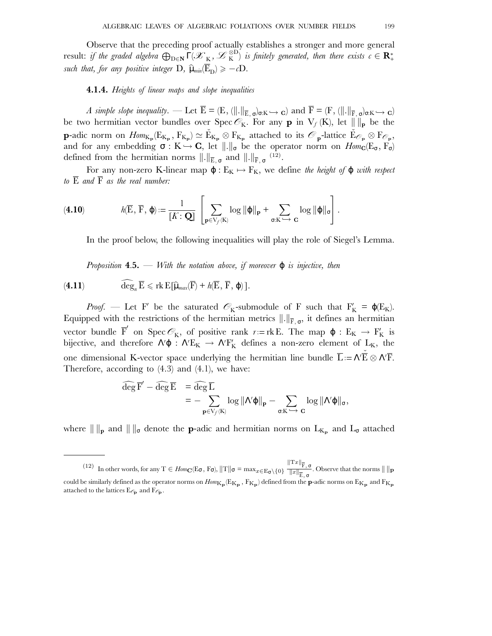Observe that the preceding proof actually establishes a stronger and more general result: *if the graded algebra*  $\bigoplus_{D\in \mathbf{N}} \Gamma(\mathscr{K}_K, \mathscr{L}_K^{\otimes D})$  *is finitely generated, then there exists*  $c\in \mathbf{R}_+^*$ *such that, for any positive integer*  $D$ ,  $\widehat{\mu}_{min}(\overline{E}_D) \geq -cD$ .

## **4.1.4.** *Heights of linear maps and slope inequalities*

*A simple slope inequality.* — Let  $E = (E, (||.||_{\overline{E}, \sigma})_{\sigma: K} \rightarrow c)$  and  $F = (F, (||.||_{\overline{F}, \sigma})_{\sigma: K} \rightarrow c)$ be two hermitian vector bundles over Spec  $\mathcal{O}_K$ . For any **p** in  $V_f(K)$ , let  $\|\|_{\mathbf{p}}$  be the **p**-adic norm on  $Hom_{K_p}(E_{K_p}, F_{K_p}) \simeq E_{K_p} \otimes F_{K_p}$  attached to its  $\mathscr{O}_p$ -lattice  $E_{\mathscr{O}_p} \otimes F_{\mathscr{O}_p}$ , and for any embedding  $\sigma: K \hookrightarrow C$ , let  $\|.\|_{\sigma}$  be the operator norm on  $Hom_{\mathbf{C}}(E_{\sigma}, F_{\sigma})$ defined from the hermitian norms  $\|\cdot\|_{\overline{\mathbb{E}}, \sigma}$  and  $\|\cdot\|_{\overline{\mathbb{F}}, \sigma}$  (12).

For any non-zero K-linear map  $\varphi : E_K \mapsto F_K$ , we define *the height of*  $\varphi$  *with respect to*  $\overline{E}$  *and*  $\overline{F}$  *as the real number:* 

(4.10) 
$$
h(\overline{\mathbf{E}}, \overline{\mathbf{F}}, \mathbf{\varphi}) := \frac{1}{[K : \mathbf{Q}]} \left[ \sum_{\mathbf{p} \in V_f(K)} \log \|\mathbf{\varphi}\|_{\mathbf{p}} + \sum_{\sigma: K \hookrightarrow \mathbf{C}} \log \|\mathbf{\varphi}\|_{\sigma} \right].
$$

In the proof below, the following inequalities will play the role of Siegel's Lemma.

*Proposition* **4**.**5.** *— With the notation above, if moreover* ϕ *is injective, then*

(4.11) 
$$
\widehat{\deg}_n \overline{\mathrm{E}} \leqslant \mathrm{rk} \, \mathrm{E}[\widehat{\mu}_{\text{max}}(\overline{\mathrm{F}}) + h(\overline{\mathrm{E}}, \overline{\mathrm{F}}, \varphi)].
$$

*Proof.* — Let F' be the saturated  $\mathcal{O}_K$ -submodule of F such that  $F_K = \varphi(E_K)$ . Equipped with the restrictions of the hermitian metrics  $\Vert . \Vert_{\overline{F}, \sigma}$ , it defines an hermitian vector bundle  $\overline{F}'$  on Spec  $\mathscr{O}_K$ , of positive rank  $r = \text{rk }E$ . The map  $\varphi : E_K \to F'_K$  is bijective, and therefore  $\Lambda^r \varphi : \Lambda^r E_K \to \Lambda^r F'_K$  defines a non-zero element of L<sub>K</sub>, the one dimensional K-vector space underlying the hermitian line bundle  $\overline{L} := \Lambda' \overline{E} \otimes \Lambda' \overline{F}$ . Therefore, according to (4.3) and (4.1), we have:

$$
\begin{array}{rl}\widehat{\operatorname{deg}}\, \overline{F}' - \widehat{\operatorname{deg}}\, \overline{E} & = \widehat{\operatorname{deg}}\, \overline{L} \\ & = - \sum_{\mathbf{p} \in V_f(K)} \log \| \Lambda^r \varphi \|_{\mathbf{p}} - \sum_{\sigma: K \ \hookrightarrow \ \mathbf{C}} \log \| \Lambda^r \varphi \|_{\sigma}, \end{array}
$$

where  $\|\|_{\mathbf{p}}$  and  $\|\|_{\sigma}$  denote the **p**-adic and hermitian norms on  $L_{K_{\mathbf{p}}}$  and  $L_{\sigma}$  attached

<sup>(12)</sup> In other words, for any  $T \in Hom_{\mathbf{C}}(E_{\mathbf{\sigma}}, F_{\mathbf{\sigma}})$ ,  $||T||_{\mathbf{\sigma}} = \max_{x \in E_{\mathbf{\sigma}} \setminus \{0\}} \frac{||Tx||_{\overline{F}, \sigma}}{||x||_{\overline{F}, \sigma}}$  $\frac{f(x)}{\|x\|_{\mathbf{E},\,\sigma}}$ . Observe that the norms  $\|\ \|_{\mathbf{p}}$ could be similarly defined as the operator norms on  $Hom_{K_p}(E_{K_p}, F_{K_p})$  defined from the **p**-adic norms on  $E_{K_p}$  and  $F_{K_p}$ attached to the lattices  $E_{\mathcal{C}_{\mathbf{p}}}$  and  $F_{\mathcal{C}_{\mathbf{p}}}$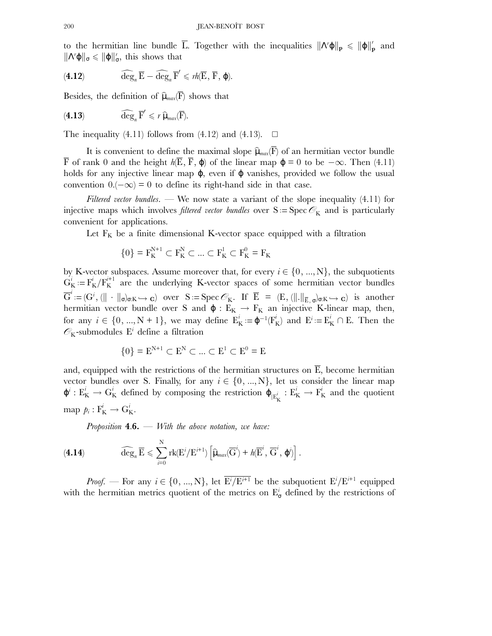to the hermitian line bundle  $\overline{L}$ . Together with the inequalities  $\|\Lambda \phi\|_{\mathbf{p}} \leqslant \|\phi\|_{\mathbf{p}}^r$  and  $\|\Lambda^{r}\varphi\|_{\sigma} \leq \|\varphi\|_{\sigma}^{r}$ , this shows that

(4.12) 
$$
\widehat{\deg}_n \overline{\mathrm{E}} - \widehat{\deg}_n \overline{\mathrm{F}}' \leqslant \mathit{rh}(\overline{\mathrm{E}}, \overline{\mathrm{F}}, \varphi).
$$

Besides, the definition of  $\widehat{\mu}_{max}(\overline{F})$  shows that

(4.13) 
$$
\widehat{\deg}_n \overline{F}' \leqslant r \widehat{\mu}_{max}(\overline{F}).
$$

The inequality (4.11) follows from (4.12) and (4.13).  $\Box$ 

It is convenient to define the maximal slope  $\widehat{\mu}_{max}(\overline{F})$  of an hermitian vector bundle F of rank 0 and the height  $h(\overline{E}, \overline{F}, \varphi)$  of the linear map  $\varphi = 0$  to be  $-\infty$ . Then (4.11) holds for any injective linear map  $\varphi$ , even if  $\varphi$  vanishes, provided we follow the usual convention  $0.(-\infty) = 0$  to define its right-hand side in that case.

*Filtered vector bundles.* — We now state a variant of the slope inequality (4.11) for injective maps which involves *filtered vector bundles* over  $S := Spec \mathcal{O}_K$  and is particularly convenient for applications.

Let  $F_K$  be a finite dimensional K-vector space equipped with a filtration

$$
\{0\} \equiv F_K^{N+1} \subset F_K^N \subset ... \subset F_K^1 \subset F_K^0 \equiv F_K
$$

by K-vector subspaces. Assume moreover that, for every  $i \in \{0, ..., N\}$ , the subquotients  $G_K^i := F_K^i/F_K^{i+1}$  are the underlying K-vector spaces of some hermitian vector bundles  $\overline{G}^i := (G^i, (\|\cdot\|_{\sigma})_{\sigma: K} \hookrightarrow c)$  over  $S := \text{Spec } \mathscr{O}_K$ . If  $\overline{E} = (E, (\|\cdot\|_{\overline{E}, \sigma})_{\sigma: K} \hookrightarrow c)$  is another hermitian vector bundle over S and  $\varphi : E_K \to F_K$  an injective K-linear map, then, for any  $i \in \{0, ..., N+1\}$ , we may define  $E_K^i := \varphi^{-1}(F_K^i)$  and  $E^i := E_K^i \cap E$ . Then the  $\mathscr{O}_K$ -submodules E<sup>*i*</sup> define a filtration

$$
\{0\} = E^{N+1} \subset E^N \subset \dots \subset E^1 \subset E^0 = E
$$

and, equipped with the restrictions of the hermitian structures on  $\overline{E}$ , become hermitian vector bundles over S. Finally, for any  $i \in \{0, ..., N\}$ , let us consider the linear map  $\varphi^i : E^i_K \to G^i_K$  defined by composing the restriction  $\varphi_{|E^i_K} : E^i_K \to F^i_K$  and the quotient map  $p_i: F_K^i \to G_K^i$ .

*Proposition* **4**.**6.** *— With the above notation, we have:*

(4.14) 
$$
\widehat{\deg}_n \overline{\mathrm{E}} \leqslant \sum_{i=0}^N \mathrm{rk}(\mathrm{E}^i/\mathrm{E}^{i+1}) \left[ \widehat{\mu}_{\text{max}}(\overline{\mathrm{G}}^i) + h(\overline{\mathrm{E}}^i, \overline{\mathrm{G}}^i, \varphi^i) \right].
$$

*Proof.* — For any  $i \in \{0, ..., N\}$ , let  $\overline{E^{i}/E^{i+1}}$  be the subquotient  $E^{i}/E^{i+1}$  equipped with the hermitian metrics quotient of the metrics on E*<sup>i</sup>* <sup>σ</sup> defined by the restrictions of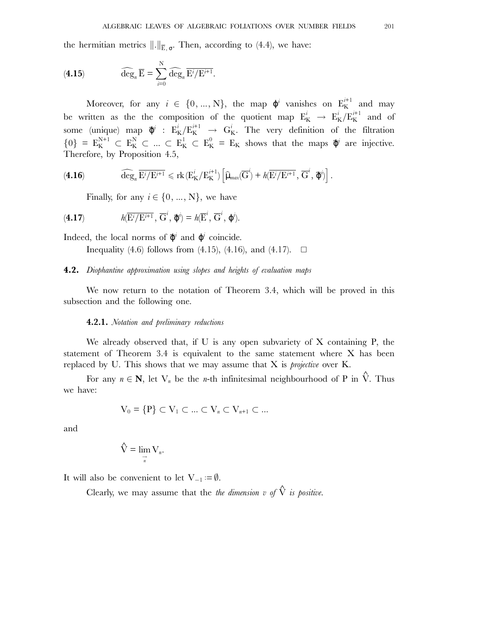the hermitian metrics  $\|\cdot\|_{\overline{\mathbb{E}}_{\alpha}}$ . Then, according to (4.4), we have:

(4.15) 
$$
\widehat{\deg}_n \overline{\mathbf{E}} = \sum_{i=0}^N \widehat{\deg}_n \overline{\mathbf{E}^i / \mathbf{E}^{i+1}}.
$$

Moreover, for any  $i \in \{0, ..., N\}$ , the map  $\varphi^i$  vanishes on  $E_K^{i+1}$  and may be written as the the composition of the quotient map  $E_K^i \rightarrow E_K^i/E_K^{i+1}$  and of some (unique) map  $\widetilde{\phi}^i$  :  $E_K^i/E_K^{i+1} \rightarrow G_K^i$ . The very definition of the filtration  ${0} = E_K^{N+1} \subset E_K^N \subset ... \subset E_K^1 \subset E_K^0 = E_K$  shows that the maps  $\tilde{\varphi}^i$  are injective. Therefore, by Proposition 4.5,

(4.16) 
$$
\widehat{\deg}_n \overline{E^i/E^{i+1}} \leqslant \mathrm{rk} \, (E_K^i/E_K^{i+1}) \left[ \widehat{\mu}_{\text{max}}(\overline{G}^i) + h(\overline{E^i/E^{i+1}}, \overline{G}^i, \overline{\varphi}^i) \right].
$$

Finally, for any  $i \in \{0, ..., N\}$ , we have

(4.17) 
$$
h(\overline{\mathrm{E}^{i}/\mathrm{E}^{i+1}}, \overline{\mathrm{G}}^{i}, \widetilde{\boldsymbol{\varphi}}^{i}) = h(\overline{\mathrm{E}}^{i}, \overline{\mathrm{G}}^{i}, \boldsymbol{\varphi}^{i}).
$$

Indeed, the local norms of  $\tilde{\phi}^i$  and  $\phi^i$  coincide.

Inequality (4.6) follows from (4.15), (4.16), and (4.17).  $\Box$ 

**4.2.** *Diophantine approximation using slopes and heights of evaluation maps*

We now return to the notation of Theorem 3.4, which will be proved in this subsection and the following one.

#### **4.2.1.** *Notation and preliminary reductions*

We already observed that, if U is any open subvariety of  $X$  containing P, the statement of Theorem 3.4 is equivalent to the same statement where X has been replaced by U. This shows that we may assume that X is *projective* over K.

For any  $n \in \mathbb{N}$ , let  $V_n$  be the *n*-th infinitesimal neighbourhood of P in  $\hat{V}$ . Thus we have:

$$
V_0 = \{P\} \subset V_1 \subset \ldots \subset V_n \subset V_{n+1} \subset \ldots
$$

and

$$
\hat{\mathrm{V}}=\lim_{\underset{n}{\rightarrow}}\mathrm{V}_{n}.
$$

It will also be convenient to let  $V_{-1} := \emptyset$ .

Clearly, we may assume that the *the dimension* v of  $\hat{V}$  *is positive.*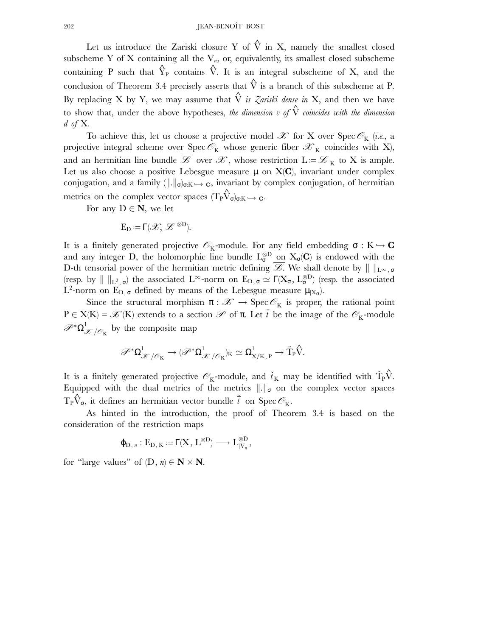Let us introduce the Zariski closure Y of  $\hat{V}$  in X, namely the smallest closed subscheme Y of X containing all the  $V_n$ , or, equivalently, its smallest closed subscheme containing P such that  $\hat{\mathrm{Y}}_\mathrm{P}$  contains  $\hat{\mathrm{V}}$ . It is an integral subscheme of X, and the conclusion of Theorem 3.4 precisely asserts that  $\hat{\mathrm{V}}$  is a branch of this subscheme at P. By replacing X by Y, we may assume that  $\hat{V}$  *is Zariski dense in* X, and then we have to show that, under the above hypotheses, *the dimension v of*  $\hat{\nabla}$  *coincides with the dimension d of* X*.*

To achieve this, let us choose a projective model  $\mathscr K$  for X over Spec  $\mathscr O_K$  (*i.e.*, a projective integral scheme over Spec  $\mathcal{O}_K$  whose generic fiber  $\mathcal{K}_K$  coincides with X), and an hermitian line bundle  $\overline{\mathscr{L}}$  over  $\mathscr{K}$ , whose restriction  $L = \mathscr{L}_K$  to X is ample. Let us also choose a positive Lebesgue measure  $\mu$  on  $X(C)$ , invariant under complex conjugation, and a family  $(\|.\|_{\sigma})_{\sigma:\mathbf{K}} \to \mathbf{c}$ , invariant by complex conjugation, of hermitian metrics on the complex vector spaces  $(T_P \hat{V}_{\sigma})_{\sigma: K} \hookrightarrow c$ .

For any  $D \in \mathbb{N}$ , we let

$$
E_D := \Gamma(\mathscr{X}, \mathscr{L}^{\otimes D}).
$$

It is a finitely generated projective  $\mathscr{O}_K\text{-module.}$  For any field embedding  $\sigma : K \hookrightarrow \mathbf{C}$ and any integer D, the holomorphic line bundle  $L^{\otimes D}_{\sigma}$  on  $X_{\sigma}(C)$  is endowed with the D-th tensorial power of the hermitian metric defining  $\overline{\mathscr{L}}$ . We shall denote by  $\| \ \|_{L^{\infty}, \sigma}$ (resp. by  $\| \ \|_{L^2, \sigma}$ ) the associated L∞-norm on  $E_{D, \sigma} \simeq \Gamma(X_{\sigma}, L^{\otimes D}_{\sigma})$  (resp. the associated L<sup>2</sup>-norm on E<sub>D,  $\sigma$ </sub> defined by means of the Lebesgue measure  $\mu_{|X_{\sigma}}$ ).

Since the structural morphism  $\pi : \mathcal{K} \to \text{Spec } \mathcal{O}_K$  is proper, the rational point  $P \in X(K) = \mathcal{K}(K)$  extends to a section  $\mathcal P$  of  $\pi$ . Let  $\check{t}$  be the image of the  $\mathcal O_K$ -module  $\mathscr{P}^*\Omega^1_{\mathscr{X}/\mathscr{O}_\mathbf{K}}$  by the composite map

$$
\mathscr{P}^* \Omega^1_{\mathscr{X}/\mathscr{O}_K} \to (\mathscr{P}^* \Omega^1_{\mathscr{X}/\mathscr{O}_K})_K \simeq \Omega^1_{X/K,\,P} \to \check{T}_P \hat{V}.
$$

It is a finitely generated projective  $\mathscr{O}_\mathbf{K}\text{-module, and } \check{\mathit{t}}_\mathbf{K}$  may be identified with  $\check{\mathrm{T}}_\mathrm{P} \hat{\mathrm{V}}$ . Equipped with the dual metrics of the metrics  $\|\cdot\|_{\sigma}$  on the complex vector spaces  $\widehat{\mathrm{T}_{P}V_{\sigma}}$ , it defines an hermitian vector bundle  $\tilde{t}$  on Spec  $\mathscr{O}_{K}$ .

As hinted in the introduction, the proof of Theorem 3.4 is based on the consideration of the restriction maps

$$
\phi_{D,\,\mathop{\boldsymbol n}\nolimits}:E_{D,\,K}\mathop{{:}{=}}\Gamma(X,\,L^{\otimes D})\longrightarrow L_{|V_{\mathop{\boldsymbol n}\nolimits}}^{\otimes D},
$$

for "large values" of  $(D, n) \in \mathbb{N} \times \mathbb{N}$ .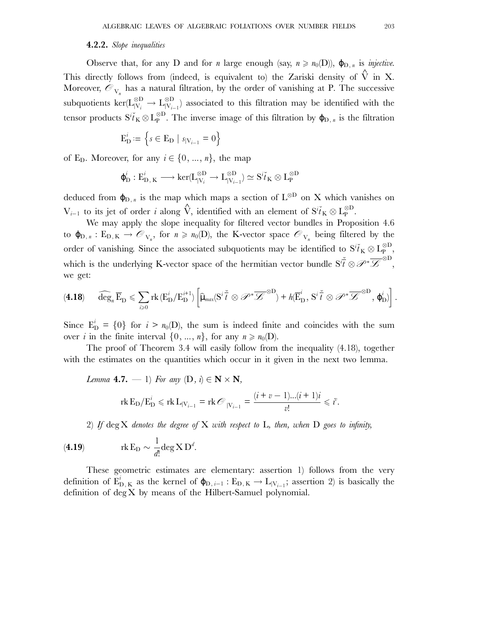#### **4.2.2.** *Slope inequalities*

Observe that, for any D and for *n* large enough (say,  $n \geq n_0(D)$ ),  $\varphi_{D,n}$  is *injective.* This directly follows from (indeed, is equivalent to) the Zariski density of  $\hat{V}$  in X. Moreover,  $\mathcal{O}_{V_n}$  has a natural filtration, by the order of vanishing at P. The successive subquotients ker( $L_{|V_i}^{\otimes D} \to L_{|V_{i-1}}^{\otimes D}$ ) associated to this filtration may be identified with the tensor products  $Si^{\tilde{i}}_K \otimes L_P^{\otimes D}$ . The inverse image of this filtration by  $\varphi_{D, n}$  is the filtration

$$
E_{D}^{i} := \left\{ s \in E_{D} \mid s_{|V_{i-1}} = 0 \right\}
$$

of E<sub>D</sub>. Moreover, for any  $i \in \{0, ..., n\}$ , the map

$$
\varphi_D^i : E_{D, K}^i \longrightarrow \text{ker}(L_{|V_i}^{\otimes D} \to L_{|V_{i-1}}^{\otimes D}) \simeq S^i \check{t}_K \otimes L_P^{\otimes D}
$$

deduced from  $\varphi_{D,n}$  is the map which maps a section of L<sup>⊗D</sup> on X which vanishes on  $V_{i-1}$  to its jet of order *i* along  $\hat{V}$ , identified with an element of S<sup>*i*</sup><sub>K</sub> ⊗ L<sub>p</sub><sup>⊗D</sup>.

We may apply the slope inequality for filtered vector bundles in Proposition 4.6 to  $\varphi_{D,n} : E_{D,K} \to \mathcal{O}_{V_n}$ , for  $n \geq n_0(D)$ , the K-vector space  $\mathcal{O}_{V_n}$  being filtered by the order of vanishing. Since the associated subquotients may be identified to  $S^i \check{t}_K \otimes L_P^{\otimes D}$ , which is the underlying K-vector space of the hermitian vector bundle  $S^i\tilde{t} \otimes \mathscr{P}^* \overline{\mathscr{L}}^{\otimes D}$ , we get:

$$
(4.18) \quad \widehat{\deg}_{n} \overline{\mathrm{E}}_{\mathrm{D}} \leqslant \sum_{i \geqslant 0} \mathrm{rk}\,(\mathrm{E}_{\mathrm{D}}^{i}/\mathrm{E}_{\mathrm{D}}^{i+1}) \left[ \widehat{\mu}_{\text{max}}(\mathrm{S}^{i} \check{\bar{t}} \otimes \mathscr{P}^{*} \overline{\mathscr{L}}^{\otimes \mathrm{D}}) + h(\overline{\mathrm{E}}_{\mathrm{D}}^{i}, \mathrm{S}^{i} \check{\bar{t}} \otimes \mathscr{P}^{*} \overline{\mathscr{L}}^{\otimes \mathrm{D}}, \varphi_{\mathrm{D}}^{i}) \right].
$$

Since  $E_D^i = \{0\}$  for  $i > n_0(D)$ , the sum is indeed finite and coincides with the sum over *i* in the finite interval  $\{0, ..., n\}$ , for any  $n \ge n_0(D)$ .

The proof of Theorem 3.4 will easily follow from the inequality (4.18), together with the estimates on the quantities which occur in it given in the next two lemma.

*Lemma* **4.7.**  $-1$  *For any*  $(D, i) \in \mathbb{N} \times \mathbb{N}$ ,

$$
rk E_D/E_D^i \leqslant rk L_{|V_{i-1}} = rk \mathcal{O}_{|V_{i-1}} = \frac{(i+v-1)...(i+1)i}{v!} \leqslant i^v.
$$

2) *If* deg X *denotes the degree of* X *with respect to* L*, then, when* D *goes to infinity,*

(4.19) 
$$
\operatorname{rk} E_D \sim \frac{1}{d!} \operatorname{deg} \operatorname{X} D^d.
$$

These geometric estimates are elementary: assertion 1) follows from the very definition of  $\mathbf{E}_{\mathbf{D},\mathbf{K}}^{i}$  as the kernel of  $\varphi_{\mathbf{D},i-1} : \mathbf{E}_{\mathbf{D},\mathbf{K}} \to \mathbf{L}_{|\mathbf{V}_{i-1}}$ ; assertion 2) is basically the definition of deg X by means of the Hilbert-Samuel polynomial.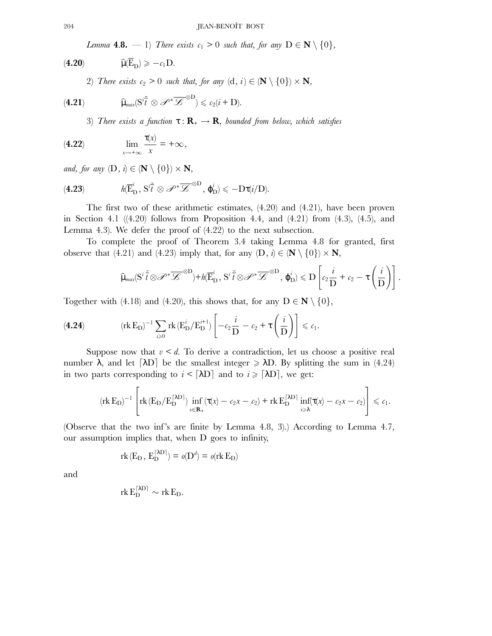*Lemma* **4.8.**  $-1$  *There exists*  $c_1 > 0$  *such that, for any*  $D \in \mathbb{N} \setminus \{0\}$ *,* 

(4.20) 
$$
\widehat{\mu}(\overline{\mathrm{E}}_{\mathrm{D}}) \geqslant -c_1 \mathrm{D}.
$$

2) *There exists*  $c_2 > 0$  *such that, for any*  $(d, i) \in (\mathbb{N} \setminus \{0\}) \times \mathbb{N}$ ,

(4.21) 
$$
\widehat{\mu}_{max}(S^{i\widetilde{\tau}}\otimes \mathscr{P}^*\overline{\mathscr{L}}^{\otimes D})\leqslant c_2(i+D).
$$

3) There exists a function  $\tau : \mathbf{R}_{+} \to \mathbf{R}$ , bounded from below, which satisfies

$$
\textbf{(4.22)} \qquad \qquad \lim_{x \to +\infty} \frac{\tau(x)}{x} = +\infty,
$$

*and, for any*  $(D, i) \in (\mathbb{N} \setminus \{0\}) \times \mathbb{N}$ ,

(4.23) 
$$
h(\overline{E}_{D}^{i}, S^{i}\overline{t} \otimes \mathscr{P}^{*}\overline{\mathscr{L}}^{\otimes D}, \varphi_{D}^{i}) \leq -D\tau(i/D).
$$

The first two of these arithmetic estimates, (4.20) and (4.21), have been proven in Section 4.1 ( $(4.20)$  follows from Proposition 4.4, and  $(4.21)$  from  $(4.3)$ ,  $(4.5)$ , and Lemma 4.3). We defer the proof of (4.22) to the next subsection.

To complete the proof of Theorem 3.4 taking Lemma 4.8 for granted, first observe that (4.21) and (4.23) imply that, for any  $(D, i) \in (\mathbb{N} \setminus \{0\}) \times \mathbb{N}$ ,

$$
\widehat{\mu}_{\text{max}}(S^i \overline{\widetilde{t}} \otimes \mathscr{D}^* \overline{\mathscr{L}}^{\otimes D}) + h(\overline{E}_{D}^i, S^i \overline{\widetilde{t}} \otimes \mathscr{D}^* \overline{\mathscr{L}}^{\otimes D}, \varphi_D^i) \leq D\left[c_2 \frac{i}{D} + c_2 - \tau\left(\frac{i}{D}\right)\right].
$$

Together with (4.18) and (4.20), this shows that, for any  $D \in \mathbb{N} \setminus \{0\}$ ,

(4.24) 
$$
(\text{rk}\, \mathbf{E}_{\mathbf{D}})^{-1} \sum_{i\geqslant 0} \text{rk}\, (\mathbf{E}_{\mathbf{D}}^{i} / \mathbf{E}_{\mathbf{D}}^{i+1}) \left[ -c_2 \frac{i}{\mathbf{D}} - c_2 + \tau \left( \frac{i}{\mathbf{D}} \right) \right] \leqslant c_1.
$$

Suppose now that  $v \leq d$ . To derive a contradiction, let us choose a positive real number  $\lambda$ , and let  $\lceil \lambda D \rceil$  be the smallest integer  $\geq \lambda D$ . By splitting the sum in (4.24) in two parts corresponding to  $i < [\lambda D]$  and to  $i \geq [\lambda D]$ , we get:

$$
(\operatorname{rk} E_D)^{-1} \left[ \operatorname{rk} (E_D/E_D^{\text{[AD]}}) \inf_{x \in \mathbf{R}_+} (\tau(x) - c_2 x - c_2) + \operatorname{rk} E_D^{\text{[AD]}} \inf_{x \ge \lambda} (\tau(x) - c_2 x - c_2) \right] \le c_1.
$$

(Observe that the two inf's are finite by Lemma  $4.8, 3$ ).) According to Lemma  $4.7$ , our assumption implies that, when D goes to infinity,

$$
rk(E_D, E_D^{\lceil \lambda D \rceil}) = o(D^d) = o(rk E_D)
$$

and

$$
rk E_D^{\lceil \lambda D \rceil} \sim rk E_D.
$$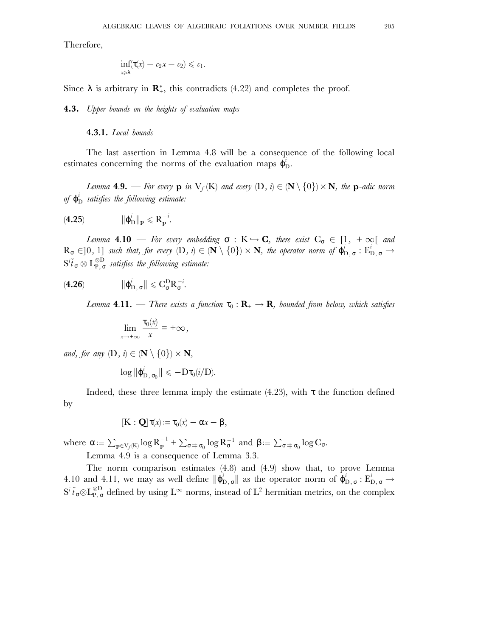Therefore,

$$
\inf_{x\geqslant \lambda} (\tau(x)-c_2x-c_2)\leqslant c_1.
$$

Since  $\lambda$  is arbitrary in  $\mathbb{R}^*$ , this contradicts (4.22) and completes the proof.

**4.3.** *Upper bounds on the heights of evaluation maps*

#### **4.3.1.** *Local bounds*

The last assertion in Lemma 4.8 will be a consequence of the following local estimates concerning the norms of the evaluation maps  $\overline{\phi}_{D}^{i}$ .

*Lemma* **4.9.** *— For every* **p** *in*  $V_f(K)$  *and every*  $(D, i) \in (N \setminus \{0\}) \times N$ *, the* **p**-adic norm *of* ϕ *i* <sup>D</sup> *satisfies the following estimate:*

$$
\textbf{(4.25)} \qquad \qquad \|\varphi_D^i\|_{\mathbf{p}} \leqslant R_{\mathbf{p}}^{-i}.
$$

 $L$ emma  $4.10$  — For every embedding  $\sigma : K \rightarrow \mathbf{C}$ , there exist  $\mathrm{C}_{\sigma} \in [1, +\infty[$  and  $R_{\sigma} \in ]0, 1]$  such that, for every  $(D, i) \in (\mathbf{N} \setminus \{0\}) \times \mathbf{N}$ , the operator norm of  $\overline{\phi}_{D, \sigma}^{i} : E_{D, \sigma}^{i} \to$  $\mathrm{S}^{i} \check{t}_{\,\boldsymbol{\sigma}} \otimes \mathrm{L}^{\otimes \mathrm{D}}_{\mathrm{P},\,\boldsymbol{\sigma}}$  *satisfies the following estimate*:

$$
\textbf{(4.26)} \qquad \qquad \|\varphi_{\mathrm{D},\,\sigma}^i\| \leqslant C_{\sigma}^{\mathrm{D}} R_{\sigma}^{-i}.
$$

*Lemma* **4.11.** — There exists a function  $\tau_0 : \mathbf{R}_+ \to \mathbf{R}$ , bounded from below, which satisfies

$$
\lim_{x \to +\infty} \frac{\tau_0(x)}{x} = +\infty,
$$

*and, for any*  $(D, i) \in (\mathbb{N} \setminus \{0\}) \times \mathbb{N}$ ,

$$
\log \|\phi_{\mathrm{D},\,\sigma_0}^i\| \leqslant -\mathrm{D}\tau_0(i/\mathrm{D}).
$$

Indeed, these three lemma imply the estimate  $(4.23)$ , with  $\tau$  the function defined by

$$
[\mathbf{K}:\mathbf{Q}]\tau(x):=\tau_0(x)-\alpha x-\beta,
$$

where  $\alpha := \sum_{\mathbf{p} \in V_f(K)} \log R_{\mathbf{p}}^{-1} + \sum_{\sigma \neq \sigma_0} \log R_{\sigma}^{-1}$  and  $\beta := \sum_{\sigma \neq \sigma_0} \log C_{\sigma}$ .

Lemma 4.9 is a consequence of Lemma 3.3.

The norm comparison estimates (4.8) and (4.9) show that, to prove Lemma 4.10 and 4.11, we may as well define  $\|\phi_{D,\sigma}^{i}\|$  as the operator norm of  $\phi_{D,\sigma}^{i} : E_{D,\sigma}^{i} \to$  $S^i \check{t}_{\sigma} \otimes L_{P,\,\sigma}^{\otimes D}$  defined by using  $L^{\infty}$  norms, instead of  $L^2$  hermitian metrics, on the complex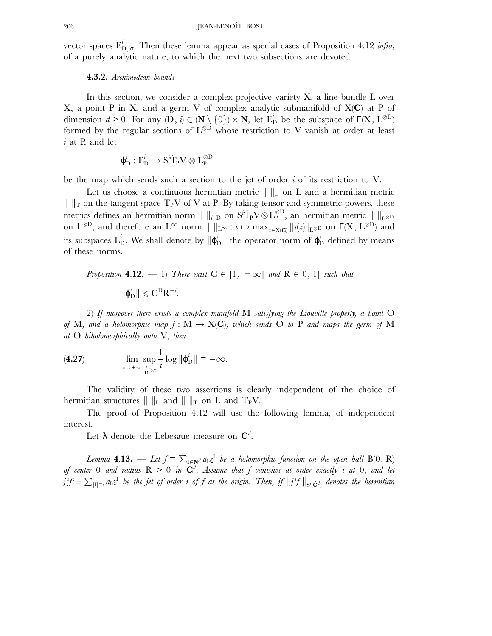vector spaces  $E_{D,\,\sigma}^i$ . Then these lemma appear as special cases of Proposition 4.12 *infra*, of a purely analytic nature, to which the next two subsections are devoted.

#### **4.3.2.** *Archimedean bounds*

In this section, we consider a complex projective variety  $X$ , a line bundle  $L$  over X, a point P in X, and a germ V of complex analytic submanifold of X(**C**) at P of dimension  $d > 0$ . For any  $(D, i) \in (\mathbb{N} \setminus \{0\}) \times \mathbb{N}$ , let  $E_D^i$  be the subspace of  $\Gamma(X, L^{\otimes D})$ formed by the regular sections of  $L^{\otimes D}$  whose restriction to V vanish at order at least *i* at P, and let

$$
\phi_D^i:E_D^i\to S^i\check{T}_P V\otimes L_P^{\otimes D}
$$

be the map which sends such a section to the jet of order *i* of its restriction to V.

Let us choose a continuous hermitian metric  $\| \cdot \|$  on L and a hermitian metric  $\Vert \Vert_T$  on the tangent space T<sub>P</sub>V of V at P. By taking tensor and symmetric powers, these metrics defines an hermitian norm  $\| \ \|_{i,\,\text{D}}$  on  $\text{S}^i \check{\mathrm{T}}_\text{P} V \otimes \mathrm{L}_\text{P}^{\otimes \mathrm{D}}$ , an hermitian metric  $\| \ \|_{\mathrm{L}^{\otimes \mathrm{D}}}$ on  $L^{\otimes D}$ , and therefore an  $L^{\infty}$  norm  $|| ||_{L^{\infty}} : s \mapsto \max_{x \in X(\mathbb{C})} ||s(x)||_{L^{\otimes D}}$  on  $\Gamma(X, L^{\otimes D})$  and its subspaces  $E_D^i$ . We shall denote by  $\|\phi_D^i\|$  the operator norm of  $\phi_D^i$  defined by means of these norms.

*Proposition* **4.12.**  $-1$  *There exist*  $C \in [1, +\infty[$  *and*  $R \in ]0, 1]$  *such that*  $\|\varphi_{\text{D}}^i\| \leqslant C^{\text{D}} R^{-i}$ .

2) *If moreover there exists a complex manifold* M *satisfying the Liouville property, a point* O *of* M, and a holomorphic map  $f : M \to X(\mathbb{C})$ , which sends O to P and maps the germ of M *at* O *biholomorphically onto* V*, then*

(4.27) 
$$
\lim_{x \to +\infty} \sup_{\frac{i}{D} \geq x} \frac{1}{i} \log \|\varphi_D^i\| = -\infty.
$$

The validity of these two assertions is clearly independent of the choice of hermitian structures  $\| \cdot \|$  and  $\| \cdot \|$  on L and T<sub>P</sub>V.

The proof of Proposition 4.12 will use the following lemma, of independent interest.

Let  $\lambda$  denote the Lebesgue measure on  $\mathbb{C}^d$ .

*Lemma* **4.13.** — Let  $f = \sum_{I \in \mathbb{N}^d} a_I z^I$  be a holomorphic function on the open ball  $B(0, R)$ *of center* 0 *and radius* R *>* 0 *in* **C***<sup>d</sup> . Assume that f vanishes at order exactly i at* 0*, and let*  $j$   $j$   $f := \sum_{|I|=i} a_I z^I$  *be the jet of order i of*  $f$  *at the origin. Then, if*  $\|j$  $f'\|_{S^i(\check{\mathbf{C}}^d)}$  *<i>denotes the hermitian*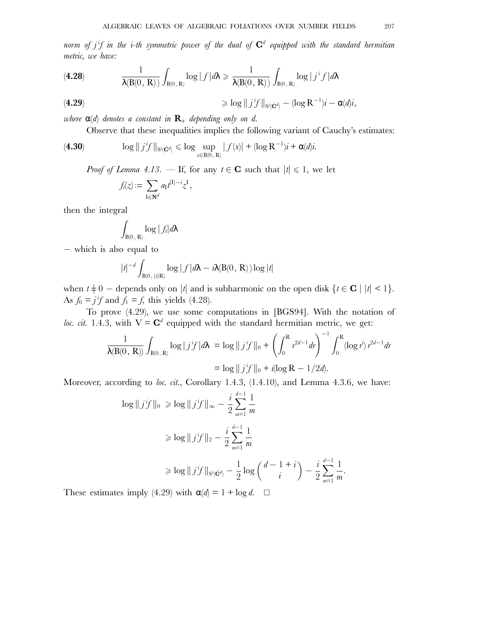*norm of j <sup>i</sup> f in the i-th symmetric power of the dual of* **C***<sup>d</sup> equipped with the standard hermitian metric, we have:*

(4.28) 
$$
\frac{1}{\lambda(B(0, R))} \int_{B(0, R)} \log |f| d\lambda \ge \frac{1}{\lambda(B(0, R))} \int_{B(0, R)} \log |j^{i} f| d\lambda
$$

(4.29) 
$$
\geqslant \log ||j^{i}f||_{S^{i}(\check{G}^{d})} - (\log R^{-1})i - \alpha(d)i,
$$

*where*  $\alpha$ (*d*) *denotes a constant in*  $\mathbf{R}_+$  *depending only on d.* 

Observe that these inequalities implies the following variant of Cauchy's estimates:

(4.30) 
$$
\log ||j'f||_{\mathcal{S}^i(\check{\mathbf{C}}^d)} \leq \log \sup_{x \in \mathcal{B}(0,\,\mathbb{R})} |f(x)| + (\log \mathcal{R}^{-1})i + \alpha(d)i.
$$

*Proof of Lemma 4.13.* — If, for any  $t \in \mathbb{C}$  such that  $|t| \leq 1$ , we let

$$
f_t(z) := \sum_{\mathbf{I} \in \mathbf{N}^d} a_{\mathbf{I}} t^{|\mathbf{I}| - i} z^{\mathbf{I}},
$$

then the integral

$$
\int_{B(0,\,\textbf{R})}\log|f_i|d\lambda
$$

− which is also equal to

$$
|t|^{-d} \int_{B(0, |t|R)} \log |f| d\lambda - i\lambda(B(0, R)) \log |t|
$$

when  $t \neq 0$  – depends only on |*t*| and is subharmonic on the open disk  $\{t \in \mathbf{C} \mid |t| < 1\}$ . As  $f_0 = j \cdot f$  and  $f_1 = f$ , this yields (4.28).

To prove (4.29), we use some computations in [BGS94]. With the notation of *loc. cit.* 1.4.3, with  $V = \mathbb{C}^d$  equipped with the standard hermitian metric, we get:

$$
\frac{1}{\lambda(\mathcal{B}(0, R))} \int_{\mathcal{B}(0, R)} \log |j^{i}f| d\lambda = \log ||j^{i}f||_{0} + \left(\int_{0}^{R} r^{2d-1} dr\right)^{-1} \int_{0}^{R} (\log r^{i}) r^{2d-1} dr
$$

$$
= \log ||j^{i}f||_{0} + i(\log R - 1/2d).
$$

Moreover, according to *loc. cit.*, Corollary 1.4.3, (1.4.10), and Lemma 4.3.6, we have:

$$
\log ||j^{i}f||_{0} \ge \log ||j^{i}f||_{\infty} - \frac{i}{2} \sum_{m=1}^{d-1} \frac{1}{m}
$$
  

$$
\ge \log ||j^{i}f||_{2} - \frac{i}{2} \sum_{m=1}^{d-1} \frac{1}{m}
$$
  

$$
\ge \log ||j^{i}f||_{S^{i}(\check{C}^{d})} - \frac{1}{2} \log \left(\frac{d-1+i}{i}\right) - \frac{i}{2} \sum_{m=1}^{d-1} \frac{1}{m}.
$$

These estimates imply (4.29) with  $\alpha(d) = 1 + \log d$ .  $\Box$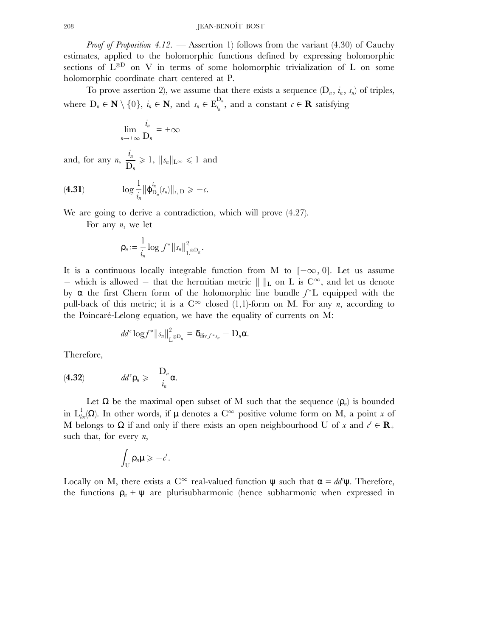*Proof of Proposition 4.12.* — Assertion 1) follows from the variant (4.30) of Cauchy estimates, applied to the holomorphic functions defined by expressing holomorphic sections of L<sup>⊗</sup><sup>D</sup> on V in terms of some holomorphic trivialization of L on some holomorphic coordinate chart centered at P.

To prove assertion 2), we assume that there exists a sequence  $(D_n, i_n, s_n)$  of triples, where  $D_n \in \mathbf{N} \setminus \{0\}$ ,  $i_n \in \mathbf{N}$ , and  $s_n \in E_{i_n}^{D_n}$  $\sum_{i_n}^{D_n}$ , and a constant  $c \in \mathbf{R}$  satisfying

$$
\lim_{n \to +\infty} \frac{i_n}{D_n} = +\infty
$$

and, for any  $n, \frac{i_n}{D}$  $\frac{v_n}{D_n} \geq 1$ ,  $||s_n||_{L^{\infty}} \leq 1$  and

(4.31) 
$$
\log \frac{1}{i_n} ||\varphi_{D_n}^{i_n}(s_n)||_{i, D} \geq -c.
$$

We are going to derive a contradiction, which will prove (4.27).

For any *n*, we let

$$
\rho_n := \frac{1}{i_n} \log f^* ||s_n||_{L^{\otimes D_n}}^2.
$$

It is a continuous locally integrable function from M to  $[-\infty, 0]$ . Let us assume − which is allowed − that the hermitian metric  $\| \parallel_L$  on L is C<sup>∞</sup>, and let us denote by α the first Chern form of the holomorphic line bundle *f* <sup>∗</sup>L equipped with the pull-back of this metric; it is a  $C^{\infty}$  closed (1,1)-form on M. For any *n*, according to the Poincaré-Lelong equation, we have the equality of currents on M:

$$
dd^c \log f^* ||s_n||_{\mathcal{L}^{\otimes D_n}}^2 = \delta_{\text{div} f^* s_n} - D_n \alpha.
$$

Therefore,

(4.32) 
$$
dd^c \rho_n \geqslant -\frac{D_n}{i_n} \alpha.
$$

Let  $\Omega$  be the maximal open subset of M such that the sequence  $(\rho_n)$  is bounded in  $L^1_{loc}(\Omega)$ . In other words, if  $\mu$  denotes a  $C^{\infty}$  positive volume form on M, a point *x* of M belongs to  $\Omega$  if and only if there exists an open neighbourhood U of *x* and  $c' \in \mathbf{R}_+$ such that, for every *n*,

$$
\int_U \rho_n \mu \geqslant -c'.
$$

Locally on M, there exists a  $C^{\infty}$  real-valued function  $\psi$  such that  $\alpha = dd^c \psi$ . Therefore, the functions  $\rho_n + \psi$  are plurisubharmonic (hence subharmonic when expressed in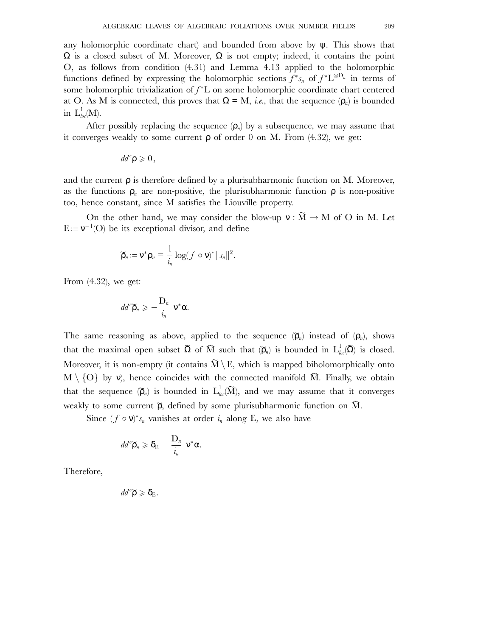any holomorphic coordinate chart) and bounded from above by  $\psi$ . This shows that  $\Omega$  is a closed subset of M. Moreover,  $\Omega$  is not empty; indeed, it contains the point O, as follows from condition (4.31) and Lemma 4.13 applied to the holomorphic functions defined by expressing the holomorphic sections  $f^*s_n$  of  $f^*L^{\otimes D_n}$  in terms of some holomorphic trivialization of *f* <sup>∗</sup>L on some holomorphic coordinate chart centered at O. As M is connected, this proves that  $\Omega = M$ , *i.e.*, that the sequence ( $ρ<sub>n</sub>$ ) is bounded in  $L^1_{loc}(M)$ .

After possibly replacing the sequence  $(\rho_n)$  by a subsequence, we may assume that it converges weakly to some current  $\rho$  of order 0 on M. From (4.32), we get:

$$
dd^c \mathsf{p} \geqslant 0,
$$

and the current  $\rho$  is therefore defined by a plurisubharmonic function on M. Moreover, as the functions  $\rho_n$  are non-positive, the plurisubharmonic function  $\rho$  is non-positive too, hence constant, since M satisfies the Liouville property.

On the other hand, we may consider the blow-up  $v : \widetilde{M} \to M$  of O in M. Let  $E := v^{-1}(O)$  be its exceptional divisor, and define

$$
\widetilde{\mathsf{p}}_n := \mathsf{v}^* \mathsf{p}_n = \frac{1}{i_n} \log(f \circ \mathsf{v})^* ||s_n||^2.
$$

From (4.32), we get:

$$
dd^c \widetilde{\mathbf{p}}_n \geqslant -\frac{\mathbf{D}_n}{i_n} \mathbf{v}^* \alpha.
$$

The same reasoning as above, applied to the sequence  $(\widetilde{\rho}_n)$  instead of  $(\rho_n)$ , shows that the maximal open subset  $\widetilde{\Omega}$  of  $\widetilde{M}$  such that  $(\widetilde{p}_n)$  is bounded in  $L^1_{loc}(\widetilde{\Omega})$  is closed. Moreover, it is non-empty (it contains  $\widetilde{M} \setminus E$ , which is mapped biholomorphically onto  $M \setminus \{O\}$  by v), hence coincides with the connected manifold  $\widetilde{M}$ . Finally, we obtain that the sequence  $(\widetilde{\rho}_n)$  is bounded in  $L^1_{loc}(\widetilde{M})$ , and we may assume that it converges weakly to some current  $\tilde{p}$ , defined by some plurisubharmonic function on  $\tilde{M}$ .

Since  $(f \circ v)^* s_n$  vanishes at order  $i_n$  along E, we also have

$$
dd^c \widetilde{\mathbf{p}}_n \geqslant \delta_{\mathrm{E}} - \frac{\mathrm{D}_n}{i_n} \mathbf{v}^* \alpha.
$$

Therefore,

$$
\text{d} d^{\text{c}} \widetilde{\rho} \geqslant \delta_E.
$$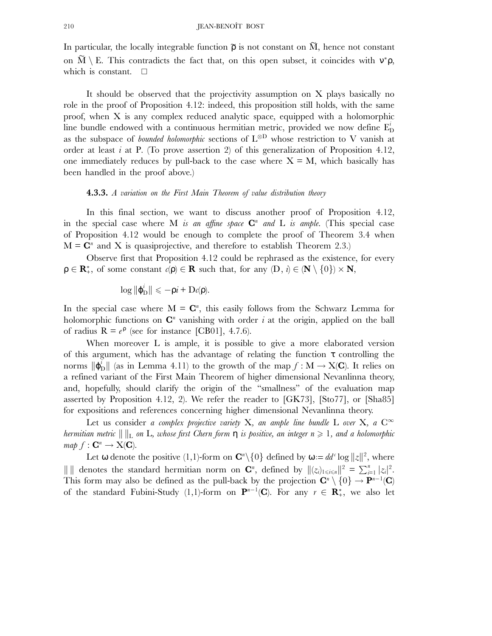In particular, the locally integrable function  $\tilde{\rho}$  is not constant on  $\tilde{M}$ , hence not constant on  $\widetilde{M} \setminus E$ . This contradicts the fact that, on this open subset, it coincides with  $v^*p$ , which is constant.  $\square$ 

It should be observed that the projectivity assumption on X plays basically no role in the proof of Proposition 4.12: indeed, this proposition still holds, with the same proof, when X is any complex reduced analytic space, equipped with a holomorphic line bundle endowed with a continuous hermitian metric, provided we now define  $E_D^i$ as the subspace of *bounded holomorphic* sections of L<sup>⊗</sup><sup>D</sup> whose restriction to V vanish at order at least *i* at P. (To prove assertion 2) of this generalization of Proposition 4.12, one immediately reduces by pull-back to the case where  $X = M$ , which basically has been handled in the proof above.)

#### **4.3.3.** *A variation on the First Main Theorem of value distribution theory*

In this final section, we want to discuss another proof of Proposition 4.12, in the special case where M *is an affine space*  $\mathbb{C}^n$  *and* L *is ample*. (This special case of Proposition 4.12 would be enough to complete the proof of Theorem 3.4 when  $M = \mathbb{C}^n$  and X is quasiprojective, and therefore to establish Theorem 2.3.)

Observe first that Proposition 4.12 could be rephrased as the existence, for every  $\rho \in \mathbf{R}^*$ , of some constant  $c(\rho) \in \mathbf{R}$  such that, for any  $(D, i) \in (\mathbf{N} \setminus \{0\}) \times \mathbf{N}$ ,

$$
\log \|\varphi_{\mathcal{D}}^i\| \leqslant -\rho i + \mathrm{D}c(\rho).
$$

In the special case where  $M = \mathbb{C}^n$ , this easily follows from the Schwarz Lemma for holomorphic functions on  $\mathbb{C}^n$  vanishing with order *i* at the origin, applied on the ball of radius  $R = e^{\rho}$  (see for instance [CB01], 4.7.6).

When moreover L is ample, it is possible to give a more elaborated version of this argument, which has the advantage of relating the function  $\tau$  controlling the norms  $\|\varphi_D^i\|$  (as in Lemma 4.11) to the growth of the map  $f : M \to X(\mathbb{C})$ . It relies on a refined variant of the First Main Theorem of higher dimensional Nevanlinna theory, and, hopefully, should clarify the origin of the "smallness" of the evaluation map asserted by Proposition 4.12, 2). We refer the reader to [GK73], [Sto77], or [Sha85] for expositions and references concerning higher dimensional Nevanlinna theory.

Let us consider *a complex projective variety* X*, an ample line bundle* L *over* X*, a*  $C^{\infty}$ *hermitian metric*  $\| \cdot \|$ <sub>L</sub> *on* L, whose first Chern form  $\eta$  *is positive, an integer*  $n \geq 1$ *, and a holomorphic map*  $f: \mathbf{C}^n \to X(\mathbf{C})$ .

Let  $\omega$  denote the positive (1,1)-form on  $\mathbb{C}^n \setminus \{0\}$  defined by  $\omega := dd^c \log ||z||^2$ , where  $\| \text{ } \|$  denotes the standard hermitian norm on  $\mathbb{C}^n$ , defined by  $\|(z_i)_{1 \leq i \leq n} \|^{2} = \sum_{i=1}^n |z_i|^2$ . This form may also be defined as the pull-back by the projection  $\mathbb{C}^n \setminus \{0\} \to \mathbb{P}^{n-1}(\mathbb{C})$ of the standard Fubini-Study (1,1)-form on  $\mathbf{P}^{n-1}(\mathbf{C})$ . For any  $r \in \mathbf{R}^*$ , we also let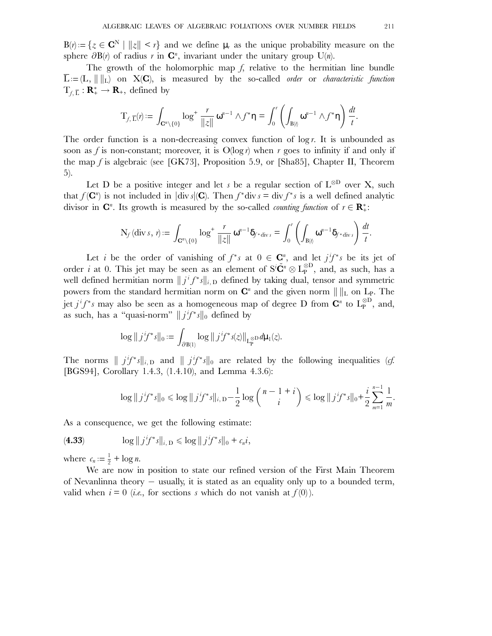$B(r) := \{z \in \mathbb{C}^N \mid ||z|| < r\}$  and we define  $\mu_r$  as the unique probability measure on the sphere ∂B(*r*) of radius *r* in **C***<sup>n</sup>* , invariant under the unitary group U(*n*).

The growth of the holomorphic map *f*, relative to the hermitian line bundle  $\overline{L} := (L, || ||_L)$  on  $X(\mathbb{C}),$  is measured by the so-called *order* or *characteristic function*  $T_{f,\,\overline{\mathbf{L}}} : \mathbf{R}_{+}^* \to \mathbf{R}_{+},$  defined by

$$
T_{f,\,\overline{L}}(r):=\int_{\mathbf{C}^n\setminus\{0\}}\log^+\frac{r}{\|z\|}\,\mathbf{\omega}^{n-1}\wedge f^*\mathbf{\eta}=\int_0^r\left(\int_{\mathbf{B}(t)}\mathbf{\omega}^{n-1}\wedge f^*\mathbf{\eta}\right)\frac{dt}{t}.
$$

The order function is a non-decreasing convex function of  $\log r$ . It is unbounded as soon as f is non-constant; moreover, it is  $O(log r)$  when r goes to infinity if and only if the map *f* is algebraic (see [GK73], Proposition 5.9, or [Sha85], Chapter II, Theorem 5).

Let D be a positive integer and let *s* be a regular section of  $L^{\otimes D}$  over X, such that  $f(\mathbf{C}^n)$  is not included in  $\left|\text{div } s\right|(\mathbf{C})$ . Then  $f^*$ div  $s = \text{div } f^*s$  is a well defined analytic divisor in  $\mathbb{C}^n$ . Its growth is measured by the so-called *counting function* of  $r \in \mathbb{R}^*_+$ :

$$
N_f(\text{div } s, r) := \int_{\mathbf{C}^n \setminus \{0\}} \log^+ \frac{r}{\|\zeta\|} \,\omega^{n-1} \delta_{f^* \text{div } s} = \int_0^r \left( \int_{B(\ell)} \omega^{n-1} \delta_{f^* \text{div } s} \right) \frac{dt}{t}.
$$

Let *i* be the order of vanishing of  $f^*s$  at  $0 \in \mathbb{C}^n$ , and let  $j^i f^*s$  be its jet of order *i* at 0. This jet may be seen as an element of  $S^i \check{C}^n \otimes L_P^{\otimes D}$ , and, as such, has a well defined hermitian norm  $\| j^i f^* s \|_{i,D}$  defined by taking dual, tensor and symmetric powers from the standard hermitian norm on  $\mathbb{C}^n$  and the given norm  $\| \cdot \|$ <sub>L</sub> on L<sub>P</sub>. The jet  $j^if^*s$  may also be seen as a homogeneous map of degree D from  $\mathbf{C}^n$  to  $\mathrm{L}^{\otimes D}_{\mathrm{P}}$ , and, as such, has a "quasi-norm"  $\|j^if^*s\|_0$  defined by

$$
\log ||j^j f^* s||_0 := \int_{\partial B(1)} \log ||j^j f^* s(z)||_{L_p^{\otimes D}} d\mu_1(z).
$$

The norms  $||jif^{*}s||_{i, D}$  and  $||jjf^{*}s||_{0}$  are related by the following inequalities (*cf.* [BGS94], Corollary 1.4.3, (1.4.10), and Lemma 4.3.6):

$$
\log ||j^i j^* s||_0 \leqslant \log ||j^i j^* s||_{i, D} - \frac{1}{2} \log \binom{n-1+i}{i} \leqslant \log ||j^i j^* s||_0 + \frac{i}{2} \sum_{m=1}^{n-1} \frac{1}{m}.
$$

As a consequence, we get the following estimate:

(4.33) 
$$
\log ||j^j f^* s||_{i, D} \leqslant \log ||j^j f^* s||_0 + c_n i,
$$

where  $c_n := \frac{1}{2} + \log n$ .

We are now in position to state our refined version of the First Main Theorem of Nevanlinna theory − usually, it is stated as an equality only up to a bounded term, valid when  $i = 0$  (*i.e.*, for sections *s* which do not vanish at  $f(0)$ ).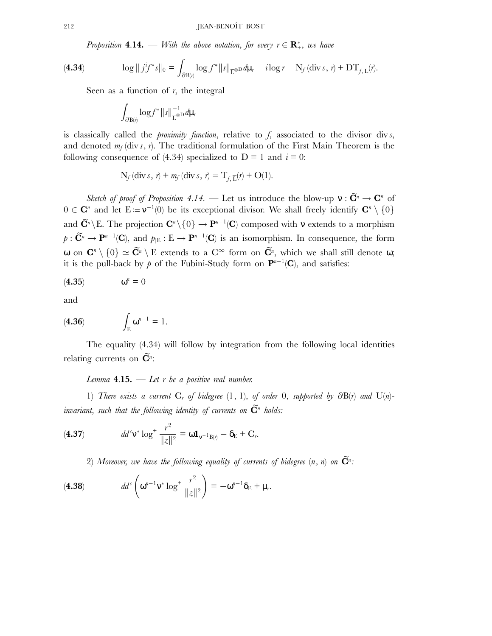*Proposition* **4.14.** — With the above notation, for every  $r \in \mathbb{R}_+^*$ , we have

(4.34) 
$$
\log ||j^i f^* s||_0 = \int_{\partial B(r)} \log f^* ||s||_{\overline{L}^{\otimes D}} d\mu_r - i \log r - N_f(\text{div } s, r) + DT_{f, \overline{L}}(r).
$$

Seen as a function of *r*, the integral

$$
\int_{\partial B(r)} \log f^* ||s||_{\overline{L}^{\otimes D}}^{-1} d\mu,
$$

is classically called the *proximity function*, relative to *f*, associated to the divisor div *s*, and denoted  $m_f$  (div *s*, *r*). The traditional formulation of the First Main Theorem is the following consequence of  $(4.34)$  specialized to  $D = 1$  and  $i = 0$ :

$$
N_f(\text{div } s, r) + m_f(\text{div } s, r) = T_{f, \overline{L}}(r) + O(1).
$$

*Sketch of proof of Proposition 4.14.* — Let us introduce the blow-up  $v : \tilde{C}^n \to C^n$  of  $0 \in \mathbb{C}^n$  and let  $E := v^{-1}(0)$  be its exceptional divisor. We shall freely identify  $\mathbb{C}^n \setminus \{0\}$ and  $\widetilde{\mathbf{C}}^n\backslash E$ . The projection  $\mathbf{C}^n\backslash\{0\} \to \mathbf{P}^{n-1}(\mathbf{C})$  composed with v extends to a morphism  $p: \widetilde{\mathbf{C}}^n \to \mathbf{P}^{n-1}(\mathbf{C})$ , and  $p_{|E}: E \to \mathbf{P}^{n-1}(\mathbf{C})$  is an isomorphism. In consequence, the form **ω** on **C**<sup>*n*</sup> \ {0} ≥  $\widetilde{\mathbf{C}}^n$  \ E extends to a C<sup>∞</sup> form on  $\widetilde{\mathbf{C}}^n$ , which we shall still denote **ω**; it is the pull-back by *p* of the Fubini-Study form on  $\mathbf{P}^{n-1}(\mathbf{C})$ , and satisfies:

$$
(\mathbf{4.35})\qquad \qquad \omega^n=0
$$

and

$$
\textbf{(4.36)} \qquad \qquad \int_{E} \omega^{n-1} = 1.
$$

The equality (4.34) will follow by integration from the following local identities relating currents on  $\widetilde{\mathbf{C}}^n$ :

*Lemma* **4**.**15.** *— Let r be a positive real number.*

1) *There exists a current* C*<sup>r</sup> of bidegree* (1*,* 1)*, of order* 0*, supported by* ∂B(*r*) *and* U(*n*)*-*  $\tilde{C}^n$  *invariant, such that the following identity of currents on*  $\widetilde{\mathbf{C}}^n$  *holds:* 

(4.37) 
$$
dd^c \mathbf{v}^* \log^+ \frac{r^2}{\Vert z \Vert^2} = \omega \mathbf{1}_{\mathbf{v}^{-1} B(r)} - \delta_E + C_r.
$$

2) Moreover, we have the following equality of currents of bidegree  $(n, n)$  on  $\widetilde{\mathbf{C}}^n$ :

(4.38) 
$$
dd^c \left( \omega^{n-1} v^* \log^+ \frac{r^2}{\|z\|^2} \right) = -\omega^{n-1} \delta_E + \mu_r.
$$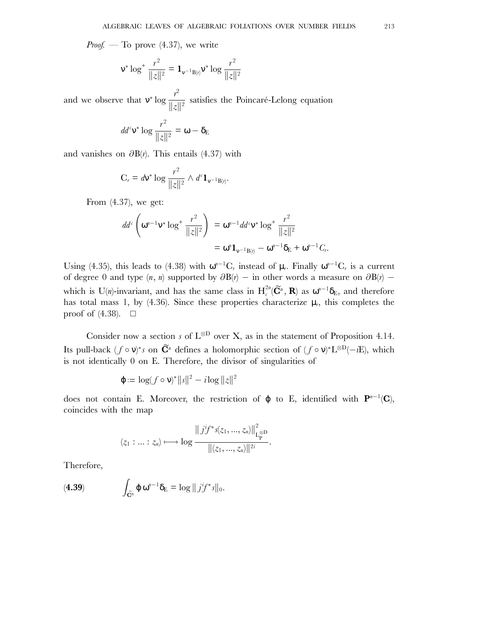*Proof. —* To prove (4.37), we write

$$
\nu^* \log^+ \frac{r^2}{\|z\|^2} = \mathbf{1}_{\nu^{-1} B(r)} \nu^* \log \frac{r^2}{\|z\|^2}
$$

and we observe that  $v^* \log \frac{r^2}{|v|}$  $\frac{1}{\|z\|^2}$  satisfies the Poincaré-Lelong equation

$$
dd^c \mathbf{v}^* \log \frac{r^2}{\|z\|^2} = \boldsymbol{\omega} - \boldsymbol{\delta}_E
$$

and vanishes on ∂B(*r*). This entails (4.37) with

$$
\mathbf{C}_r = d\mathbf{v}^* \log \frac{r^2}{\|z\|^2} \wedge d^c \mathbf{1}_{\mathbf{v}^{-1} \mathbf{B}(r)}.
$$

From (4.37), we get:

$$
dd^c \left( \omega^{n-1} \mathbf{v}^* \log^+ \frac{r^2}{\|z\|^2} \right) = \omega^{n-1} dd^c \mathbf{v}^* \log^+ \frac{r^2}{\|z\|^2}
$$
  
=  $\omega^n \mathbf{1}_{\mathbf{v}^{-1} B(r)} - \omega^{n-1} \delta_E + \omega^{n-1} C_r$ .

Using (4.35), this leads to (4.38) with  $\omega^{n-1}C_r$  instead of  $\mu_r$ . Finally  $\omega^{n-1}C_r$  is a current of degree 0 and type  $(n, n)$  supported by  $\partial B(r)$  − in other words a measure on  $\partial B(r)$  − which is U(*n*)-invariant, and has the same class in  $H_c^{2n}(\tilde{C}^n, R)$  as  $\omega^{n-1}\delta_E$ , and therefore has total mass 1, by (4.36). Since these properties characterize  $\mu_r$ , this completes the proof of  $(4.38)$ .  $\Box$ 

Consider now a section *s* of  $L^{\otimes D}$  over X, as in the statement of Proposition 4.14. Its pull-back  $(f \circ v)^*s$  on  $\widetilde{\mathbf{C}}^n$  defines a holomorphic section of  $(f \circ v)^*L^{\otimes D}(-iE)$ , which is not identically 0 on E. Therefore, the divisor of singularities of

$$
\varphi := \log(f \circ \mathsf{v})^* ||s||^2 - i \log ||z||^2
$$

does not contain E. Moreover, the restriction of  $\varphi$  to E, identified with  $\mathbf{P}^{n-1}(\mathbf{C})$ , coincides with the map

$$
(z_1:...:z_n)\longmapsto \log \frac{\|j^j f^* s(z_1,...,z_n)\|_{\mathrm{L}_{\mathrm{P}}^{\otimes D}}^2}{\|(z_1,...,z_n)\|_{2^i}}.
$$

Therefore,

(4.39) 
$$
\int_{\widetilde{\mathbf{C}}^n} \varphi \, \omega^{n-1} \delta_{\mathbf{E}} = \log ||j^j j^* s||_0.
$$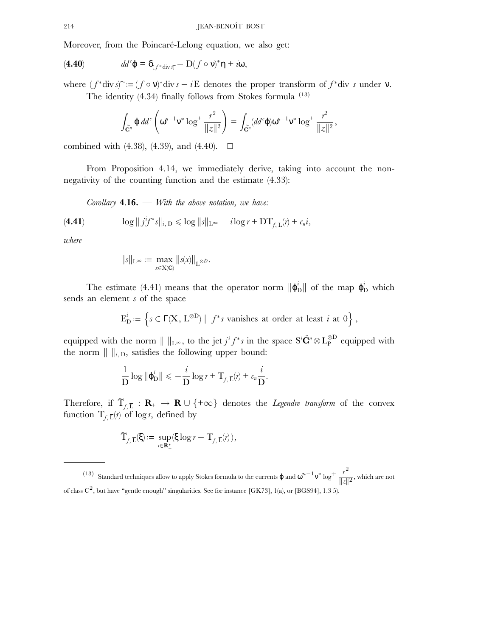Moreover, from the Poincaré-Lelong equation, we also get:

(4.40) 
$$
dd^c \varphi = \delta_{(f^*div \ \mathfrak{H})} - D(f \circ v)^* \eta + i\omega,
$$

where  $(f^*div s)^{sim} := (f \circ v)^*div s - iE$  denotes the proper transform of  $f^*div s$  under v. The identity (4.34) finally follows from Stokes formula (13)

$$
\int_{\widetilde{\mathbf{G}}^n} \varphi \, dd^c \left( \omega^{n-1} \mathbf{v}^* \log^+ \frac{r^2}{\Vert z \Vert^2} \right) = \int_{\widetilde{\mathbf{G}}^n} (dd^c \varphi) \omega^{n-1} \mathbf{v}^* \log^+ \frac{r^2}{\Vert z \Vert^2},
$$

combined with (4.38), (4.39), and (4.40).  $\Box$ 

From Proposition 4.14, we immediately derive, taking into account the nonnegativity of the counting function and the estimate (4.33):

*Corollary* **4**.**16.** *— With the above notation, we have:*

$$
\textbf{(4.41)} \qquad \qquad \log \|\, j^{i} \mathcal{F}^* s\|_{i, \, \text{D}} \leqslant \log \|s\|_{\text{L}^{\infty}} - i \log r + \text{DT}_{f, \, \overline{\text{L}}}(r) + c_n i,
$$

*where*

$$
||s||_{L^{\infty}} := \max_{x \in X(\mathbf{C})} ||s(x)||_{\overline{L}^{\otimes D}}.
$$

The estimate (4.41) means that the operator norm  $\|\phi_{\text{D}}^{i}\|$  of the map  $\phi_{\text{D}}^{i}$  which sends an element *s* of the space

$$
E_{D}^{i} := \left\{ s \in \Gamma(X, L^{\otimes D}) \mid f^{*} s \text{ vanishes at order at least } i \text{ at } 0 \right\},\
$$

equipped with the norm  $\| \ \|_{\mathrm{L}^{\infty}}$ , to the jet  $j^{i} f^{*}s$  in the space  $\mathrm{S}^{i} \check{\mathbf{C}}^{n} \otimes \mathrm{L}^{\otimes \mathrm{D}}_{\mathrm{P}}$  equipped with the norm  $\| \ \|_{i,D}$ , satisfies the following upper bound:

$$
\frac{1}{D}\log\|\varphi_D^i\| \leqslant -\frac{i}{D}\log r + T_{f,\,\overline{L}}(r) + c_n\frac{i}{D}.
$$

Therefore, if  $\widetilde{T}_{f,\overline{L}} : \mathbf{R}_{+} \to \mathbf{R} \cup \{+\infty\}$  denotes the *Legendre transform* of the convex function  $T_{f,\overline{L}}(r)$  of log *r*, defined by

$$
\widetilde{\mathbf{T}}_{f,\,\overline{\mathbf{L}}}(\xi) := \sup_{r \in \mathbf{R}^*_{+}} (\xi \log r - \mathbf{T}_{f,\,\overline{\mathbf{L}}}(\eta)),
$$

<sup>(13)</sup> Standard techniques allow to apply Stokes formula to the currents  $\varphi$  and  $\omega^{n-1}v^* \log^+ \frac{r^2}{|v-v|^2}$  $\frac{1}{\|z\|^2}$ , which are not of class C2, but have "gentle enough" singularities. See for instance [GK73], 1(a), or [BGS94], 1.3 5).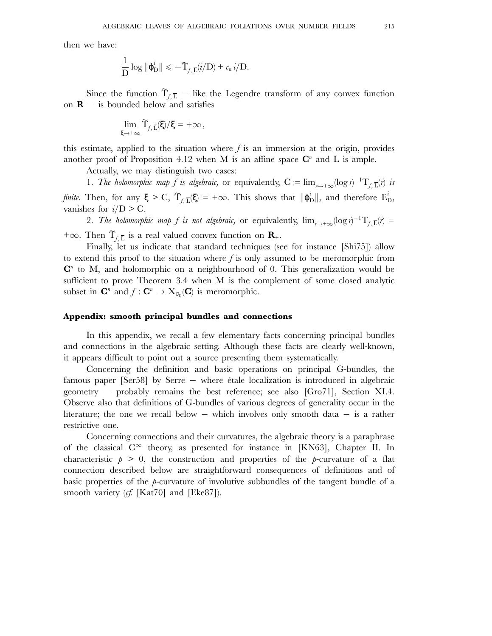then we have:

$$
\frac{1}{D}\log\|\varphi_D^i\|\leq -\widetilde{T}_{f,\,\overline{L}}(i/D)+c_n\,i/D.
$$

Since the function  $\tilde{T}_{f,\overline{L}}$  – like the Legendre transform of any convex function on  $\mathbf{R}$  − is bounded below and satisfies

$$
\lim_{\xi\to+\infty}\widetilde{T}_{\text{f},\,\overline{L}}(\xi)/\xi=+\infty\,,
$$

this estimate, applied to the situation where  $f$  is an immersion at the origin, provides another proof of Proposition 4.12 when M is an affine space  $\mathbb{C}^n$  and L is ample.

Actually, we may distinguish two cases:

1. *The holomorphic map f is algebraic*, or equivalently,  $C := \lim_{r \to +\infty} (\log r)^{-1} T_{f, \overline{L}}(r)$  *is finite*. Then, for any  $\xi > C$ ,  $\widetilde{T}_{f,\,\overline{L}}(\xi) = +\infty$ . This shows that  $\|\varphi_D^i\|$ , and therefore  $E_D^i$ , vanishes for  $i/D > C$ .

2. The holomorphic map f is not algebraic, or equivalently,  $\lim_{r\to+\infty} (\log r)^{-1} T_{f,\overline{L}}(r) =$ 

+∞. Then  $\tilde{T}_{f,\overline{L}}$  is a real valued convex function on **R**<sub>+</sub>.

Finally, let us indicate that standard techniques (see for instance [Shi75]) allow to extend this proof to the situation where *f* is only assumed to be meromorphic from **C***<sup>n</sup>* to M, and holomorphic on a neighbourhood of 0. This generalization would be sufficient to prove Theorem 3.4 when M is the complement of some closed analytic subset in  $\mathbf{C}^n$  and  $f: \mathbf{C}^n \to X_{\sigma_0}(\mathbf{C})$  is meromorphic.

#### **Appendix: smooth principal bundles and connections**

In this appendix, we recall a few elementary facts concerning principal bundles and connections in the algebraic setting. Although these facts are clearly well-known, it appears difficult to point out a source presenting them systematically.

Concerning the definition and basic operations on principal G-bundles, the famous paper [Ser58] by Serre − where étale localization is introduced in algebraic geometry − probably remains the best reference; see also [Gro71], Section XI.4. Observe also that definitions of G-bundles of various degrees of generality occur in the literature; the one we recall below  $-$  which involves only smooth data  $-$  is a rather restrictive one.

Concerning connections and their curvatures, the algebraic theory is a paraphrase of the classical  $C^{\infty}$  theory, as presented for instance in [KN63], Chapter II. In characteristic  $p > 0$ , the construction and properties of the *p*-curvature of a flat connection described below are straightforward consequences of definitions and of basic properties of the *p*-curvature of involutive subbundles of the tangent bundle of a smooth variety (*cf.* [Kat70] and [Eke87]).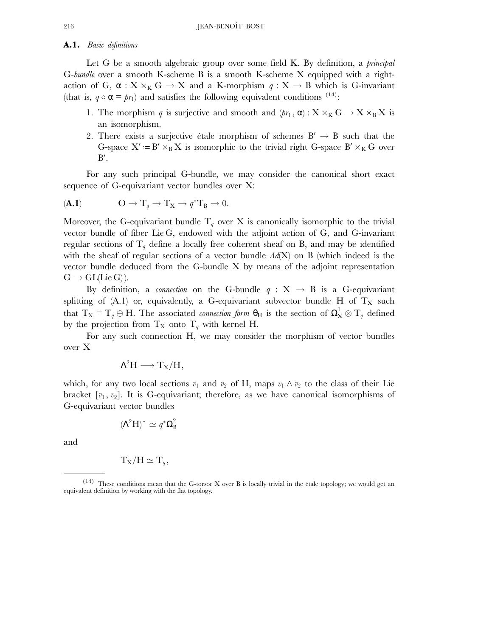## **A.1.** *Basic definitions*

Let G be a smooth algebraic group over some field K. By definition, a *principal* G*-bundle* over a smooth K-scheme B is a smooth K-scheme X equipped with a rightaction of G,  $\alpha$  :  $X \times_K G \to X$  and a K-morphism  $q: X \to B$  which is G-invariant (that is,  $q \circ \alpha = pr_1$ ) and satisfies the following equivalent conditions <sup>(14)</sup>:

- 1. The morphism *q* is surjective and smooth and  $(pr_1, \alpha)$ :  $X \times_K G \to X \times_B X$  is an isomorphism.
- 2. There exists a surjective étale morphism of schemes  $B' \rightarrow B$  such that the G-space  $X' := B' \times_B X$  is isomorphic to the trivial right G-space  $B' \times_K G$  over  $B'.$

For any such principal G-bundle, we may consider the canonical short exact sequence of G-equivariant vector bundles over X:

$$
(\mathbf{A.1}) \qquad \qquad \mathbf{O} \to \mathbf{T}_q \to \mathbf{T}_\mathbf{X} \to q^* \mathbf{T}_\mathbf{B} \to 0.
$$

Moreover, the G-equivariant bundle  $T_q$  over X is canonically isomorphic to the trivial vector bundle of fiber Lie G, endowed with the adjoint action of G, and G-invariant regular sections of  $T_q$  define a locally free coherent sheaf on B, and may be identified with the sheaf of regular sections of a vector bundle *Ad*(X) on B (which indeed is the vector bundle deduced from the G-bundle X by means of the adjoint representation  $G \to GL(Lie G)$ .

By definition, a *connection* on the G-bundle  $q : X \rightarrow B$  is a G-equivariant splitting of  $(A,1)$  or, equivalently, a G-equivariant subvector bundle H of  $T_X$  such that  $T_X = T_q \oplus H$ . The associated *connection form*  $\theta_H$  is the section of  $\Omega_X^1 \otimes T_q$  defined by the projection from  $T_X$  onto  $T_q$  with kernel H.

For any such connection H, we may consider the morphism of vector bundles over X

$$
\Lambda^2 H \longrightarrow T_X/H,
$$

which, for any two local sections  $v_1$  and  $v_2$  of H, maps  $v_1 \wedge v_2$  to the class of their Lie bracket  $[v_1, v_2]$ . It is G-equivariant; therefore, as we have canonical isomorphisms of G-equivariant vector bundles

$$
(\Lambda^2 H)^{\check{}} \simeq q^* \Omega_B^2
$$

and

$$
T_X/H \simeq T_q,
$$

 $(14)$  These conditions mean that the G-torsor X over B is locally trivial in the étale topology; we would get an equivalent definition by working with the flat topology.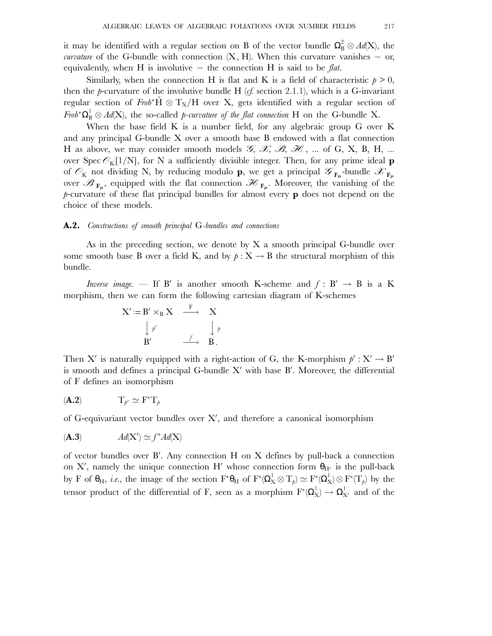it may be identified with a regular section on B of the vector bundle  $\Omega_B^2 \otimes \text{Ad}(X)$ , the *curvature* of the G-bundle with connection  $(X, H)$ . When this curvature vanishes – or, equivalently, when H is involutive − the connection H is said to be *flat*.

Similarly, when the connection H is flat and K is a field of characteristic  $p > 0$ , then the  $p$ -curvature of the involutive bundle H ( $cf.$  section 2.1.1), which is a G-invariant regular section of  $Frob^*H \otimes T_X/H$  over X, gets identified with a regular section of  $Frob^*\Omega^1_B \otimes Ad(X)$ , the so-called *p-curvature of the flat connection* H on the G-bundle X.

When the base field K is a number field, for any algebraic group G over K and any principal G-bundle X over a smooth base B endowed with a flat connection H as above, we may consider smooth models *G*, *X*, *B*, *H* , ... of G, X, B, H, ... over Spec  $\mathcal{O}_K[1/N]$ , for N a sufficiently divisible integer. Then, for any prime ideal **p** of  $\mathscr{O}_K$  not dividing N, by reducing modulo **p**, we get a principal  $\mathscr{L}_{F_p}$ -bundle  $\mathscr{L}_{F_p}$ over  $\mathscr{B}_{\mathbf{F}_{p}}$ , equipped with the flat connection  $\mathscr{H}_{\mathbf{F}_{p}}$ . Moreover, the vanishing of the *p*-curvature of these flat principal bundles for almost every **p** does not depend on the choice of these models.

#### **A.2.** *Constructions of smooth principal* G*-bundles and connections*

As in the preceding section, we denote by X a smooth principal G-bundle over some smooth base B over a field K, and by  $p: X \to B$  the structural morphism of this bundle.

*Inverse image.* — If B<sup>'</sup> is another smooth K-scheme and  $f : B' \rightarrow B$  is a K morphism, then we can form the following cartesian diagram of K-schemes

$$
X' := B' \times_B X \xrightarrow{F} X
$$
  

$$
\downarrow \rho'
$$
  

$$
B' \xrightarrow{f} B.
$$

Then X<sup>'</sup> is naturally equipped with a right-action of G, the K-morphism  $p' : X' \rightarrow B'$ is smooth and defines a principal G-bundle  $X'$  with base  $B'$ . Moreover, the differential of F defines an isomorphism

$$
(\mathbf{A.2}) \qquad \qquad \mathrm{T}_{p'} \simeq \mathrm{F}^* \mathrm{T}_p
$$

of G-equivariant vector bundles over  $X'$ , and therefore a canonical isomorphism

$$
(A.3) \t A d(X') \simeq f^* A d(X)
$$

of vector bundles over B'. Any connection H on X defines by pull-back a connection on X', namely the unique connection H' whose connection form  $\theta_{H'}$  is the pull-back by F of  $\theta_H$ , *i.e.*, the image of the section  $F^*\theta_H$  of  $F^*(\Omega_X^1 \otimes T_p) \simeq F^*(\Omega_X^1) \otimes F^*(T_p)$  by the tensor product of the differential of F, seen as a morphism  $F^*(\Omega^1_X) \to \Omega^1_{X'}$  and of the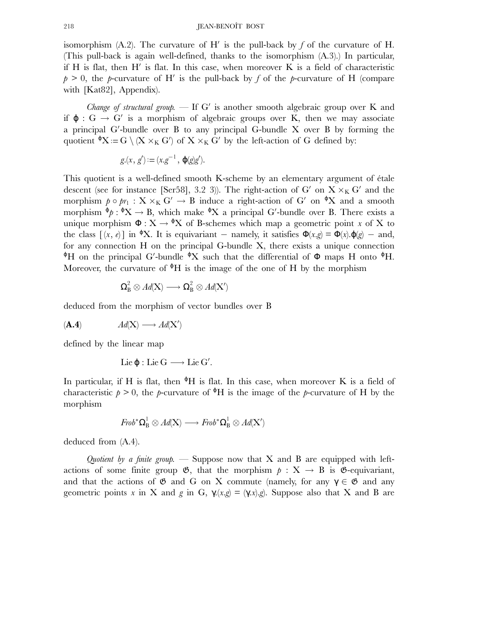isomorphism  $(A.2)$ . The curvature of H<sup>t</sup> is the pull-back by f of the curvature of H. (This pull-back is again well-defined, thanks to the isomorphism (A.3).) In particular, if H is flat, then  $H'$  is flat. In this case, when moreover K is a field of characteristic  $p > 0$ , the *p*-curvature of H<sup> $\prime$ </sup> is the pull-back by *f* of the *p*-curvature of H (compare with [Kat82], Appendix).

*Change of structural group.* — If G' is another smooth algebraic group over K and if  $\varphi : G \to G'$  is a morphism of algebraic groups over K, then we may associate a principal G'-bundle over  $B$  to any principal G-bundle  $X$  over  $B$  by forming the quotient  $\mathfrak{P}X := G \setminus (X \times_K G')$  of  $X \times_K G'$  by the left-action of G defined by:

$$
g.(x, g') := (x.g^{-1}, \, \varphi(g)g').
$$

This quotient is a well-defined smooth K-scheme by an elementary argument of étale descent (see for instance [Ser58], 3.2 3)). The right-action of G' on  $X \times_K G'$  and the morphism  $p \circ pr_1 : X \times_K G' \to B$  induce a right-action of G' on <sup>o</sup>X and a smooth morphism  $\varphi$ :  $\mathbb{P}X \to B$ , which make  $\mathbb{P}X$  a principal G'-bundle over B. There exists a unique morphism  $\Phi: X \to \mathcal{X}$  of B-schemes which map a geometric point *x* of X to the class  $[(x, e)]$  in <sup> $\Phi$ </sup>X. It is equivariant – namely, it satisfies  $\Phi(x, g) = \Phi(x), \phi(g)$  – and, for any connection H on the principal G-bundle X, there exists a unique connection <sup>φ</sup>H on the principal G'-bundle <sup>φ</sup>X such that the differential of Φ maps H onto <sup>φ</sup>H. Moreover, the curvature of  $\mathcal{P}H$  is the image of the one of H by the morphism

$$
\Omega_B^2 \otimes \mathit{Ad}(X) \longrightarrow \Omega_B^2 \otimes \mathit{Ad}(X')
$$

deduced from the morphism of vector bundles over B

$$
A.4) \t A d(X) \longrightarrow Ad(X')
$$

defined by the linear map

$$
Lie \varphi : Lie G \longrightarrow Lie G'.
$$

In particular, if H is flat, then  $\mathcal{P}H$  is flat. In this case, when moreover K is a field of characteristic  $p > 0$ , the *p*-curvature of  $\Phi$ H is the image of the *p*-curvature of H by the morphism

$$
\text{Frob}^*\Omega^1_B \otimes \text{Ad}(X) \longrightarrow \text{Frob}^*\Omega^1_B \otimes \text{Ad}(X')
$$

deduced from (A.4).

*Quotient by a finite group. —* Suppose now that X and B are equipped with leftactions of some finite group  $\mathfrak{G}$ , that the morphism  $p : X \rightarrow B$  is  $\mathfrak{G}$ -equivariant, and that the actions of  $\mathfrak G$  and G on X commute (namely, for any  $\gamma \in \mathfrak G$  and any geometric points *x* in X and *g* in G,  $\gamma(x,g) = (\gamma x).g$ . Suppose also that X and B are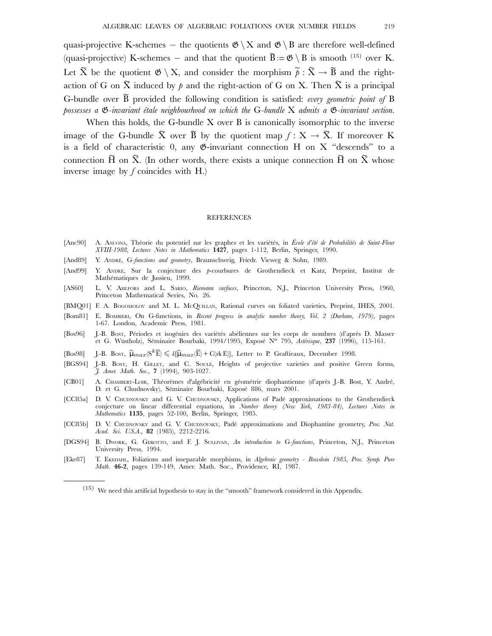quasi-projective K-schemes – the quotients  $\mathfrak{G} \backslash X$  and  $\mathfrak{G} \backslash B$  are therefore well-defined (quasi-projective) K-schemes – and that the quotient  $\widetilde{B} := \mathfrak{G} \setminus B$  is smooth (15) over K. Let  $\tilde{X}$  be the quotient  $\mathfrak{G} \setminus X$ , and consider the morphism  $\tilde{\rho}: \tilde{X} \to \tilde{B}$  and the rightaction of G on  $\tilde{X}$  induced by  $p$  and the right-action of G on X. Then  $\tilde{X}$  is a principal G-bundle over  $\tilde{B}$  provided the following condition is satisfied: *every geometric point of* B *possesses a* G*-invariant étale neighbourhood on which the* G*-bundle* X *admits a* G*-invariant section.*

When this holds, the G-bundle  $X$  over  $B$  is canonically isomorphic to the inverse image of the G-bundle  $\tilde{X}$  over  $\tilde{B}$  by the quotient map  $f: X \to \tilde{X}$ . If moreover K is a field of characteristic 0, any G-invariant connection H on X "descends" to a connection  $\widetilde{H}$  on  $\widetilde{X}$ . (In other words, there exists a unique connection  $\widetilde{H}$  on  $\widetilde{X}$  whose inverse image by *f* coincides with H.)

#### REFERENCES

- [Anc90] A. ANCONA, Théorie du potentiel sur les graphes et les variétés, in *École d'été de Probabilités de Saint-Flour XVIII-1988*, *Lectures Notes in Mathematics* **1427**, pages 1-112, Berlin, Springer, 1990.
- [And89] Y. ANDRÉ, G*-functions and geometry*, Braunschweig, Friedr. Vieweg & Sohn, 1989.
- [And99] Y. ANDRÉ, Sur la conjecture des *p*-courbures de Grothendieck et Katz, Preprint, Institut de Mathématiques de Jussieu, 1999.
- [AS60] L. V. AHLFORS and L. SARIO, *Riemann surfaces*, Princeton, N.J., Princeton University Press, 1960, Princeton Mathematical Series, No. 26.
- [BMQ01] F. A. BOGOMOLOV and M. L. MCQUILLAN, Rational curves on foliated varieties, Preprint, IHES, 2001.
- [Bom81] E. BOMBIERI, On G-functions, in *Recent progress in analytic number theory, Vol. 2 (Durham, 1979)*, pages 1-67. London, Academic Press, 1981.
- [Bos96] J.-B. BOST, Périodes et isogénies des variétés abéliennes sur les corps de nombres (d'après D. Masser et G. Wüstholz), Séminaire Bourbaki, 1994/1995, Exposé N° 795, *Astérisque*, **237** (1996), 115-161.
- [Bos98] J.-B. Bost,  $\hat{\mu}_{max}(S^k \overline{E}) \leq k[\hat{\mu}_{max}(\overline{E}) + C(rk E)],$  Letter to P. Graftieaux, December 1998.
- [BGS94] J.-B. BOST, H. GILLET, and C. SOULÉ, Heights of projective varieties and positive Green forms, *J. Amer. Math. Soc.*, **7** (1994), 903-1027.
- [CB01] A. CHAMBERT-LOIR, Théorèmes d'algébricité en géométrie diophantienne (d'après J.-B. Bost, Y. André, D. et G. Chudnovsky), Séminaire Bourbaki, Exposé 886, mars 2001.
- [CC85a] D. V. CHUDNOVSKY and G. V. CHUDNOVSKY, Applications of Padé approximations to the Grothendieck conjecture on linear differential equations, in *Number theory (New York, 1983-84)*, *Lectures Notes in Mathematics* **1135**, pages 52-100, Berlin, Springer, 1985.
- [CC85b] D. V. CHUDNOVSKY and G. V. CHUDNOVSKY, Padé approximations and Diophantine geometry, *Proc. Nat. Acad. Sci. U.S.A.*, **82** (1985), 2212-2216.
- [DGS94] B. DWORK, G. GEROTTO, and F. J. SULLIVAN, *An introduction to* G*-functions*, Princeton, N.J., Princeton University Press, 1994.
- [Eke87] T. EKEDAHL, Foliations and inseparable morphisms, in *Algebraic geometry Bowdoin 1985*, *Proc. Symp. Pure Math.* **46-2**, pages 139-149, Amer. Math. Soc., Providence, RI, 1987.

<sup>(15)</sup> We need this artificial hypothesis to stay in the "smooth" framework considered in this Appendix.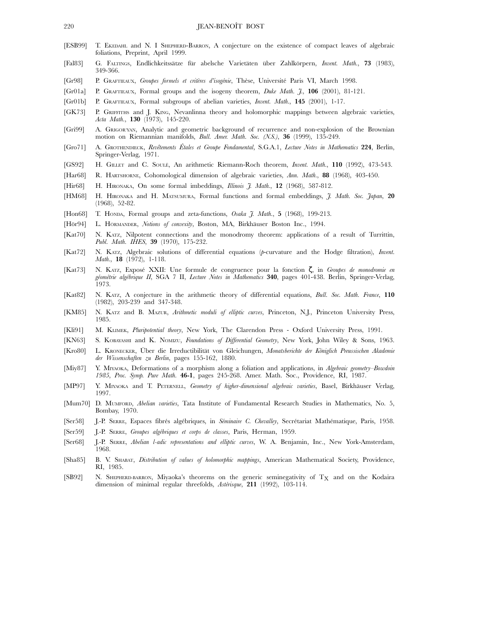#### 220 **IEAN-BENOÎT BOST**

- [ESB99] T. EKEDAHL and N. I SHEPHERD-BARRON, A conjecture on the existence of compact leaves of algebraic foliations, Preprint, April 1999.
- [Fal83] G. FALTINGS, Endlichkeitssätze für abelsche Varietäten über Zahlkörpern, *Invent. Math.*, **73** (1983), 349-366.
- [Gr98] P. GRAFTIEAUX, *Groupes formels et critères d'isogénie*, Thèse, Université Paris VI, March 1998.
- [Gr01a] P. GRAFTIEAUX, Formal groups and the isogeny theorem, *Duke Math. J.*, **106** (2001), 81-121.
- [Gr01b] P. GRAFTIEAUX, Formal subgroups of abelian varieties, *Invent. Math.*, **145** (2001), 1-17.
- [GK73] P. GRIFFITHS and J. KING, Nevanlinna theory and holomorphic mappings between algebraic varieties, *Acta Math.*, **130** (1973), 145-220.
- [Gri99] A. GRIGOR'YAN, Analytic and geometric background of recurrence and non-explosion of the Brownian motion on Riemannian manifolds, *Bull. Amer. Math. Soc. (N.S.)*, **36** (1999), 135-249.
- [Gro71] A. GROTHENDIECK, *Revêtements Étales et Groupe Fondamental*, S.G.A.1, *Lecture Notes in Mathematics* **224**, Berlin, Springer-Verlag, 1971.
- [GS92] H. GILLET and C. SOULÉ, An arithmetic Riemann-Roch theorem, *Invent. Math.*, **110** (1992), 473-543.
- [Har68] R. HARTSHORNE, Cohomological dimension of algebraic varieties, *Ann. Math.*, **88** (1968), 403-450.
- [Hir68] H. HIRONAKA, On some formal imbeddings, *Illinois J. Math.*, **12** (1968), 587-812.
- [HM68] H. HIRONAKA and H. MATSUMURA, Formal functions and formal embeddings, *J. Math. Soc. Japan*, **20** (1968), 52-82.
- [Hon68] T. HONDA, Formal groups and zeta-functions, *Osaka J. Math.*, **5** (1968), 199-213.
- [Hör94] L. HÖRMANDER, *Notions of convexity*, Boston, MA, Birkhäuser Boston Inc., 1994.
- [Kat70] N. KATZ, Nilpotent connections and the monodromy theorem: applications of a result of Turrittin, *Publ. Math. IHES*, **39** (1970), 175-232.
- [Kat72] N. KATZ, Algebraic solutions of differential equations (*p*-curvature and the Hodge filtration), *Invent. Math.*, **18** (1972), 1-118.
- [Kat73] N. KATZ, Exposé XXII: Une formule de congruence pour la fonction ζ, in *Groupes de monodromie en géométrie algébrique II*, SGA 7 II, *Lecture Notes in Mathematics* **340**, pages 401-438. Berlin, Springer-Verlag, 1973.
- [Kat82] N. KATZ, A conjecture in the arithmetic theory of differential equations, *Bull. Soc. Math. France*, **110** (1982), 203-239 and 347-348.
- [KM85] N. KATZ and B. MAZUR, *Arithmetic moduli of elliptic curves*, Princeton, N.J., Princeton University Press, 1985.
- [Kli91] M. KLIMEK, *Pluripotential theory*, New York, The Clarendon Press Oxford University Press, 1991.
- [KN63] S. KOBAYASHI and K. NOMIZU, *Foundations of Differential Geometry*, New York, John Wiley & Sons, 1963.
- [Kro80] L. KRONECKER, Über die Irreductibilität von Gleichungen, *Monatsberichte der Königlich Preussischen Akademie der Wissenschaften zu Berlin*, pages 155-162, 1880.
- [Miy87] Y. MIYAOKA, Deformations of a morphism along a foliation and applications, in *Algebraic geometry–Bowdoin 1985*, *Proc. Symp. Pure Math.* **46-1**, pages 245-268. Amer. Math. Soc., Providence, RI, 1987.
- [MP97] Y. MIYAOKA and T. PETERNELL, *Geometry of higher-dimensional algebraic varieties*, Basel, Birkhäuser Verlag, 1997.
- [Mum70] D. MUMFORD, *Abelian varieties*, Tata Institute of Fundamental Research Studies in Mathematics, No. 5, Bombay, 1970.
- [Ser58] J.-P. SERRE, Espaces fibrés algébriques, in *Séminaire C. Chevalley*, Secrétariat Mathématique, Paris, 1958.
- [Ser59] J.-P. SERRE, *Groupes algébriques et corps de classes*, Paris, Herman, 1959.
- [Ser68] J.-P. SERRE, *Abelian l-adic representations and elliptic curves*, W. A. Benjamin, Inc., New York-Amsterdam, 1968.
- [Sha85] B. V. SHABAT, *Distribution of values of holomorphic mappings*, American Mathematical Society, Providence, RI, 1985.
- [SB92] N. SHEPHERD-BARRON, Miyaoka's theorems on the generic seminegativity of T<sub>X</sub> and on the Kodaira dimension of minimal regular threefolds, *Astérisque*, **211** (1992), 103-114.